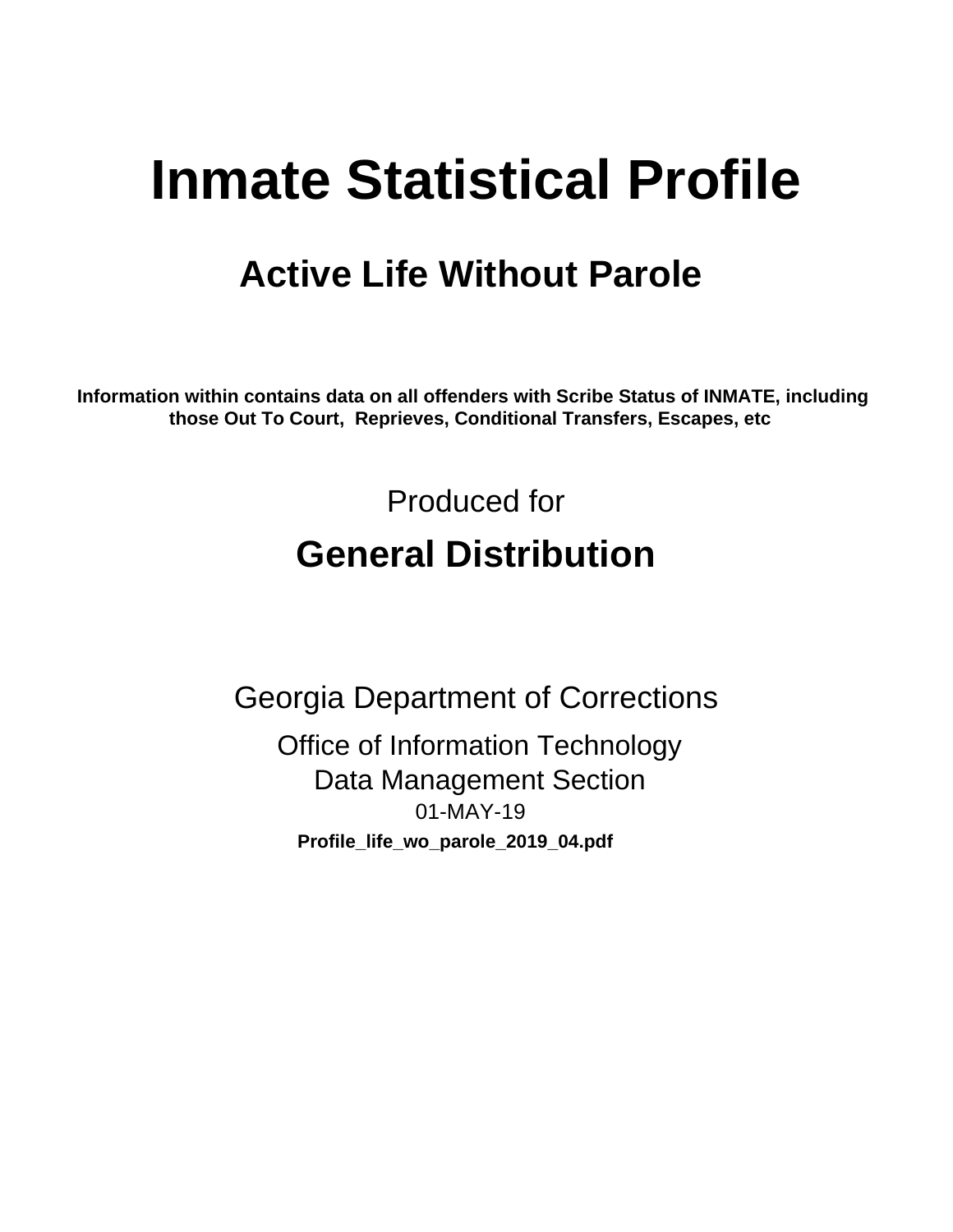# **Inmate Statistical Profile**

## **Active Life Without Parole**

Information within contains data on all offenders with Scribe Status of INMATE, including those Out To Court, Reprieves, Conditional Transfers, Escapes, etc

> Produced for **General Distribution**

**Georgia Department of Corrections Office of Information Technology Data Management Section** 01-MAY-19 Profile\_life\_wo\_parole\_2019\_04.pdf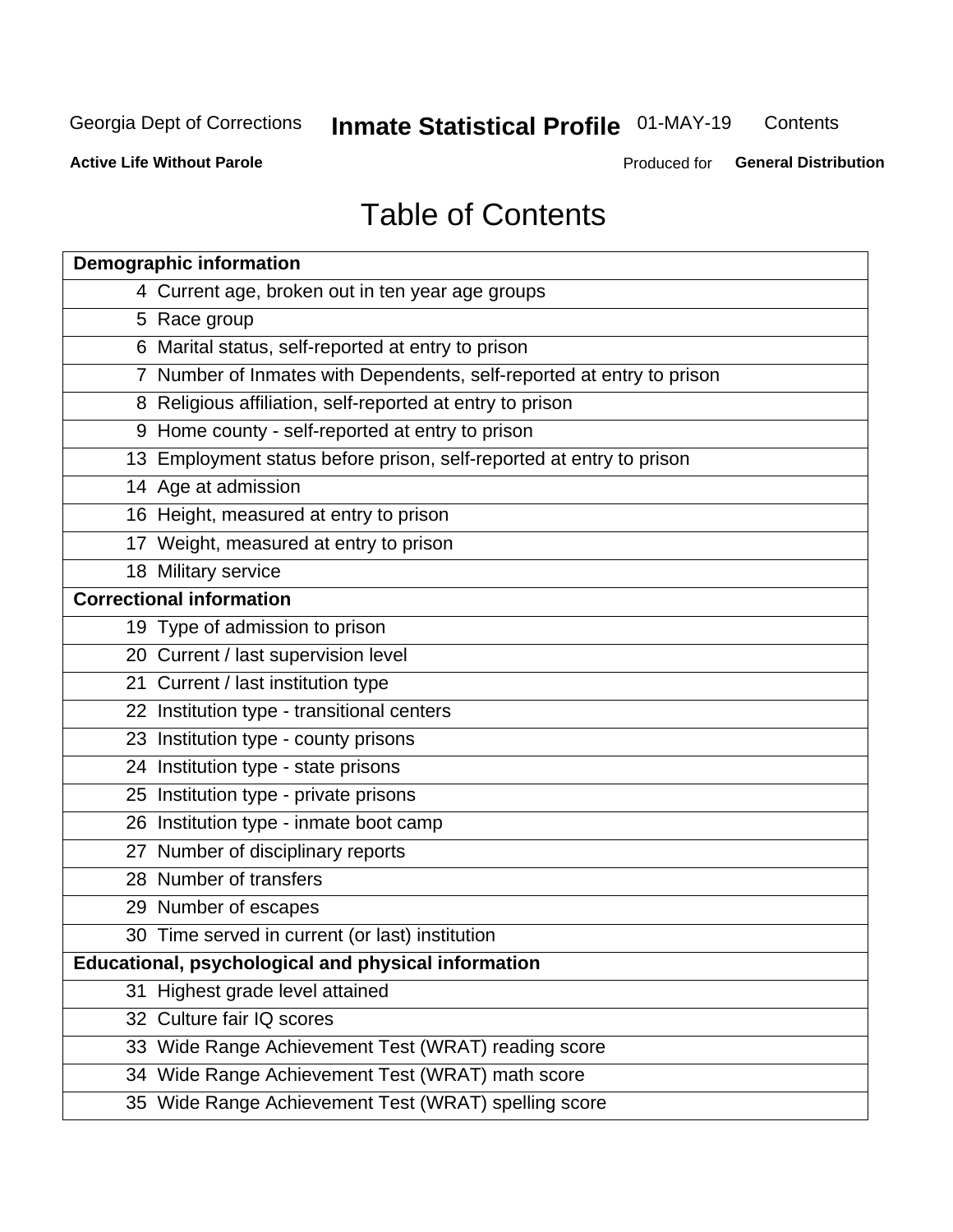#### **Inmate Statistical Profile 01-MAY-19** Contents

**Active Life Without Parole** 

Produced for General Distribution

## **Table of Contents**

|    | <b>Demographic information</b>                                        |
|----|-----------------------------------------------------------------------|
|    | 4 Current age, broken out in ten year age groups                      |
|    | 5 Race group                                                          |
|    | 6 Marital status, self-reported at entry to prison                    |
|    | 7 Number of Inmates with Dependents, self-reported at entry to prison |
|    | 8 Religious affiliation, self-reported at entry to prison             |
|    | 9 Home county - self-reported at entry to prison                      |
|    | 13 Employment status before prison, self-reported at entry to prison  |
|    | 14 Age at admission                                                   |
|    | 16 Height, measured at entry to prison                                |
|    | 17 Weight, measured at entry to prison                                |
|    | 18 Military service                                                   |
|    | <b>Correctional information</b>                                       |
|    | 19 Type of admission to prison                                        |
|    | 20 Current / last supervision level                                   |
|    | 21 Current / last institution type                                    |
|    | 22 Institution type - transitional centers                            |
|    | 23 Institution type - county prisons                                  |
|    | 24 Institution type - state prisons                                   |
|    | 25 Institution type - private prisons                                 |
|    | 26 Institution type - inmate boot camp                                |
|    | 27 Number of disciplinary reports                                     |
|    | 28 Number of transfers                                                |
|    | 29 Number of escapes                                                  |
|    | 30 Time served in current (or last) institution                       |
|    | Educational, psychological and physical information                   |
| 31 | Highest grade level attained                                          |
|    | 32 Culture fair IQ scores                                             |
|    | 33 Wide Range Achievement Test (WRAT) reading score                   |
|    | 34 Wide Range Achievement Test (WRAT) math score                      |
|    | 35 Wide Range Achievement Test (WRAT) spelling score                  |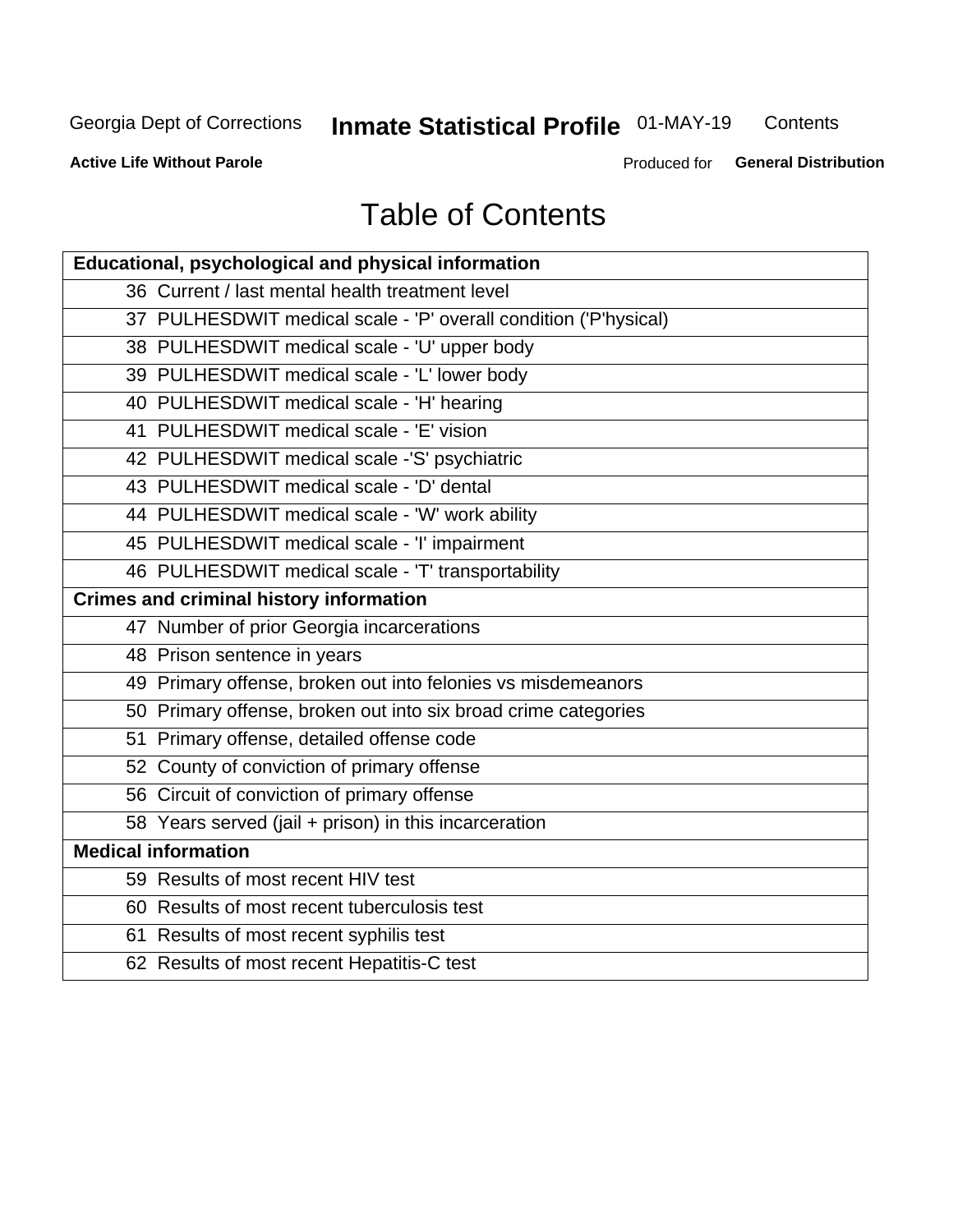## **Inmate Statistical Profile 01-MAY-19**

Contents

**Active Life Without Parole** 

Produced for General Distribution

## **Table of Contents**

| Educational, psychological and physical information              |
|------------------------------------------------------------------|
| 36 Current / last mental health treatment level                  |
| 37 PULHESDWIT medical scale - 'P' overall condition ('P'hysical) |
| 38 PULHESDWIT medical scale - 'U' upper body                     |
| 39 PULHESDWIT medical scale - 'L' lower body                     |
| 40 PULHESDWIT medical scale - 'H' hearing                        |
| 41 PULHESDWIT medical scale - 'E' vision                         |
| 42 PULHESDWIT medical scale -'S' psychiatric                     |
| 43 PULHESDWIT medical scale - 'D' dental                         |
| 44 PULHESDWIT medical scale - 'W' work ability                   |
| 45 PULHESDWIT medical scale - 'I' impairment                     |
| 46 PULHESDWIT medical scale - 'T' transportability               |
| <b>Crimes and criminal history information</b>                   |
| 47 Number of prior Georgia incarcerations                        |
| 48 Prison sentence in years                                      |
| 49 Primary offense, broken out into felonies vs misdemeanors     |
| 50 Primary offense, broken out into six broad crime categories   |
| 51 Primary offense, detailed offense code                        |
| 52 County of conviction of primary offense                       |
| 56 Circuit of conviction of primary offense                      |
| 58 Years served (jail + prison) in this incarceration            |
| <b>Medical information</b>                                       |
| 59 Results of most recent HIV test                               |
| 60 Results of most recent tuberculosis test                      |
| 61 Results of most recent syphilis test                          |
| 62 Results of most recent Hepatitis-C test                       |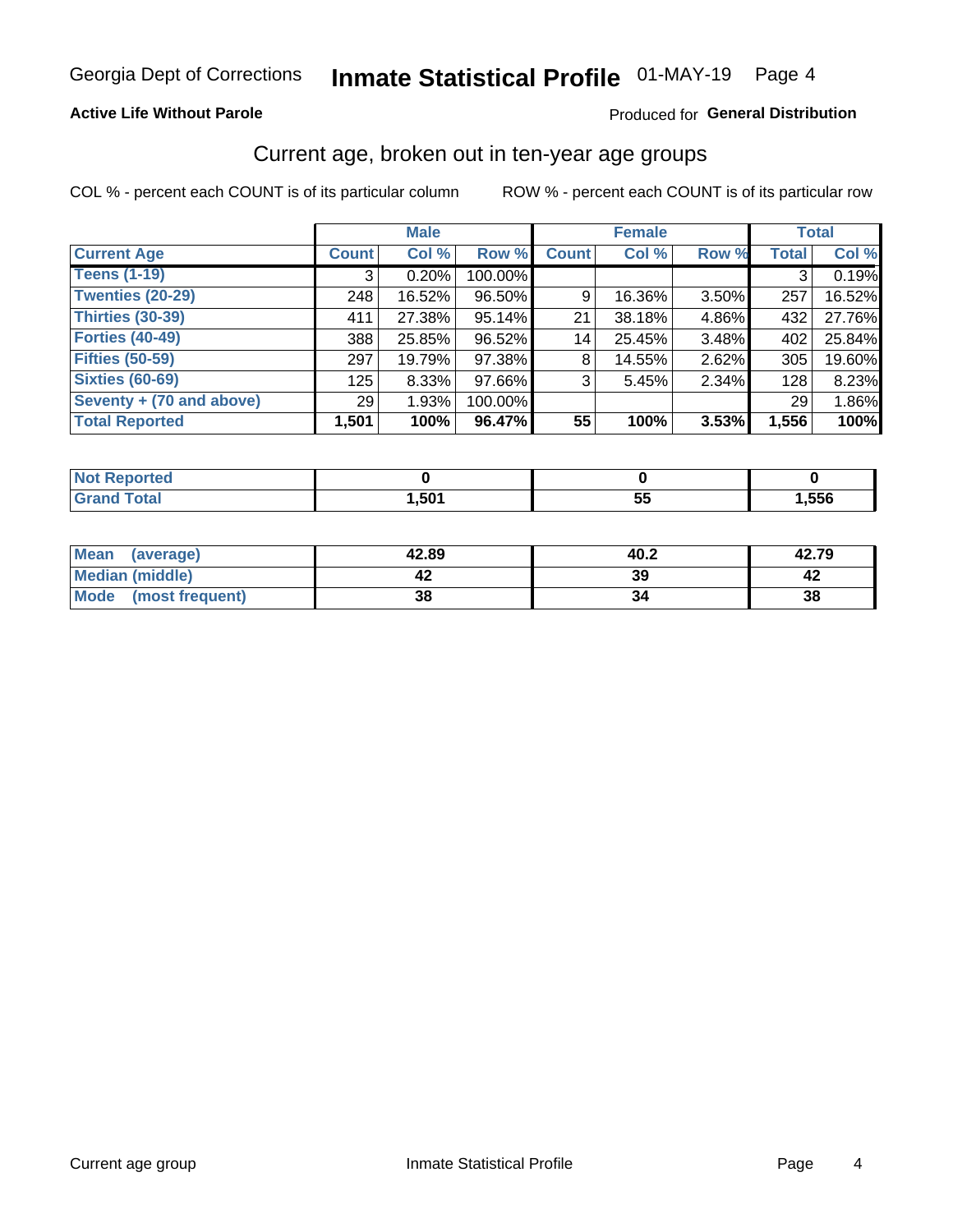#### **Active Life Without Parole**

#### Produced for General Distribution

### Current age, broken out in ten-year age groups

COL % - percent each COUNT is of its particular column

|                          |              | <b>Male</b> |         |              | <b>Female</b> |          |              | <b>Total</b> |
|--------------------------|--------------|-------------|---------|--------------|---------------|----------|--------------|--------------|
| <b>Current Age</b>       | <b>Count</b> | Col %       | Row %   | <b>Count</b> | Col %         | Row %    | <b>Total</b> | Col %        |
| <b>Teens (1-19)</b>      | 3            | 0.20%       | 100.00% |              |               |          | 3            | 0.19%        |
| <b>Twenties (20-29)</b>  | 248          | 16.52%      | 96.50%  | 9            | 16.36%        | $3.50\%$ | 257          | 16.52%       |
| Thirties (30-39)         | 411          | 27.38%      | 95.14%  | 21           | 38.18%        | 4.86%    | 432          | 27.76%       |
| <b>Forties (40-49)</b>   | 388          | 25.85%      | 96.52%  | 14           | 25.45%        | 3.48%    | 402          | 25.84%       |
| <b>Fifties (50-59)</b>   | 297          | 19.79%      | 97.38%  | 8            | 14.55%        | $2.62\%$ | 305          | 19.60%       |
| <b>Sixties (60-69)</b>   | 125          | $8.33\%$    | 97.66%  | 3            | 5.45%         | 2.34%    | 128          | 8.23%        |
| Seventy + (70 and above) | 29           | 1.93%       | 100.00% |              |               |          | 29           | 1.86%        |
| <b>Total Reported</b>    | 1,501        | 100%        | 96.47%  | 55           | 100%          | 3.53%    | 1,556        | 100%         |

| Reported<br><b>NOT</b><br>. |      |          |      |
|-----------------------------|------|----------|------|
| <b>Total</b>                | ,501 | --<br>Ju | ,556 |

| Mean<br>(average)       | 42.89 | 40.2 | 42.79 |
|-------------------------|-------|------|-------|
| Median (middle)         |       | 39   |       |
| Mode<br>(most frequent) | 38    |      | 38    |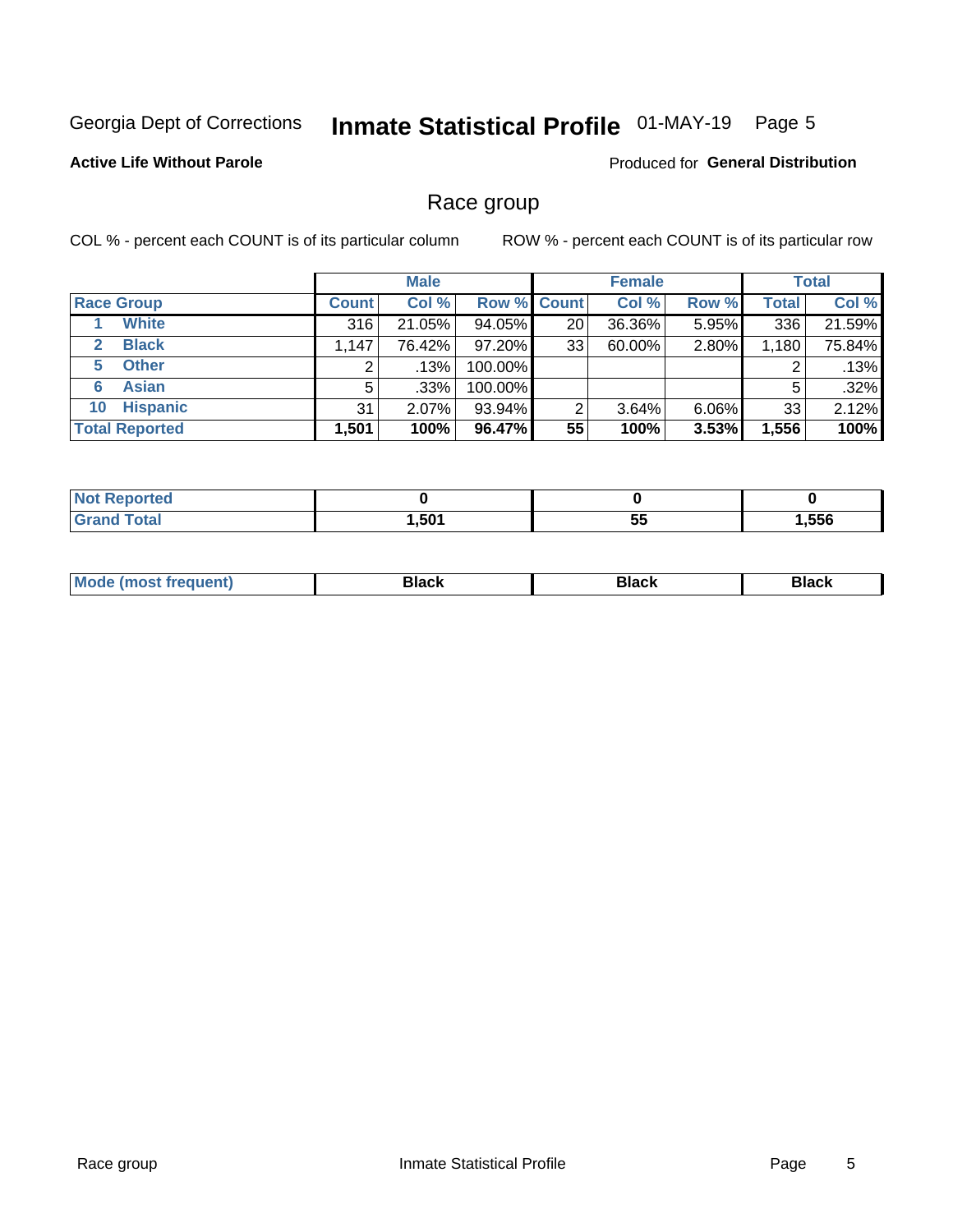## Inmate Statistical Profile 01-MAY-19 Page 5

#### **Active Life Without Parole**

Produced for General Distribution

### Race group

COL % - percent each COUNT is of its particular column

|                              | <b>Male</b>  |         |                    | <b>Female</b> |        |          | <b>Total</b> |        |
|------------------------------|--------------|---------|--------------------|---------------|--------|----------|--------------|--------|
| <b>Race Group</b>            | <b>Count</b> | Col %   | <b>Row % Count</b> |               | Col %  | Row %    | <b>Total</b> | Col %  |
| <b>White</b>                 | 316          | 21.05%  | 94.05%             | 20            | 36.36% | 5.95%    | 336          | 21.59% |
| <b>Black</b><br>$\mathbf{2}$ | 1,147        | 76.42%  | 97.20%             | 33            | 60.00% | 2.80%    | 1,180        | 75.84% |
| <b>Other</b><br>5.           |              | .13%    | 100.00%            |               |        |          | 2            | .13%   |
| <b>Asian</b><br>6            | 5            | $.33\%$ | 100.00%            |               |        |          | 5            | .32%   |
| <b>Hispanic</b><br>10        | 31           | 2.07%   | 93.94%             | 2             | 3.64%  | $6.06\%$ | 33           | 2.12%  |
| <b>Total Reported</b>        | 1,501        | 100%    | 96.47%             | 55            | 100%   | 3.53%    | 1,556        | 100%   |

| rteo<br>N   |      |           |      |
|-------------|------|-----------|------|
| $C = 4 - 7$ | ,501 | --<br>ູບປ | ,556 |

| –•••• |  | M |  |  |  |
|-------|--|---|--|--|--|
|-------|--|---|--|--|--|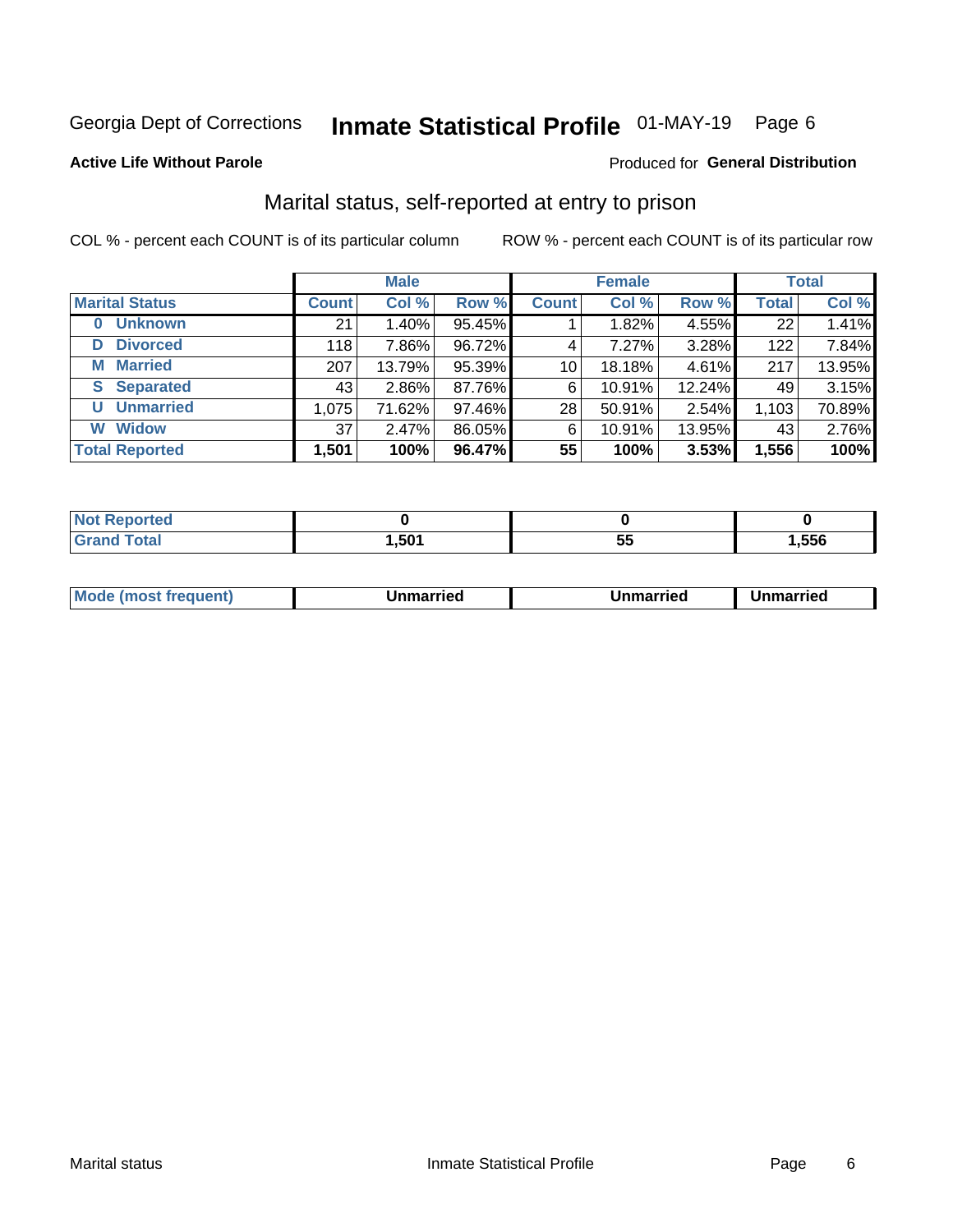## Inmate Statistical Profile 01-MAY-19 Page 6

#### **Active Life Without Parole**

#### Produced for General Distribution

### Marital status, self-reported at entry to prison

COL % - percent each COUNT is of its particular column

|                            |              | <b>Male</b> |        |                 | <b>Female</b> |        |              | <b>Total</b> |
|----------------------------|--------------|-------------|--------|-----------------|---------------|--------|--------------|--------------|
| <b>Marital Status</b>      | <b>Count</b> | Col %       | Row %  | <b>Count</b>    | Col %         | Row %  | <b>Total</b> | Col %        |
| <b>Unknown</b><br>$\bf{0}$ | 21           | 1.40%       | 95.45% |                 | 1.82%         | 4.55%  | 22           | 1.41%        |
| <b>Divorced</b><br>D       | 118          | 7.86%       | 96.72% | 4               | 7.27%         | 3.28%  | 122          | 7.84%        |
| <b>Married</b><br>М        | 207          | 13.79%      | 95.39% | 10 <sup>1</sup> | 18.18%        | 4.61%  | 217          | 13.95%       |
| <b>Separated</b><br>S.     | 43           | $2.86\%$    | 87.76% | 6               | 10.91%        | 12.24% | 49           | 3.15%        |
| <b>Unmarried</b><br>U      | 1,075        | 71.62%      | 97.46% | 28              | 50.91%        | 2.54%  | 1,103        | 70.89%       |
| <b>Widow</b><br>W          | 37           | 2.47%       | 86.05% | 6               | 10.91%        | 13.95% | 43           | 2.76%        |
| <b>Total Reported</b>      | 1,501        | 100%        | 96.47% | 55              | 100%          | 3.53%  | 1,556        | 100%         |

| orted<br><b>NOT REDOM:</b><br>. <b>.</b> |      |   |      |
|------------------------------------------|------|---|------|
| <b>Total</b>                             | ,501 | w | .556 |

|  | M | . | Unmarried | າmarried<br>_____ |
|--|---|---|-----------|-------------------|
|--|---|---|-----------|-------------------|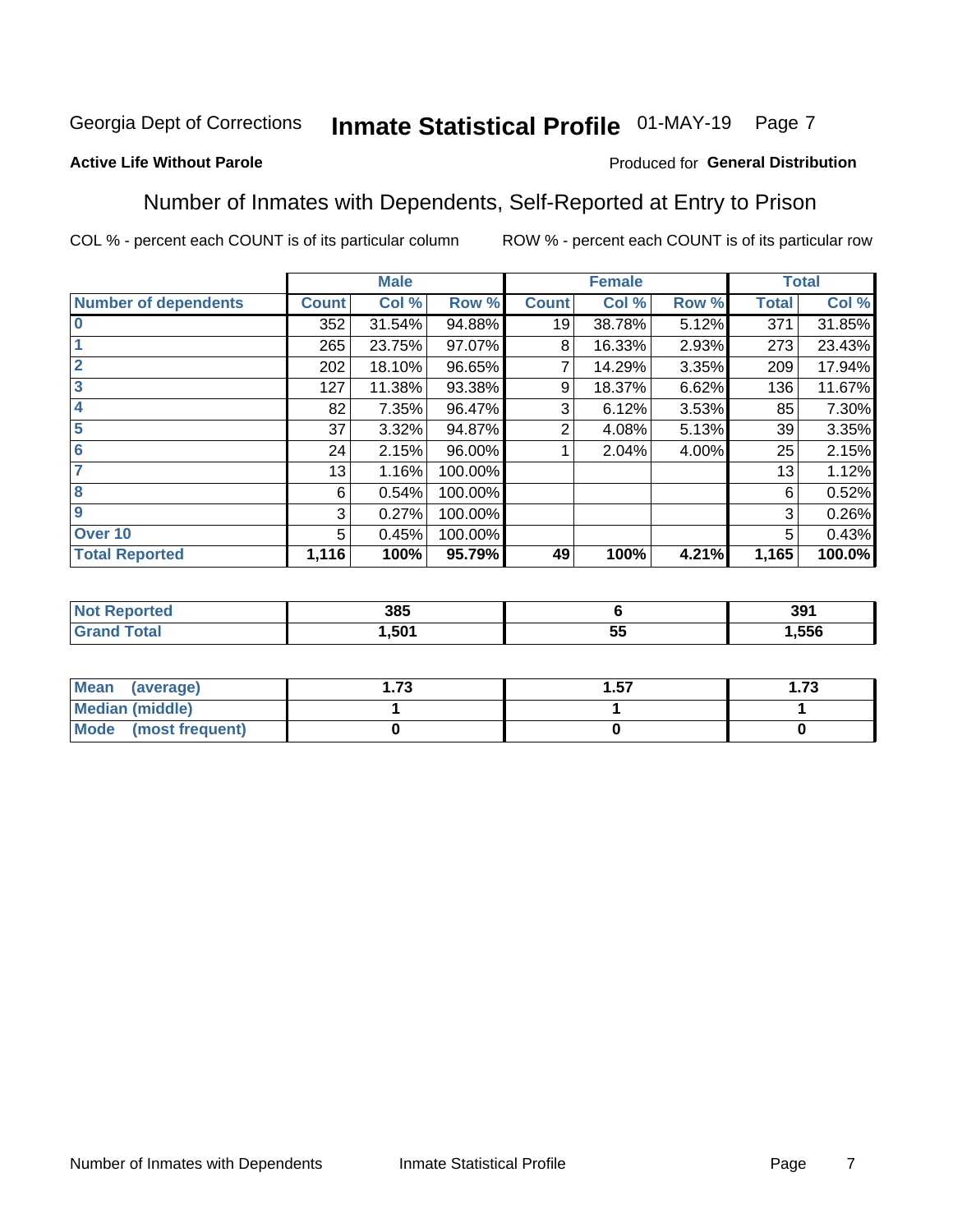#### Inmate Statistical Profile 01-MAY-19 Page 7

#### **Active Life Without Parole**

#### Produced for General Distribution

### Number of Inmates with Dependents, Self-Reported at Entry to Prison

COL % - percent each COUNT is of its particular column

|                             |              | <b>Male</b> |         |              | <b>Female</b> |       |              | <b>Total</b> |
|-----------------------------|--------------|-------------|---------|--------------|---------------|-------|--------------|--------------|
| <b>Number of dependents</b> | <b>Count</b> | Col %       | Row %   | <b>Count</b> | Col %         | Row % | <b>Total</b> | Col %        |
| $\bf{0}$                    | 352          | 31.54%      | 94.88%  | 19           | 38.78%        | 5.12% | 371          | 31.85%       |
|                             | 265          | 23.75%      | 97.07%  | 8            | 16.33%        | 2.93% | 273          | 23.43%       |
| $\overline{2}$              | 202          | 18.10%      | 96.65%  |              | 14.29%        | 3.35% | 209          | 17.94%       |
| 3                           | 127          | 11.38%      | 93.38%  | 9            | 18.37%        | 6.62% | 136          | 11.67%       |
| 4                           | 82           | 7.35%       | 96.47%  | 3            | 6.12%         | 3.53% | 85           | 7.30%        |
| 5                           | 37           | 3.32%       | 94.87%  | 2            | 4.08%         | 5.13% | 39           | 3.35%        |
| $6\phantom{1}6$             | 24           | 2.15%       | 96.00%  |              | 2.04%         | 4.00% | 25           | 2.15%        |
| 7                           | 13           | 1.16%       | 100.00% |              |               |       | 13           | 1.12%        |
| 8                           | 6            | 0.54%       | 100.00% |              |               |       | 6            | 0.52%        |
| $\boldsymbol{9}$            | 3            | 0.27%       | 100.00% |              |               |       | 3            | 0.26%        |
| Over 10                     | 5            | 0.45%       | 100.00% |              |               |       | 5            | 0.43%        |
| <b>Total Reported</b>       | 1,116        | 100%        | 95.79%  | 49           | 100%          | 4.21% | 1,165        | 100.0%       |

| 385  |                    | 391  |
|------|--------------------|------|
| .501 | --<br>$\sim$<br>J. | .556 |

| <b>Mean</b><br>(average) | 72<br>I . / J | . 57 | l.73 |
|--------------------------|---------------|------|------|
| <b>Median (middle)</b>   |               |      |      |
| Mode (most frequent)     |               |      |      |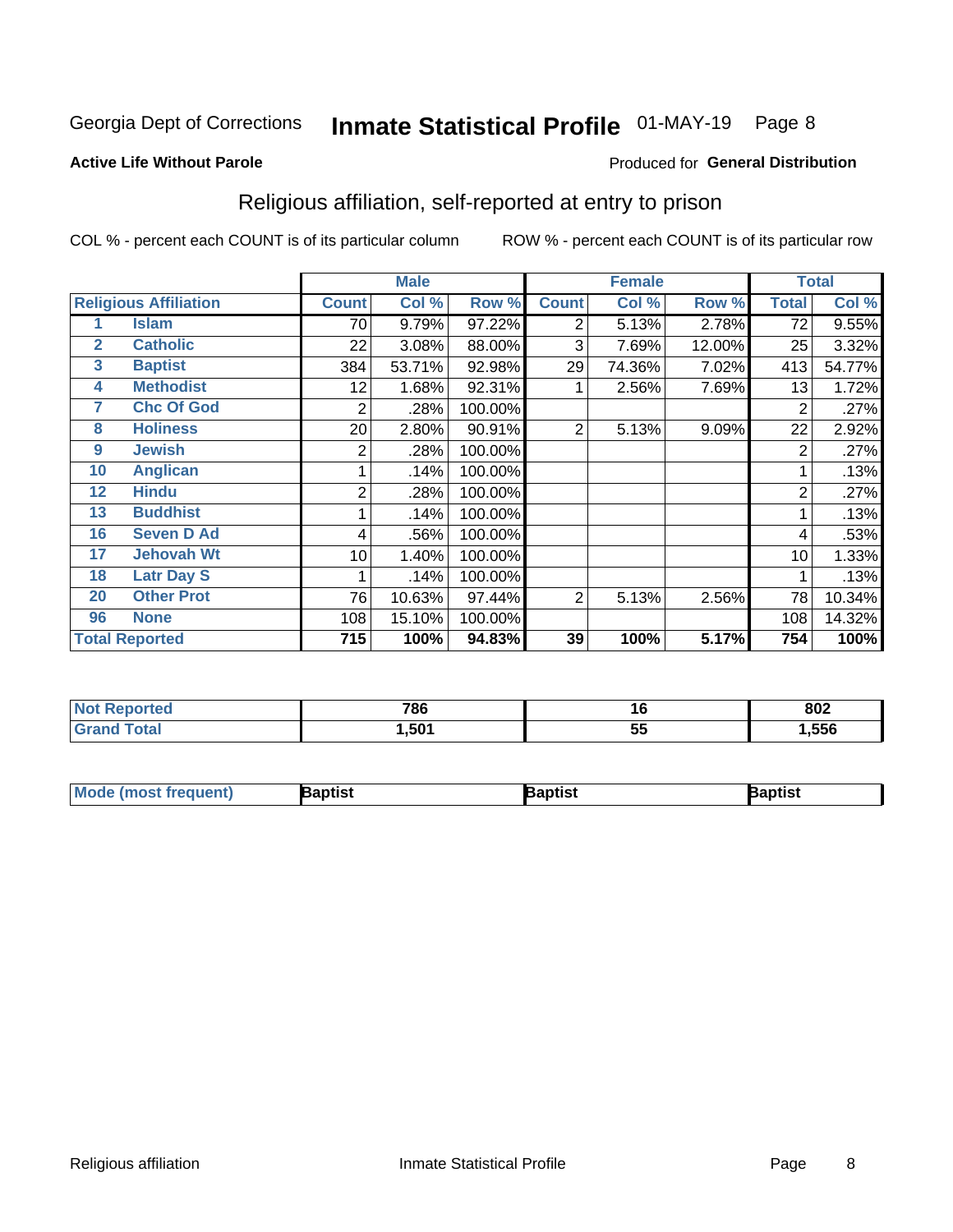## Inmate Statistical Profile 01-MAY-19 Page 8

#### **Active Life Without Parole**

#### Produced for General Distribution

### Religious affiliation, self-reported at entry to prison

COL % - percent each COUNT is of its particular column

|                       |                              |              | <b>Male</b> |         |                | <b>Female</b> |        |              | <b>Total</b> |
|-----------------------|------------------------------|--------------|-------------|---------|----------------|---------------|--------|--------------|--------------|
|                       | <b>Religious Affiliation</b> | <b>Count</b> | Col %       | Row %   | <b>Count</b>   | Col %         | Row %  | <b>Total</b> | Col %        |
|                       | <b>Islam</b>                 | 70           | 9.79%       | 97.22%  | 2              | 5.13%         | 2.78%  | 72           | 9.55%        |
| $\mathbf{2}$          | <b>Catholic</b>              | 22           | 3.08%       | 88.00%  | 3              | 7.69%         | 12.00% | 25           | 3.32%        |
| 3                     | <b>Baptist</b>               | 384          | 53.71%      | 92.98%  | 29             | 74.36%        | 7.02%  | 413          | 54.77%       |
| 4                     | <b>Methodist</b>             | 12           | 1.68%       | 92.31%  |                | 2.56%         | 7.69%  | 13           | 1.72%        |
| 7                     | <b>Chc Of God</b>            | 2            | .28%        | 100.00% |                |               |        | 2            | .27%         |
| 8                     | <b>Holiness</b>              | 20           | 2.80%       | 90.91%  | $\overline{2}$ | 5.13%         | 9.09%  | 22           | 2.92%        |
| 9                     | <b>Jewish</b>                | 2            | .28%        | 100.00% |                |               |        | 2            | .27%         |
| 10                    | <b>Anglican</b>              |              | .14%        | 100.00% |                |               |        |              | .13%         |
| 12                    | <b>Hindu</b>                 | 2            | .28%        | 100.00% |                |               |        | 2            | .27%         |
| 13                    | <b>Buddhist</b>              |              | .14%        | 100.00% |                |               |        |              | .13%         |
| 16                    | <b>Seven D Ad</b>            | 4            | .56%        | 100.00% |                |               |        | 4            | .53%         |
| 17                    | <b>Jehovah Wt</b>            | 10           | 1.40%       | 100.00% |                |               |        | 10           | 1.33%        |
| 18                    | <b>Latr Day S</b>            |              | .14%        | 100.00% |                |               |        |              | .13%         |
| 20                    | <b>Other Prot</b>            | 76           | 10.63%      | 97.44%  | 2              | 5.13%         | 2.56%  | 78           | 10.34%       |
| 96                    | <b>None</b>                  | 108          | 15.10%      | 100.00% |                |               |        | 108          | 14.32%       |
| <b>Total Reported</b> |                              | 715          | 100%        | 94.83%  | 39             | 100%          | 5.17%  | 754          | 100%         |

| <b>70C</b><br>סס ו | 10              | 002<br><b>OUZ</b> |
|--------------------|-----------------|-------------------|
| .50 <sup>′</sup>   | . .<br>. .<br>ັ | .556              |

| l Mo<br>trequent)<br>æunds i | aptist | <b>Raptist</b> | Baptist |
|------------------------------|--------|----------------|---------|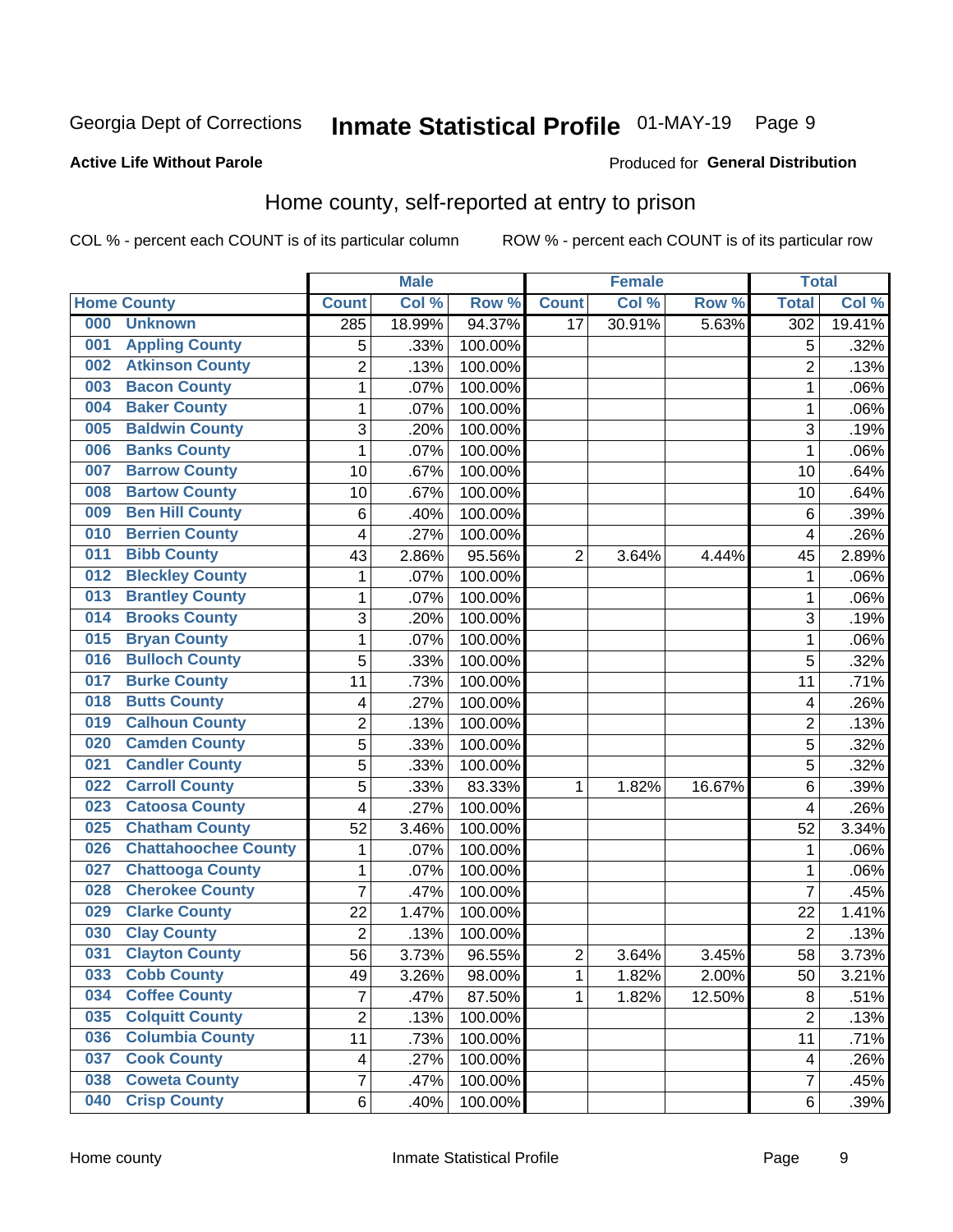## Inmate Statistical Profile 01-MAY-19 Page 9

#### **Active Life Without Parole**

#### Produced for General Distribution

### Home county, self-reported at entry to prison

COL % - percent each COUNT is of its particular column

|     |                             |                         | <b>Male</b> |         |                | <b>Female</b> |        | <b>Total</b>   |        |
|-----|-----------------------------|-------------------------|-------------|---------|----------------|---------------|--------|----------------|--------|
|     | <b>Home County</b>          | <b>Count</b>            | Col %       | Row %   | <b>Count</b>   | Col %         | Row %  | <b>Total</b>   | Col %  |
| 000 | <b>Unknown</b>              | 285                     | 18.99%      | 94.37%  | 17             | 30.91%        | 5.63%  | 302            | 19.41% |
| 001 | <b>Appling County</b>       | 5                       | .33%        | 100.00% |                |               |        | 5              | .32%   |
| 002 | <b>Atkinson County</b>      | $\overline{2}$          | .13%        | 100.00% |                |               |        | $\overline{2}$ | .13%   |
| 003 | <b>Bacon County</b>         | $\mathbf 1$             | .07%        | 100.00% |                |               |        | 1              | .06%   |
| 004 | <b>Baker County</b>         | $\mathbf{1}$            | .07%        | 100.00% |                |               |        | 1              | .06%   |
| 005 | <b>Baldwin County</b>       | 3                       | .20%        | 100.00% |                |               |        | 3              | .19%   |
| 006 | <b>Banks County</b>         | $\mathbf{1}$            | .07%        | 100.00% |                |               |        | 1              | .06%   |
| 007 | <b>Barrow County</b>        | 10                      | .67%        | 100.00% |                |               |        | 10             | .64%   |
| 008 | <b>Bartow County</b>        | 10                      | .67%        | 100.00% |                |               |        | 10             | .64%   |
| 009 | <b>Ben Hill County</b>      | 6                       | .40%        | 100.00% |                |               |        | 6              | .39%   |
| 010 | <b>Berrien County</b>       | 4                       | .27%        | 100.00% |                |               |        | $\overline{4}$ | .26%   |
| 011 | <b>Bibb County</b>          | 43                      | 2.86%       | 95.56%  | 2              | 3.64%         | 4.44%  | 45             | 2.89%  |
| 012 | <b>Bleckley County</b>      | 1                       | .07%        | 100.00% |                |               |        | 1              | .06%   |
| 013 | <b>Brantley County</b>      | $\mathbf 1$             | .07%        | 100.00% |                |               |        | 1              | .06%   |
| 014 | <b>Brooks County</b>        | 3                       | .20%        | 100.00% |                |               |        | 3              | .19%   |
| 015 | <b>Bryan County</b>         | $\mathbf 1$             | .07%        | 100.00% |                |               |        | 1              | .06%   |
| 016 | <b>Bulloch County</b>       | 5                       | .33%        | 100.00% |                |               |        | 5              | .32%   |
| 017 | <b>Burke County</b>         | 11                      | .73%        | 100.00% |                |               |        | 11             | .71%   |
| 018 | <b>Butts County</b>         | 4                       | .27%        | 100.00% |                |               |        | 4              | .26%   |
| 019 | <b>Calhoun County</b>       | $\overline{2}$          | .13%        | 100.00% |                |               |        | $\overline{2}$ | .13%   |
| 020 | <b>Camden County</b>        | 5                       | .33%        | 100.00% |                |               |        | 5              | .32%   |
| 021 | <b>Candler County</b>       | 5                       | .33%        | 100.00% |                |               |        | 5              | .32%   |
| 022 | <b>Carroll County</b>       | 5                       | .33%        | 83.33%  | 1              | 1.82%         | 16.67% | 6              | .39%   |
| 023 | <b>Catoosa County</b>       | 4                       | .27%        | 100.00% |                |               |        | 4              | .26%   |
| 025 | <b>Chatham County</b>       | 52                      | 3.46%       | 100.00% |                |               |        | 52             | 3.34%  |
| 026 | <b>Chattahoochee County</b> | $\mathbf 1$             | .07%        | 100.00% |                |               |        | 1              | .06%   |
| 027 | <b>Chattooga County</b>     | $\mathbf 1$             | .07%        | 100.00% |                |               |        | 1              | .06%   |
| 028 | <b>Cherokee County</b>      | $\overline{7}$          | .47%        | 100.00% |                |               |        | $\overline{7}$ | .45%   |
| 029 | <b>Clarke County</b>        | 22                      | 1.47%       | 100.00% |                |               |        | 22             | 1.41%  |
| 030 | <b>Clay County</b>          | $\overline{2}$          | .13%        | 100.00% |                |               |        | $\overline{2}$ | .13%   |
| 031 | <b>Clayton County</b>       | 56                      | 3.73%       | 96.55%  | $\overline{c}$ | 3.64%         | 3.45%  | 58             | 3.73%  |
| 033 | <b>Cobb County</b>          | 49                      | 3.26%       | 98.00%  | 1              | 1.82%         | 2.00%  | 50             | 3.21%  |
| 034 | <b>Coffee County</b>        | $\overline{7}$          | .47%        | 87.50%  | 1              | 1.82%         | 12.50% | 8              | .51%   |
| 035 | <b>Colquitt County</b>      | $\overline{2}$          | .13%        | 100.00% |                |               |        | $\overline{2}$ | .13%   |
| 036 | <b>Columbia County</b>      | 11                      | .73%        | 100.00% |                |               |        | 11             | .71%   |
| 037 | <b>Cook County</b>          | $\overline{\mathbf{4}}$ | .27%        | 100.00% |                |               |        | 4              | .26%   |
| 038 | <b>Coweta County</b>        | $\overline{7}$          | .47%        | 100.00% |                |               |        | 7              | .45%   |
| 040 | <b>Crisp County</b>         | 6                       | .40%        | 100.00% |                |               |        | 6              | .39%   |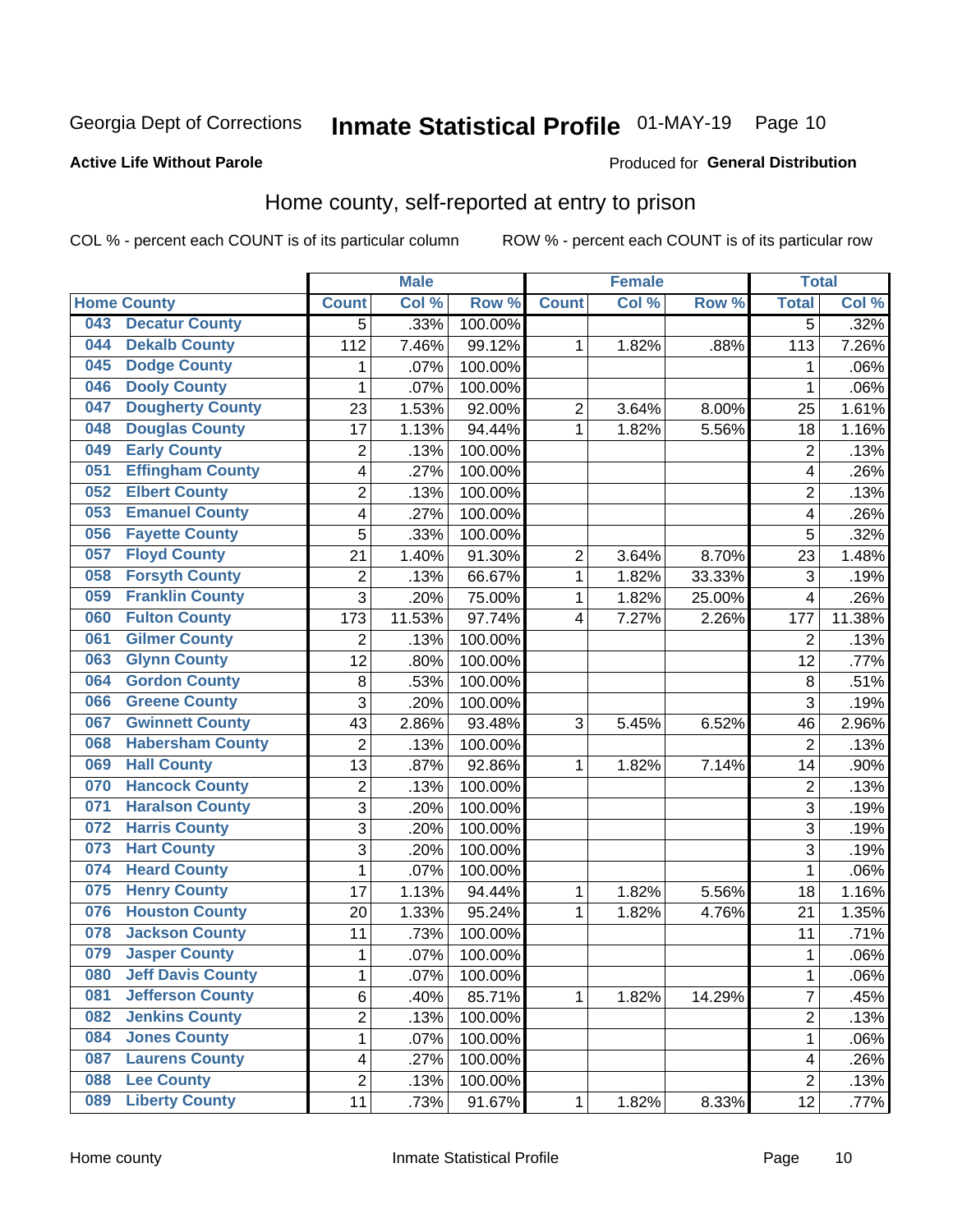## Inmate Statistical Profile 01-MAY-19 Page 10

#### **Active Life Without Parole**

#### Produced for General Distribution

### Home county, self-reported at entry to prison

COL % - percent each COUNT is of its particular column

|     |                          |                | <b>Male</b> |                  |                         | <b>Female</b> |        | <b>Total</b>   |        |
|-----|--------------------------|----------------|-------------|------------------|-------------------------|---------------|--------|----------------|--------|
|     | <b>Home County</b>       | <b>Count</b>   | Col %       | Row <sup>%</sup> | <b>Count</b>            | Col %         | Row %  | <b>Total</b>   | Col%   |
| 043 | <b>Decatur County</b>    | 5              | .33%        | 100.00%          |                         |               |        | 5              | .32%   |
| 044 | <b>Dekalb County</b>     | 112            | 7.46%       | 99.12%           | 1                       | 1.82%         | .88%   | 113            | 7.26%  |
| 045 | <b>Dodge County</b>      | 1              | .07%        | 100.00%          |                         |               |        | 1              | .06%   |
| 046 | <b>Dooly County</b>      | 1              | .07%        | 100.00%          |                         |               |        | 1              | .06%   |
| 047 | <b>Dougherty County</b>  | 23             | 1.53%       | 92.00%           | 2                       | 3.64%         | 8.00%  | 25             | 1.61%  |
| 048 | <b>Douglas County</b>    | 17             | 1.13%       | 94.44%           | 1                       | 1.82%         | 5.56%  | 18             | 1.16%  |
| 049 | <b>Early County</b>      | $\overline{2}$ | .13%        | 100.00%          |                         |               |        | $\overline{2}$ | .13%   |
| 051 | <b>Effingham County</b>  | 4              | .27%        | 100.00%          |                         |               |        | 4              | .26%   |
| 052 | <b>Elbert County</b>     | $\overline{2}$ | .13%        | 100.00%          |                         |               |        | $\overline{2}$ | .13%   |
| 053 | <b>Emanuel County</b>    | 4              | .27%        | 100.00%          |                         |               |        | 4              | .26%   |
| 056 | <b>Fayette County</b>    | 5              | .33%        | 100.00%          |                         |               |        | 5              | .32%   |
| 057 | <b>Floyd County</b>      | 21             | 1.40%       | 91.30%           | $\overline{\mathbf{c}}$ | 3.64%         | 8.70%  | 23             | 1.48%  |
| 058 | <b>Forsyth County</b>    | $\overline{2}$ | .13%        | 66.67%           | 1                       | 1.82%         | 33.33% | 3              | .19%   |
| 059 | <b>Franklin County</b>   | 3              | .20%        | 75.00%           | $\mathbf 1$             | 1.82%         | 25.00% | 4              | .26%   |
| 060 | <b>Fulton County</b>     | 173            | 11.53%      | 97.74%           | 4                       | 7.27%         | 2.26%  | 177            | 11.38% |
| 061 | <b>Gilmer County</b>     | $\overline{2}$ | .13%        | 100.00%          |                         |               |        | $\overline{2}$ | .13%   |
| 063 | <b>Glynn County</b>      | 12             | .80%        | 100.00%          |                         |               |        | 12             | .77%   |
| 064 | <b>Gordon County</b>     | 8              | .53%        | 100.00%          |                         |               |        | $\,8\,$        | .51%   |
| 066 | <b>Greene County</b>     | 3              | .20%        | 100.00%          |                         |               |        | 3              | .19%   |
| 067 | <b>Gwinnett County</b>   | 43             | 2.86%       | 93.48%           | 3                       | 5.45%         | 6.52%  | 46             | 2.96%  |
| 068 | <b>Habersham County</b>  | $\overline{2}$ | .13%        | 100.00%          |                         |               |        | $\overline{2}$ | .13%   |
| 069 | <b>Hall County</b>       | 13             | .87%        | 92.86%           | 1                       | 1.82%         | 7.14%  | 14             | .90%   |
| 070 | <b>Hancock County</b>    | $\overline{2}$ | .13%        | 100.00%          |                         |               |        | $\overline{2}$ | .13%   |
| 071 | <b>Haralson County</b>   | 3              | .20%        | 100.00%          |                         |               |        | 3              | .19%   |
| 072 | <b>Harris County</b>     | 3              | .20%        | 100.00%          |                         |               |        | 3              | .19%   |
| 073 | <b>Hart County</b>       | 3              | .20%        | 100.00%          |                         |               |        | 3              | .19%   |
| 074 | <b>Heard County</b>      | $\mathbf 1$    | .07%        | 100.00%          |                         |               |        | 1              | .06%   |
| 075 | <b>Henry County</b>      | 17             | 1.13%       | 94.44%           | 1                       | 1.82%         | 5.56%  | 18             | 1.16%  |
| 076 | <b>Houston County</b>    | 20             | 1.33%       | 95.24%           | 1                       | 1.82%         | 4.76%  | 21             | 1.35%  |
| 078 | <b>Jackson County</b>    | 11             | .73%        | 100.00%          |                         |               |        | 11             | .71%   |
| 079 | <b>Jasper County</b>     | 1              | .07%        | 100.00%          |                         |               |        | 1              | .06%   |
| 080 | <b>Jeff Davis County</b> | 1              | .07%        | 100.00%          |                         |               |        | 1              | .06%   |
| 081 | <b>Jefferson County</b>  | 6              | .40%        | 85.71%           | $\mathbf{1}$            | 1.82%         | 14.29% | $\overline{7}$ | .45%   |
| 082 | <b>Jenkins County</b>    | $\overline{2}$ | .13%        | 100.00%          |                         |               |        | $\overline{2}$ | .13%   |
| 084 | <b>Jones County</b>      | $\mathbf 1$    | .07%        | 100.00%          |                         |               |        | 1              | .06%   |
| 087 | <b>Laurens County</b>    | 4              | .27%        | 100.00%          |                         |               |        | 4              | .26%   |
| 088 | <b>Lee County</b>        | $\overline{c}$ | .13%        | 100.00%          |                         |               |        | $\overline{2}$ | .13%   |
| 089 | <b>Liberty County</b>    | 11             | .73%        | 91.67%           | 1                       | 1.82%         | 8.33%  | 12             | .77%   |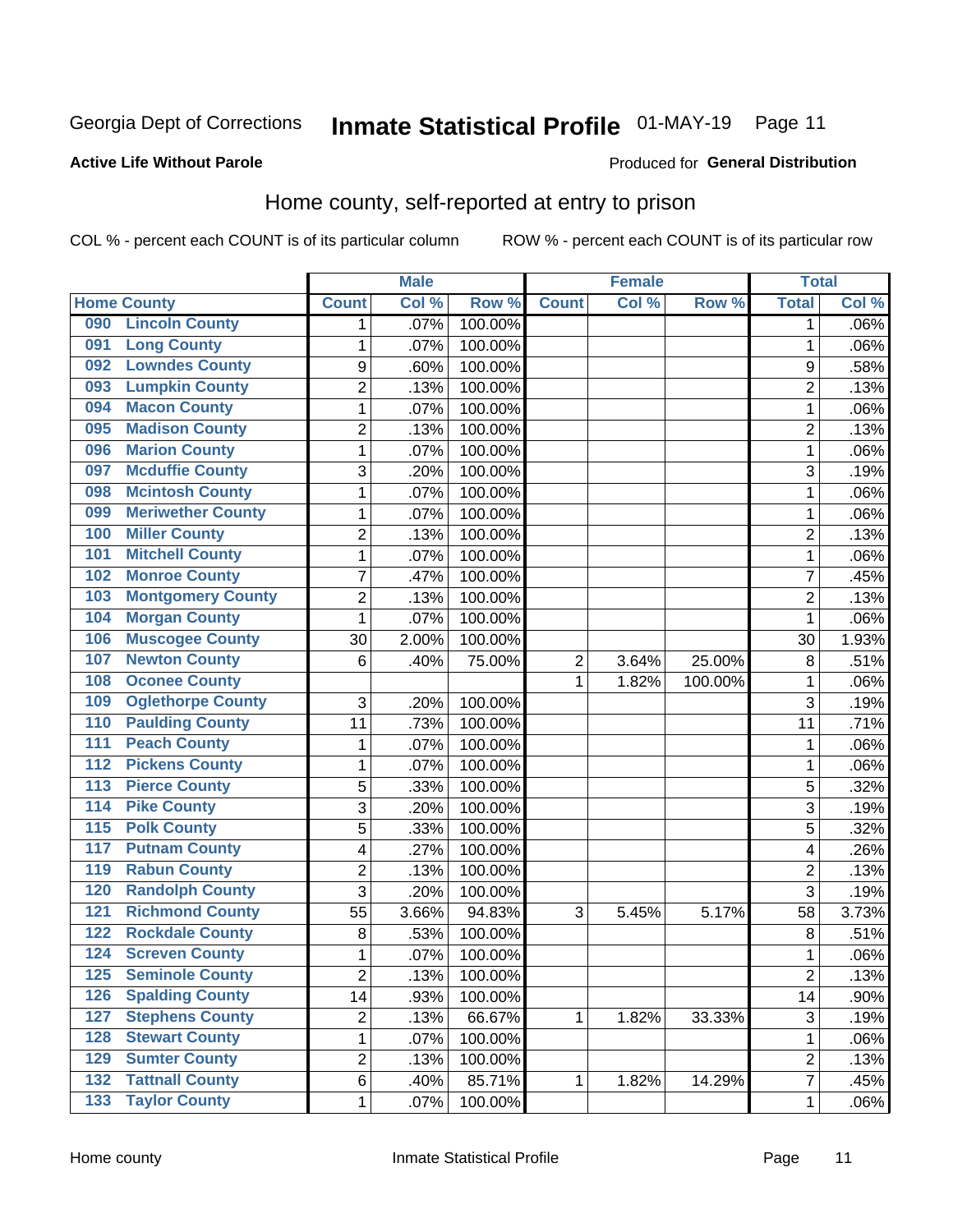## Inmate Statistical Profile 01-MAY-19 Page 11

#### **Active Life Without Parole**

#### Produced for General Distribution

### Home county, self-reported at entry to prison

COL % - percent each COUNT is of its particular column

|                  |                          |                | <b>Male</b> |         |                | <b>Female</b> |         | <b>Total</b>   |       |
|------------------|--------------------------|----------------|-------------|---------|----------------|---------------|---------|----------------|-------|
|                  | <b>Home County</b>       | <b>Count</b>   | Col %       | Row %   | <b>Count</b>   | Col%          | Row %   | <b>Total</b>   | Col % |
| 090              | <b>Lincoln County</b>    | 1              | .07%        | 100.00% |                |               |         | 1              | .06%  |
| 091              | <b>Long County</b>       | 1              | .07%        | 100.00% |                |               |         | 1              | .06%  |
| 092              | <b>Lowndes County</b>    | 9              | .60%        | 100.00% |                |               |         | 9              | .58%  |
| 093              | <b>Lumpkin County</b>    | $\overline{2}$ | .13%        | 100.00% |                |               |         | $\overline{2}$ | .13%  |
| 094              | <b>Macon County</b>      | $\mathbf 1$    | .07%        | 100.00% |                |               |         | 1              | .06%  |
| 095              | <b>Madison County</b>    | $\overline{2}$ | .13%        | 100.00% |                |               |         | $\overline{2}$ | .13%  |
| 096              | <b>Marion County</b>     | $\mathbf 1$    | .07%        | 100.00% |                |               |         | 1              | .06%  |
| 097              | <b>Mcduffie County</b>   | 3              | .20%        | 100.00% |                |               |         | 3              | .19%  |
| 098              | <b>Mcintosh County</b>   | $\mathbf 1$    | .07%        | 100.00% |                |               |         | 1              | .06%  |
| 099              | <b>Meriwether County</b> | $\mathbf 1$    | .07%        | 100.00% |                |               |         | 1              | .06%  |
| 100              | <b>Miller County</b>     | $\overline{c}$ | .13%        | 100.00% |                |               |         | 2              | .13%  |
| 101              | <b>Mitchell County</b>   | 1              | .07%        | 100.00% |                |               |         | 1              | .06%  |
| 102              | <b>Monroe County</b>     | 7              | .47%        | 100.00% |                |               |         | 7              | .45%  |
| 103              | <b>Montgomery County</b> | $\overline{c}$ | .13%        | 100.00% |                |               |         | $\overline{2}$ | .13%  |
| 104              | <b>Morgan County</b>     | $\mathbf{1}$   | .07%        | 100.00% |                |               |         | 1              | .06%  |
| 106              | <b>Muscogee County</b>   | 30             | 2.00%       | 100.00% |                |               |         | 30             | 1.93% |
| 107              | <b>Newton County</b>     | 6              | .40%        | 75.00%  | $\overline{2}$ | 3.64%         | 25.00%  | 8              | .51%  |
| 108              | <b>Oconee County</b>     |                |             |         | 1              | 1.82%         | 100.00% | 1              | .06%  |
| 109              | <b>Oglethorpe County</b> | 3              | .20%        | 100.00% |                |               |         | 3              | .19%  |
| 110              | <b>Paulding County</b>   | 11             | .73%        | 100.00% |                |               |         | 11             | .71%  |
| 111              | <b>Peach County</b>      | $\mathbf 1$    | .07%        | 100.00% |                |               |         | 1              | .06%  |
| $\overline{112}$ | <b>Pickens County</b>    | $\mathbf 1$    | .07%        | 100.00% |                |               |         | 1              | .06%  |
| 113              | <b>Pierce County</b>     | 5              | .33%        | 100.00% |                |               |         | 5              | .32%  |
| 114              | <b>Pike County</b>       | 3              | .20%        | 100.00% |                |               |         | 3              | .19%  |
| $\overline{115}$ | <b>Polk County</b>       | 5              | .33%        | 100.00% |                |               |         | 5              | .32%  |
| 117              | <b>Putnam County</b>     | 4              | .27%        | 100.00% |                |               |         | 4              | .26%  |
| 119              | <b>Rabun County</b>      | $\overline{2}$ | .13%        | 100.00% |                |               |         | $\overline{2}$ | .13%  |
| 120              | <b>Randolph County</b>   | 3              | .20%        | 100.00% |                |               |         | 3              | .19%  |
| 121              | <b>Richmond County</b>   | 55             | 3.66%       | 94.83%  | 3              | 5.45%         | 5.17%   | 58             | 3.73% |
| 122              | <b>Rockdale County</b>   | 8              | .53%        | 100.00% |                |               |         | $\,8\,$        | .51%  |
| 124              | <b>Screven County</b>    | $\mathbf 1$    | .07%        | 100.00% |                |               |         | 1              | .06%  |
| 125              | <b>Seminole County</b>   | 2              | .13%        | 100.00% |                |               |         | 2              | .13%  |
| 126              | <b>Spalding County</b>   | 14             | .93%        | 100.00% |                |               |         | 14             | .90%  |
| 127              | <b>Stephens County</b>   | $\overline{c}$ | .13%        | 66.67%  | 1              | 1.82%         | 33.33%  | $\mathfrak{S}$ | .19%  |
| 128              | <b>Stewart County</b>    | $\mathbf{1}$   | .07%        | 100.00% |                |               |         | 1              | .06%  |
| 129              | <b>Sumter County</b>     | $\overline{c}$ | .13%        | 100.00% |                |               |         | 2              | .13%  |
| $\overline{132}$ | <b>Tattnall County</b>   | 6              | .40%        | 85.71%  | 1              | 1.82%         | 14.29%  | 7              | .45%  |
| $\overline{133}$ | <b>Taylor County</b>     | 1              | .07%        | 100.00% |                |               |         | 1              | .06%  |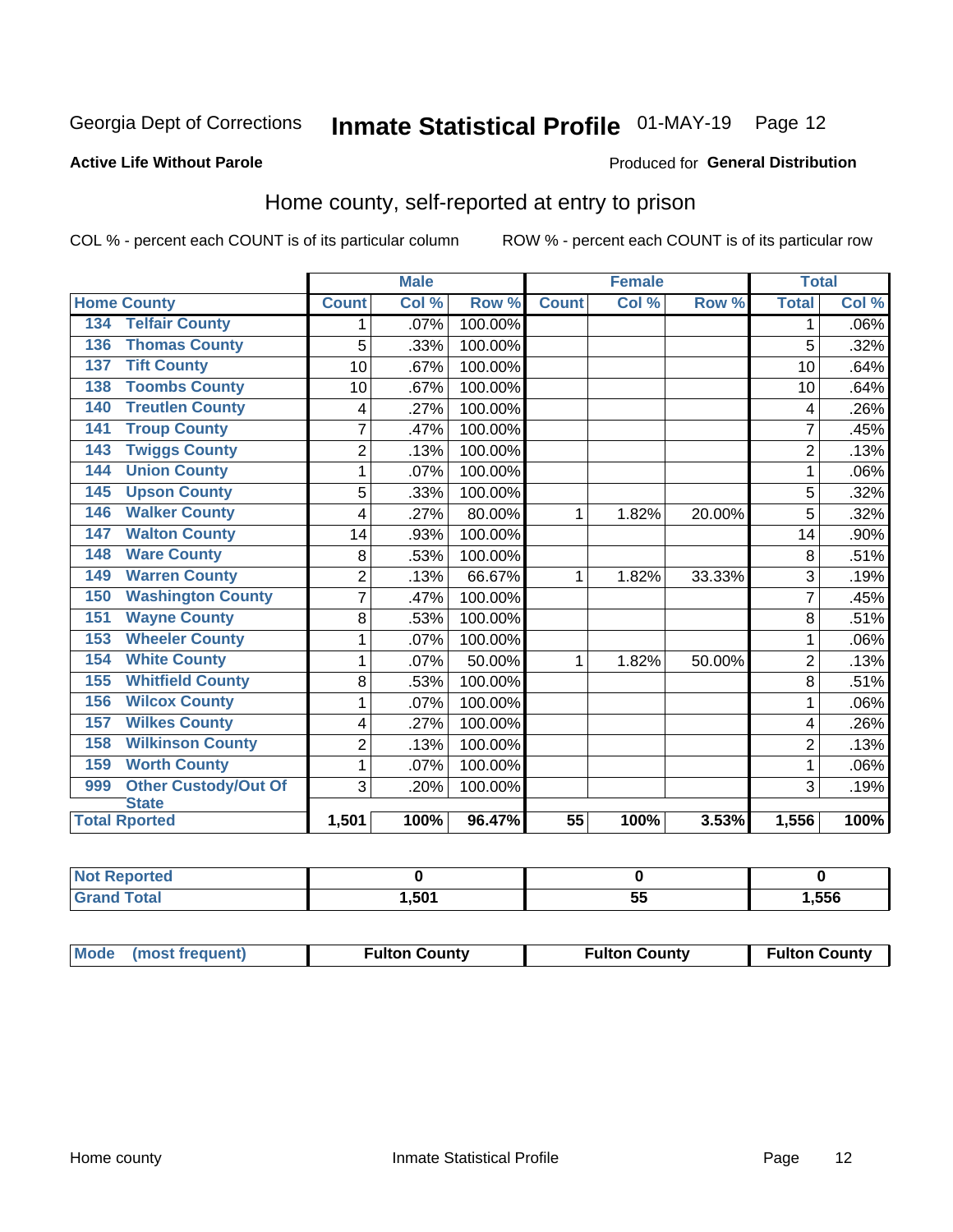## Inmate Statistical Profile 01-MAY-19 Page 12

#### **Active Life Without Parole**

#### Produced for General Distribution

### Home county, self-reported at entry to prison

COL % - percent each COUNT is of its particular column

|                                    |                | <b>Male</b> |         | <b>Female</b>   |       | <b>Total</b> |                |         |
|------------------------------------|----------------|-------------|---------|-----------------|-------|--------------|----------------|---------|
| <b>Home County</b>                 | <b>Count</b>   | Col %       | Row %   | <b>Count</b>    | Col % | Row %        | <b>Total</b>   | Col %   |
| <b>Telfair County</b><br>134       | 1              | .07%        | 100.00% |                 |       |              | 1              | $.06\%$ |
| <b>Thomas County</b><br>136        | 5              | .33%        | 100.00% |                 |       |              | 5              | .32%    |
| <b>Tift County</b><br>137          | 10             | .67%        | 100.00% |                 |       |              | 10             | .64%    |
| <b>Toombs County</b><br>138        | 10             | .67%        | 100.00% |                 |       |              | 10             | .64%    |
| <b>Treutlen County</b><br>140      | 4              | .27%        | 100.00% |                 |       |              | 4              | .26%    |
| <b>Troup County</b><br>141         | $\overline{7}$ | .47%        | 100.00% |                 |       |              | 7              | .45%    |
| <b>Twiggs County</b><br>143        | $\overline{2}$ | .13%        | 100.00% |                 |       |              | $\overline{2}$ | .13%    |
| <b>Union County</b><br>144         | 1              | .07%        | 100.00% |                 |       |              | 1              | .06%    |
| <b>Upson County</b><br>145         | 5              | .33%        | 100.00% |                 |       |              | 5              | .32%    |
| <b>Walker County</b><br>146        | 4              | .27%        | 80.00%  | 1               | 1.82% | 20.00%       | 5              | .32%    |
| <b>Walton County</b><br>147        | 14             | .93%        | 100.00% |                 |       |              | 14             | .90%    |
| <b>Ware County</b><br>148          | 8              | .53%        | 100.00% |                 |       |              | 8              | .51%    |
| <b>Warren County</b><br>149        | $\overline{2}$ | .13%        | 66.67%  | 1               | 1.82% | 33.33%       | 3              | .19%    |
| <b>Washington County</b><br>150    | 7              | .47%        | 100.00% |                 |       |              | 7              | .45%    |
| <b>Wayne County</b><br>151         | 8              | .53%        | 100.00% |                 |       |              | 8              | .51%    |
| <b>Wheeler County</b><br>153       | 1              | .07%        | 100.00% |                 |       |              | 1              | .06%    |
| <b>White County</b><br>154         | 1              | .07%        | 50.00%  | 1               | 1.82% | 50.00%       | $\overline{2}$ | .13%    |
| <b>Whitfield County</b><br>155     | 8              | .53%        | 100.00% |                 |       |              | 8              | .51%    |
| <b>Wilcox County</b><br>156        | 1              | .07%        | 100.00% |                 |       |              |                | .06%    |
| <b>Wilkes County</b><br>157        | 4              | .27%        | 100.00% |                 |       |              | 4              | .26%    |
| <b>Wilkinson County</b><br>158     | $\overline{2}$ | .13%        | 100.00% |                 |       |              | $\overline{2}$ | .13%    |
| <b>Worth County</b><br>159         | 1              | .07%        | 100.00% |                 |       |              | 1              | .06%    |
| <b>Other Custody/Out Of</b><br>999 | 3              | .20%        | 100.00% |                 |       |              | 3              | .19%    |
| <b>State</b>                       |                |             |         |                 |       |              |                |         |
| <b>Total Rported</b>               | 1,501          | 100%        | 96.47%  | $\overline{55}$ | 100%  | 3.53%        | 1,556          | 100%    |

| Reported<br><b>NOT</b> |                  |           |      |
|------------------------|------------------|-----------|------|
| <b>cotal</b>           | .50 <sup>4</sup> | <u>Ju</u> | .556 |

| Mode (most frequent) | <b>Fulton County</b> | <b>Fulton County</b> | <b>Fulton County</b> |
|----------------------|----------------------|----------------------|----------------------|
|----------------------|----------------------|----------------------|----------------------|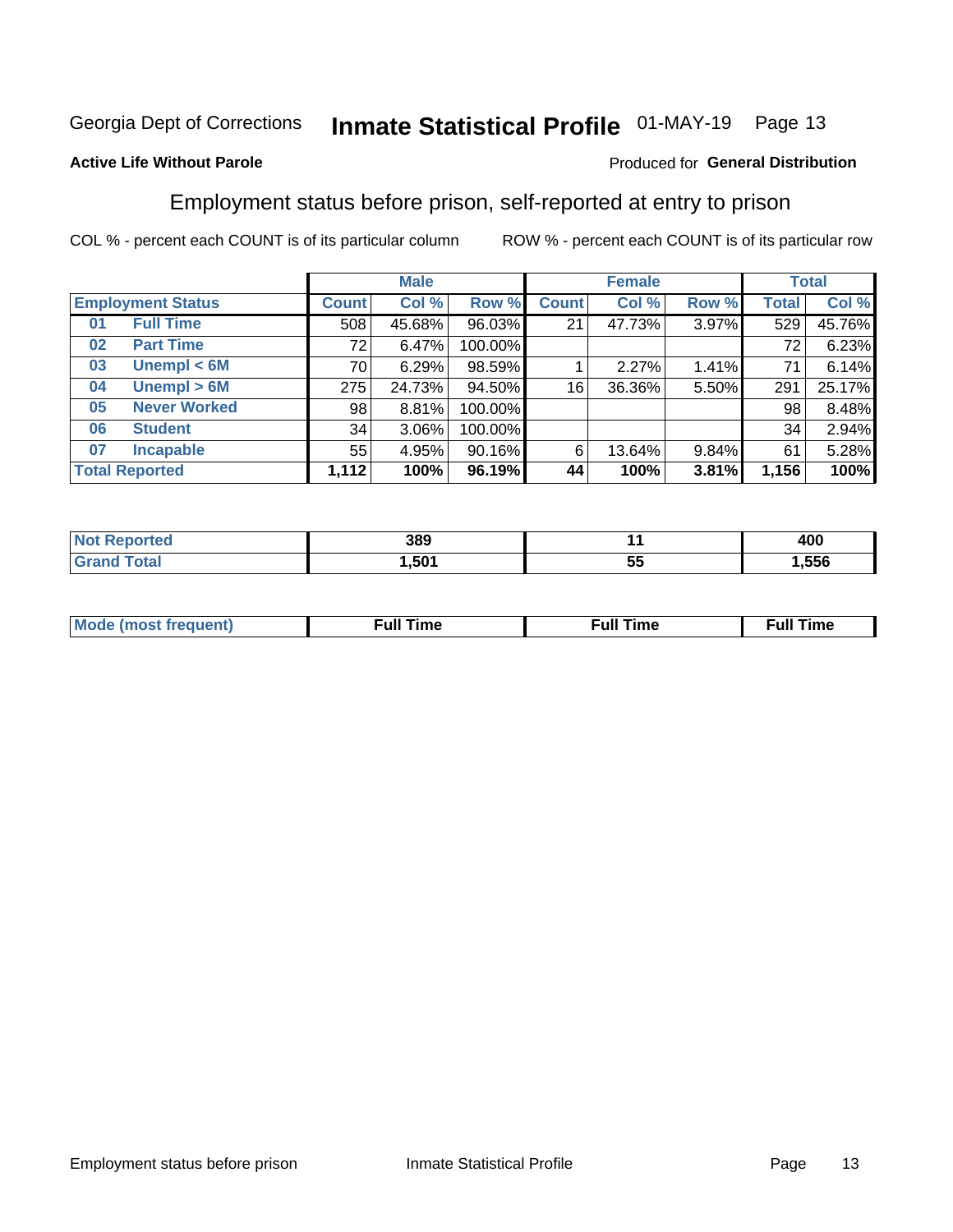## Inmate Statistical Profile 01-MAY-19 Page 13

#### **Active Life Without Parole**

#### Produced for General Distribution

### Employment status before prison, self-reported at entry to prison

COL % - percent each COUNT is of its particular column

|                           |              | <b>Male</b> |         |              | <b>Female</b> |       |       | <b>Total</b> |
|---------------------------|--------------|-------------|---------|--------------|---------------|-------|-------|--------------|
| <b>Employment Status</b>  | <b>Count</b> | Col %       | Row %   | <b>Count</b> | Col %         | Row % | Total | Col %        |
| <b>Full Time</b><br>01    | 508          | 45.68%      | 96.03%  | 21           | 47.73%        | 3.97% | 529   | 45.76%       |
| <b>Part Time</b><br>02    | 72           | 6.47%       | 100.00% |              |               |       | 72    | 6.23%        |
| Unempl $<$ 6M<br>03       | 70 l         | 6.29%       | 98.59%  |              | 2.27%         | 1.41% | 71    | 6.14%        |
| Unempl > 6M<br>04         | 275          | 24.73%      | 94.50%  | 16           | 36.36%        | 5.50% | 291   | 25.17%       |
| <b>Never Worked</b><br>05 | 98           | 8.81%       | 100.00% |              |               |       | 98    | 8.48%        |
| <b>Student</b><br>06      | 34           | $3.06\%$    | 100.00% |              |               |       | 34    | 2.94%        |
| <b>Incapable</b><br>07    | 55           | 4.95%       | 90.16%  | 6            | 13.64%        | 9.84% | 61    | 5.28%        |
| <b>Total Reported</b>     | 1,112        | 100%        | 96.19%  | 44           | 100%          | 3.81% | 1,156 | 100%         |

| 389<br>- - - |    | 400  |
|--------------|----|------|
| .501         | 5t | .556 |

| Mc | ∙u∥<br>----<br>ıme | ίuΙ<br>Πmε |
|----|--------------------|------------|
|    |                    |            |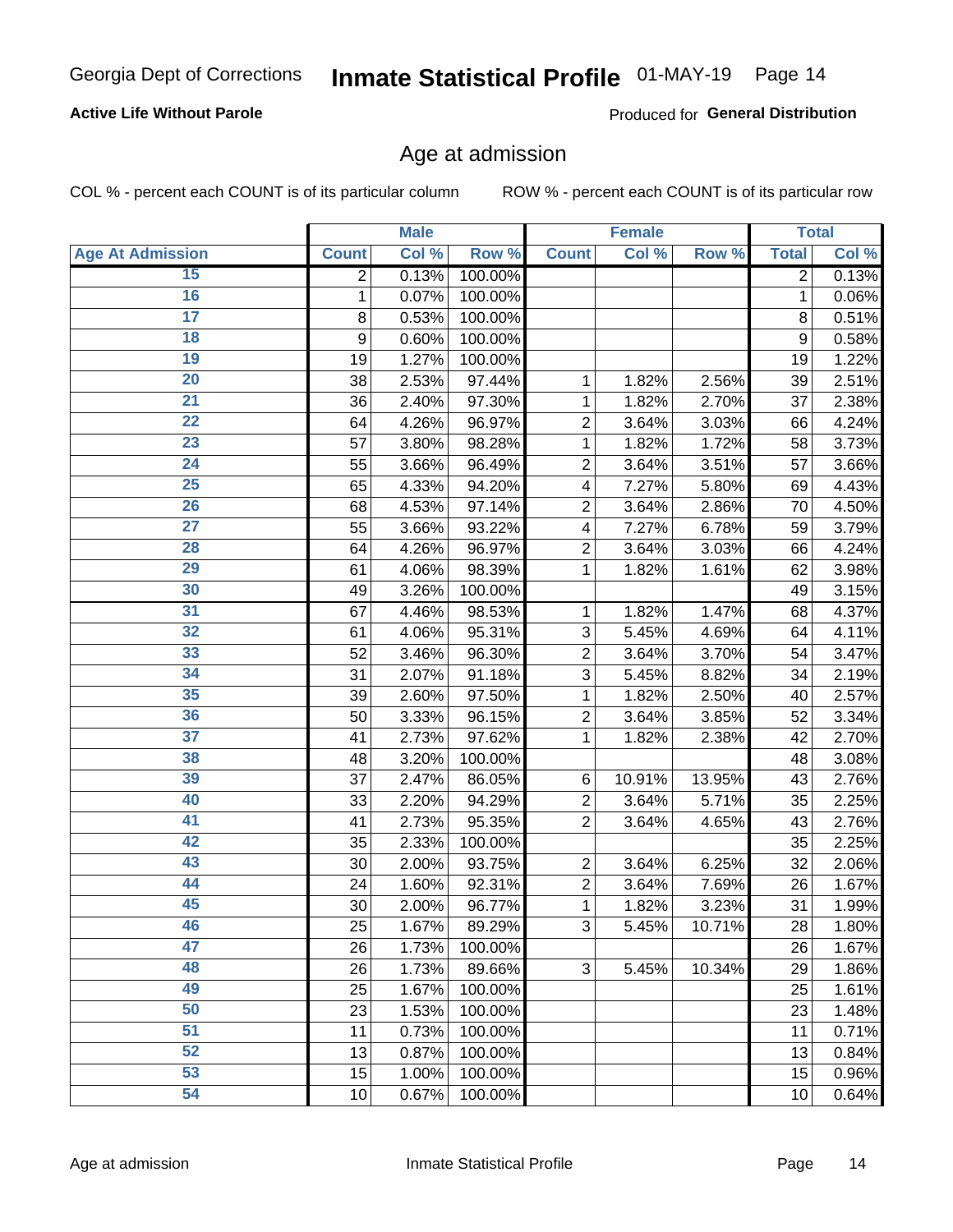#### **Active Life Without Parole**

Produced for General Distribution

### Age at admission

COL % - percent each COUNT is of its particular column

|                         |              | <b>Male</b> |         |                | <b>Female</b> |        |              | <b>Total</b> |
|-------------------------|--------------|-------------|---------|----------------|---------------|--------|--------------|--------------|
| <b>Age At Admission</b> | <b>Count</b> | Col %       | Row %   | <b>Count</b>   | Col %         | Row %  | <b>Total</b> | Col %        |
| 15                      | 2            | 0.13%       | 100.00% |                |               |        | 2            | 0.13%        |
| 16                      | 1            | 0.07%       | 100.00% |                |               |        | 1            | 0.06%        |
| $\overline{17}$         | 8            | 0.53%       | 100.00% |                |               |        | 8            | 0.51%        |
| 18                      | 9            | 0.60%       | 100.00% |                |               |        | 9            | 0.58%        |
| 19                      | 19           | 1.27%       | 100.00% |                |               |        | 19           | 1.22%        |
| $\overline{20}$         | 38           | 2.53%       | 97.44%  | 1              | 1.82%         | 2.56%  | 39           | 2.51%        |
| $\overline{21}$         | 36           | 2.40%       | 97.30%  | 1              | 1.82%         | 2.70%  | 37           | 2.38%        |
| 22                      | 64           | 4.26%       | 96.97%  | $\overline{2}$ | 3.64%         | 3.03%  | 66           | 4.24%        |
| 23                      | 57           | 3.80%       | 98.28%  | 1              | 1.82%         | 1.72%  | 58           | 3.73%        |
| 24                      | 55           | 3.66%       | 96.49%  | $\overline{2}$ | 3.64%         | 3.51%  | 57           | 3.66%        |
| $\overline{25}$         | 65           | 4.33%       | 94.20%  | 4              | 7.27%         | 5.80%  | 69           | 4.43%        |
| 26                      | 68           | 4.53%       | 97.14%  | $\overline{2}$ | 3.64%         | 2.86%  | 70           | 4.50%        |
| $\overline{27}$         | 55           | 3.66%       | 93.22%  | 4              | 7.27%         | 6.78%  | 59           | 3.79%        |
| 28                      | 64           | 4.26%       | 96.97%  | $\overline{2}$ | 3.64%         | 3.03%  | 66           | 4.24%        |
| 29                      | 61           | 4.06%       | 98.39%  | 1              | 1.82%         | 1.61%  | 62           | 3.98%        |
| 30                      | 49           | 3.26%       | 100.00% |                |               |        | 49           | 3.15%        |
| 31                      | 67           | 4.46%       | 98.53%  | 1              | 1.82%         | 1.47%  | 68           | 4.37%        |
| 32                      | 61           | 4.06%       | 95.31%  | 3              | 5.45%         | 4.69%  | 64           | 4.11%        |
| 33                      | 52           | 3.46%       | 96.30%  | $\overline{2}$ | 3.64%         | 3.70%  | 54           | 3.47%        |
| 34                      | 31           | 2.07%       | 91.18%  | 3              | 5.45%         | 8.82%  | 34           | 2.19%        |
| 35                      | 39           | 2.60%       | 97.50%  | 1              | 1.82%         | 2.50%  | 40           | 2.57%        |
| 36                      | 50           | 3.33%       | 96.15%  | $\overline{2}$ | 3.64%         | 3.85%  | 52           | 3.34%        |
| $\overline{37}$         | 41           | 2.73%       | 97.62%  | 1              | 1.82%         | 2.38%  | 42           | 2.70%        |
| 38                      | 48           | 3.20%       | 100.00% |                |               |        | 48           | 3.08%        |
| 39                      | 37           | 2.47%       | 86.05%  | 6              | 10.91%        | 13.95% | 43           | 2.76%        |
| 40                      | 33           | 2.20%       | 94.29%  | $\overline{2}$ | 3.64%         | 5.71%  | 35           | 2.25%        |
| 41                      | 41           | 2.73%       | 95.35%  | $\overline{2}$ | 3.64%         | 4.65%  | 43           | 2.76%        |
| 42                      | 35           | 2.33%       | 100.00% |                |               |        | 35           | 2.25%        |
| 43                      | 30           | 2.00%       | 93.75%  | $\overline{2}$ | 3.64%         | 6.25%  | 32           | 2.06%        |
| 44                      | 24           | 1.60%       | 92.31%  | $\overline{2}$ | 3.64%         | 7.69%  | 26           | 1.67%        |
| 45                      | 30           | 2.00%       | 96.77%  | 1              | 1.82%         | 3.23%  | 31           | 1.99%        |
| 46                      | 25           | 1.67%       | 89.29%  | 3              | 5.45%         | 10.71% | 28           | 1.80%        |
| 47                      | 26           | 1.73%       | 100.00% |                |               |        | 26           | 1.67%        |
| 48                      | 26           | 1.73%       | 89.66%  | 3              | 5.45%         | 10.34% | 29           | 1.86%        |
| 49                      | 25           | 1.67%       | 100.00% |                |               |        | 25           | 1.61%        |
| 50                      | 23           | 1.53%       | 100.00% |                |               |        | 23           | 1.48%        |
| $\overline{51}$         | 11           | 0.73%       | 100.00% |                |               |        | 11           | 0.71%        |
| 52                      | 13           | 0.87%       | 100.00% |                |               |        | 13           | 0.84%        |
| 53                      | 15           | 1.00%       | 100.00% |                |               |        | 15           | 0.96%        |
| 54                      | 10           | 0.67%       | 100.00% |                |               |        | 10           | 0.64%        |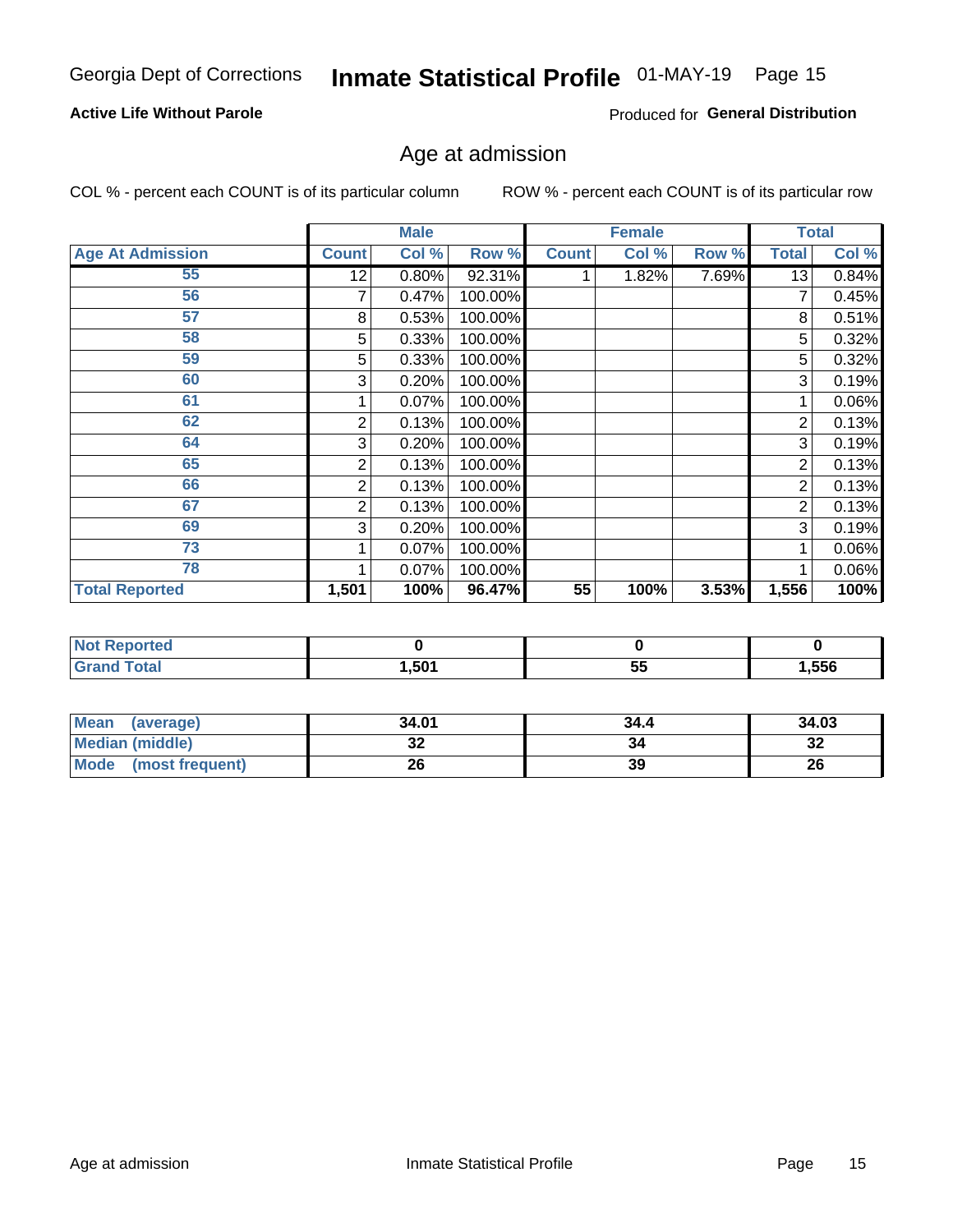#### **Active Life Without Parole**

Produced for General Distribution

## Age at admission

COL % - percent each COUNT is of its particular column

|                         |              | <b>Male</b> |         |              | <b>Female</b> |       |       | <b>Total</b> |
|-------------------------|--------------|-------------|---------|--------------|---------------|-------|-------|--------------|
| <b>Age At Admission</b> | <b>Count</b> | Col %       | Row %   | <b>Count</b> | Col %         | Row % | Total | Col %        |
| 55                      | 12           | 0.80%       | 92.31%  |              | 1.82%         | 7.69% | 13    | 0.84%        |
| 56                      | 7            | 0.47%       | 100.00% |              |               |       |       | 0.45%        |
| 57                      | 8            | 0.53%       | 100.00% |              |               |       | 8     | 0.51%        |
| 58                      | 5            | 0.33%       | 100.00% |              |               |       | 5     | 0.32%        |
| 59                      | 5            | 0.33%       | 100.00% |              |               |       | 5     | 0.32%        |
| 60                      | 3            | 0.20%       | 100.00% |              |               |       | 3     | 0.19%        |
| 61                      |              | 0.07%       | 100.00% |              |               |       |       | 0.06%        |
| 62                      | 2            | 0.13%       | 100.00% |              |               |       | 2     | 0.13%        |
| 64                      | 3            | 0.20%       | 100.00% |              |               |       | 3     | 0.19%        |
| 65                      | 2            | 0.13%       | 100.00% |              |               |       | 2     | 0.13%        |
| 66                      | 2            | 0.13%       | 100.00% |              |               |       | 2     | 0.13%        |
| 67                      | 2            | 0.13%       | 100.00% |              |               |       | 2     | 0.13%        |
| 69                      | 3            | 0.20%       | 100.00% |              |               |       | 3     | 0.19%        |
| 73                      |              | 0.07%       | 100.00% |              |               |       |       | 0.06%        |
| 78                      |              | 0.07%       | 100.00% |              |               |       |       | 0.06%        |
| <b>Total Reported</b>   | 1,501        | 100%        | 96.47%  | 55           | 100%          | 3.53% | 1,556 | 100%         |

| : Reported<br><b>NOT</b> |            |          |       |
|--------------------------|------------|----------|-------|
| <b>Total</b>             | 501<br>⋯∪∪ | 55<br>v. | 1,556 |

| <b>Mean</b><br>(average) | 34.01   | 34.4 | 34.03   |
|--------------------------|---------|------|---------|
| <b>Median (middle)</b>   | ົ<br>JZ | 34   | ົ<br>∠ت |
| Mode<br>(most frequent)  | 26      | 39   | 26      |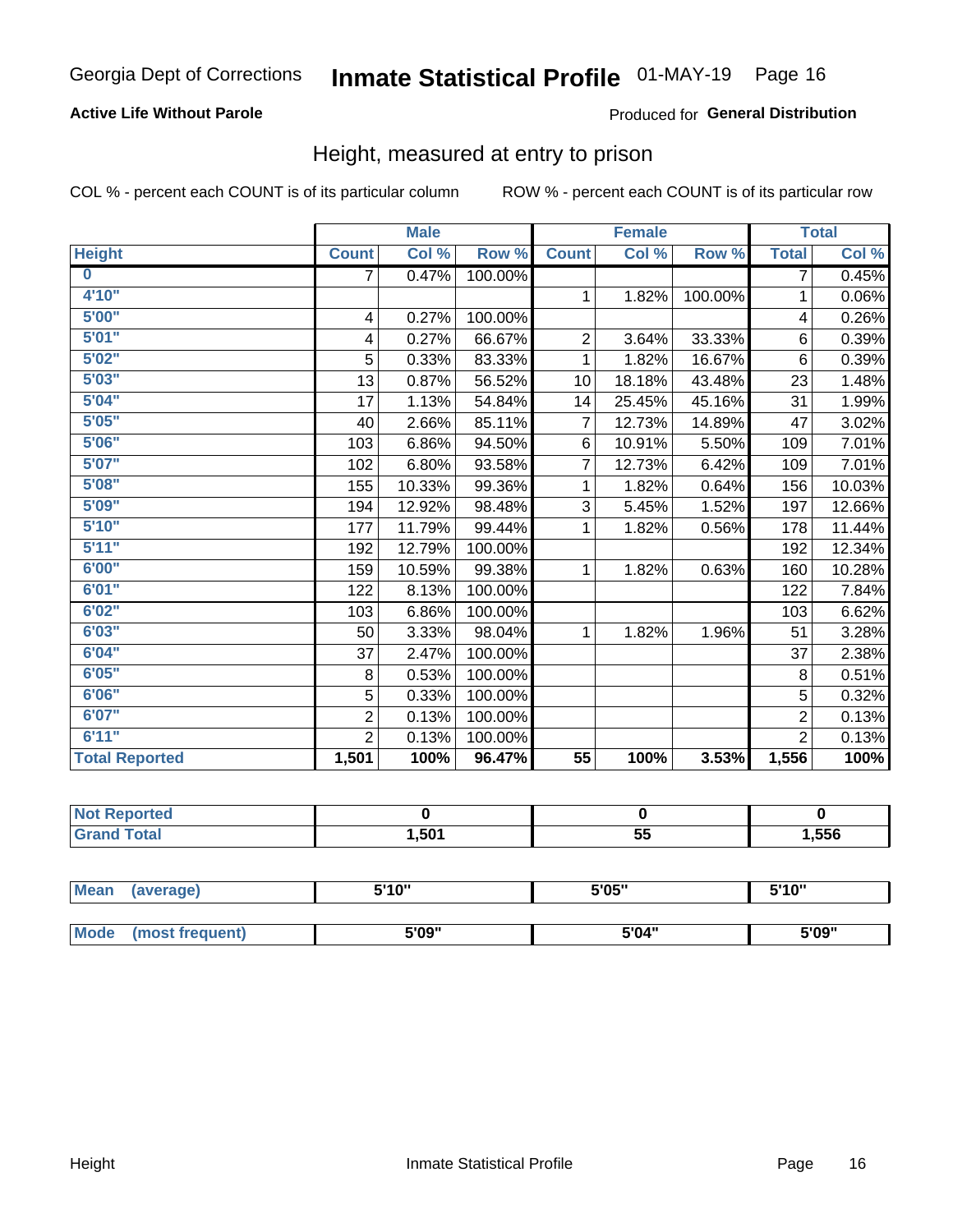#### **Active Life Without Parole**

#### Produced for General Distribution

### Height, measured at entry to prison

COL % - percent each COUNT is of its particular column

|                       |                | <b>Male</b> |         |                | <b>Female</b> |         |                | <b>Total</b> |
|-----------------------|----------------|-------------|---------|----------------|---------------|---------|----------------|--------------|
| <b>Height</b>         | <b>Count</b>   | Col %       | Row %   | <b>Count</b>   | Col %         | Row %   | <b>Total</b>   | Col %        |
| $\bf{0}$              | 7              | 0.47%       | 100.00% |                |               |         | 7              | 0.45%        |
| 4'10''                |                |             |         | $\mathbf{1}$   | 1.82%         | 100.00% | 1              | 0.06%        |
| 5'00''                | 4              | 0.27%       | 100.00% |                |               |         | 4              | 0.26%        |
| 5'01"                 | 4              | 0.27%       | 66.67%  | $\overline{c}$ | 3.64%         | 33.33%  | 6              | 0.39%        |
| 5'02"                 | 5              | 0.33%       | 83.33%  | 1              | 1.82%         | 16.67%  | $6\phantom{1}$ | 0.39%        |
| 5'03''                | 13             | 0.87%       | 56.52%  | 10             | 18.18%        | 43.48%  | 23             | 1.48%        |
| 5'04"                 | 17             | 1.13%       | 54.84%  | 14             | 25.45%        | 45.16%  | 31             | 1.99%        |
| 5'05"                 | 40             | 2.66%       | 85.11%  | $\overline{7}$ | 12.73%        | 14.89%  | 47             | 3.02%        |
| 5'06''                | 103            | 6.86%       | 94.50%  | 6              | 10.91%        | 5.50%   | 109            | 7.01%        |
| 5'07''                | 102            | 6.80%       | 93.58%  | 7              | 12.73%        | 6.42%   | 109            | 7.01%        |
| 5'08''                | 155            | 10.33%      | 99.36%  | 1              | 1.82%         | 0.64%   | 156            | 10.03%       |
| 5'09''                | 194            | 12.92%      | 98.48%  | 3              | 5.45%         | 1.52%   | 197            | 12.66%       |
| 5'10''                | 177            | 11.79%      | 99.44%  | 1              | 1.82%         | 0.56%   | 178            | 11.44%       |
| 5'11"                 | 192            | 12.79%      | 100.00% |                |               |         | 192            | 12.34%       |
| 6'00''                | 159            | 10.59%      | 99.38%  | $\mathbf{1}$   | 1.82%         | 0.63%   | 160            | 10.28%       |
| 6'01''                | 122            | 8.13%       | 100.00% |                |               |         | 122            | 7.84%        |
| 6'02"                 | 103            | 6.86%       | 100.00% |                |               |         | 103            | 6.62%        |
| 6'03''                | 50             | 3.33%       | 98.04%  | $\mathbf{1}$   | 1.82%         | 1.96%   | 51             | 3.28%        |
| 6'04"                 | 37             | 2.47%       | 100.00% |                |               |         | 37             | 2.38%        |
| 6'05"                 | 8              | 0.53%       | 100.00% |                |               |         | 8              | 0.51%        |
| 6'06''                | 5              | 0.33%       | 100.00% |                |               |         | 5              | 0.32%        |
| 6'07''                | $\overline{2}$ | 0.13%       | 100.00% |                |               |         | $\overline{2}$ | 0.13%        |
| 6'11''                | $\overline{2}$ | 0.13%       | 100.00% |                |               |         | $\overline{2}$ | 0.13%        |
| <b>Total Reported</b> | 1,501          | 100%        | 96.47%  | 55             | 100%          | 3.53%   | 1,556          | 100%         |

| тео<br>m. |      |           |       |
|-----------|------|-----------|-------|
|           | .501 | FБ<br>vv. | 556,، |

| <b>Mean</b> | (average)       | 5'10" | 5'05" | 5'10" |  |
|-------------|-----------------|-------|-------|-------|--|
|             |                 |       |       |       |  |
| Mode        | (most frequent) | 5'09" | 5'04" | 5'09" |  |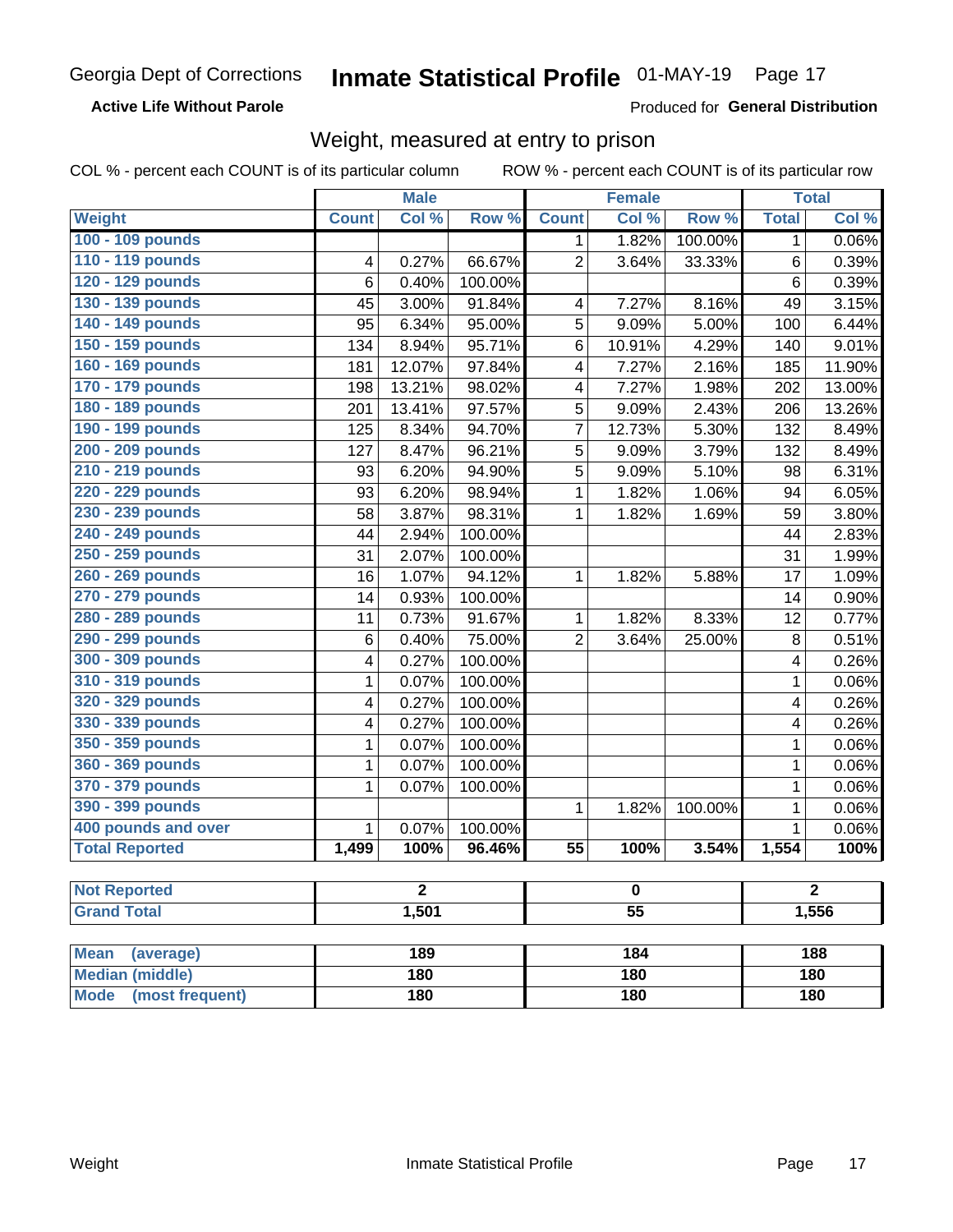#### **Active Life Without Parole**

Produced for General Distribution

### Weight, measured at entry to prison

COL % - percent each COUNT is of its particular column

|                                |              | <b>Male</b> |         |                 | <b>Female</b> |         |              | <b>Total</b>        |  |
|--------------------------------|--------------|-------------|---------|-----------------|---------------|---------|--------------|---------------------|--|
| <b>Weight</b>                  | <b>Count</b> | Col %       | Row %   | <b>Count</b>    | Col %         | Row %   | <b>Total</b> | Col %               |  |
| 100 - 109 pounds               |              |             |         | 1               | 1.82%         | 100.00% | 1            | 0.06%               |  |
| 110 - 119 pounds               | 4            | 0.27%       | 66.67%  | $\overline{2}$  | 3.64%         | 33.33%  | 6            | 0.39%               |  |
| 120 - 129 pounds               | 6            | 0.40%       | 100.00% |                 |               |         | 6            | 0.39%               |  |
| 130 - 139 pounds               | 45           | 3.00%       | 91.84%  | 4               | 7.27%         | 8.16%   | 49           | 3.15%               |  |
| 140 - 149 pounds               | 95           | 6.34%       | 95.00%  | 5               | 9.09%         | 5.00%   | 100          | 6.44%               |  |
| 150 - 159 pounds               | 134          | 8.94%       | 95.71%  | 6               | 10.91%        | 4.29%   | 140          | 9.01%               |  |
| 160 - 169 pounds               | 181          | 12.07%      | 97.84%  | 4               | 7.27%         | 2.16%   | 185          | 11.90%              |  |
| 170 - 179 pounds               | 198          | 13.21%      | 98.02%  | 4               | 7.27%         | 1.98%   | 202          | 13.00%              |  |
| 180 - 189 pounds               | 201          | 13.41%      | 97.57%  | 5               | 9.09%         | 2.43%   | 206          | 13.26%              |  |
| 190 - 199 pounds               | 125          | 8.34%       | 94.70%  | 7               | 12.73%        | 5.30%   | 132          | 8.49%               |  |
| 200 - 209 pounds               | 127          | 8.47%       | 96.21%  | 5               | 9.09%         | 3.79%   | 132          | 8.49%               |  |
| 210 - 219 pounds               | 93           | 6.20%       | 94.90%  | 5               | 9.09%         | 5.10%   | 98           | 6.31%               |  |
| 220 - 229 pounds               | 93           | 6.20%       | 98.94%  | 1               | 1.82%         | 1.06%   | 94           | 6.05%               |  |
| 230 - 239 pounds               | 58           | 3.87%       | 98.31%  | 1               | 1.82%         | 1.69%   | 59           | 3.80%               |  |
| 240 - 249 pounds               | 44           | 2.94%       | 100.00% |                 |               |         | 44           | 2.83%               |  |
| 250 - 259 pounds               | 31           | 2.07%       | 100.00% |                 |               |         | 31           | 1.99%               |  |
| 260 - 269 pounds               | 16           | 1.07%       | 94.12%  | 1               | 1.82%         | 5.88%   | 17           | $\overline{1.09\%}$ |  |
| 270 - 279 pounds               | 14           | 0.93%       | 100.00% |                 |               |         | 14           | 0.90%               |  |
| 280 - 289 pounds               | 11           | 0.73%       | 91.67%  | 1               | 1.82%         | 8.33%   | 12           | 0.77%               |  |
| 290 - 299 pounds               | 6            | 0.40%       | 75.00%  | $\overline{2}$  | 3.64%         | 25.00%  | 8            | 0.51%               |  |
| 300 - 309 pounds               | 4            | 0.27%       | 100.00% |                 |               |         | 4            | 0.26%               |  |
| 310 - 319 pounds               | 1            | 0.07%       | 100.00% |                 |               |         | $\mathbf 1$  | 0.06%               |  |
| 320 - 329 pounds               | 4            | 0.27%       | 100.00% |                 |               |         | 4            | 0.26%               |  |
| 330 - 339 pounds               | 4            | 0.27%       | 100.00% |                 |               |         | 4            | 0.26%               |  |
| 350 - 359 pounds               | 1            | 0.07%       | 100.00% |                 |               |         | 1            | 0.06%               |  |
| 360 - 369 pounds               | 1            | 0.07%       | 100.00% |                 |               |         | $\mathbf 1$  | 0.06%               |  |
| 370 - 379 pounds               | 1            | 0.07%       | 100.00% |                 |               |         | 1            | 0.06%               |  |
| 390 - 399 pounds               |              |             |         | 1               | 1.82%         | 100.00% | 1            | 0.06%               |  |
| 400 pounds and over            | $\mathbf{1}$ | 0.07%       | 100.00% |                 |               |         | $\mathbf 1$  | 0.06%               |  |
| <b>Total Reported</b>          | 1,499        | 100%        | 96.46%  | $\overline{55}$ | 100%          | 3.54%   | 1,554        | 100%                |  |
|                                |              |             |         |                 |               |         |              |                     |  |
| <b>Not Reported</b>            |              | 2           |         |                 | o             |         |              | 2                   |  |
| <b>Grand Total</b>             |              | 1,501       |         | $\overline{55}$ |               |         |              | 1,556               |  |
|                                |              |             |         |                 |               |         |              |                     |  |
| <b>Mean</b><br>(average)       |              | 189         |         |                 | 184           |         |              | 188                 |  |
| <b>Median (middle)</b>         |              | 180         |         |                 | 180           |         |              | 180                 |  |
| <b>Mode</b><br>(most frequent) |              | 180         |         | 180             |               |         | <b>180</b>   |                     |  |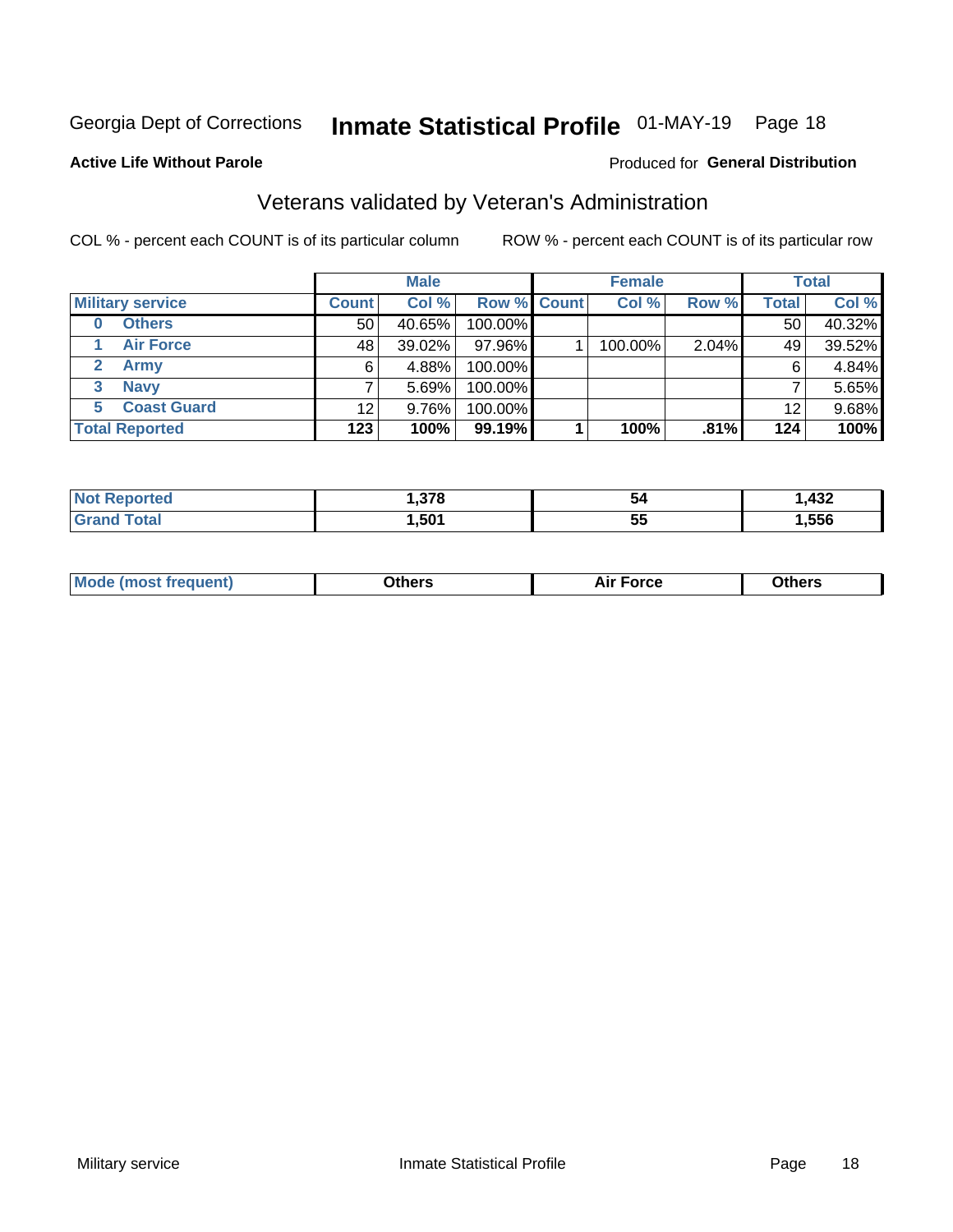## Inmate Statistical Profile 01-MAY-19 Page 18

#### **Active Life Without Parole**

#### Produced for General Distribution

### Veterans validated by Veteran's Administration

COL % - percent each COUNT is of its particular column

|                               |                 | <b>Male</b> |                    | <b>Female</b> |       |              | <b>Total</b> |
|-------------------------------|-----------------|-------------|--------------------|---------------|-------|--------------|--------------|
| <b>Military service</b>       | <b>Count</b>    | Col %       | <b>Row % Count</b> | Col %         | Row % | <b>Total</b> | Col %        |
| <b>Others</b>                 | 50 <sub>1</sub> | $40.65\%$   | 100.00%            |               |       | 50           | 40.32%       |
| <b>Air Force</b>              | 48              | 39.02%      | 97.96%             | 100.00%       | 2.04% | 49           | 39.52%       |
| $\mathbf{2}^-$<br><b>Army</b> | 6               | 4.88%       | 100.00%            |               |       | 6            | 4.84%        |
| <b>Navy</b><br>3              |                 | 5.69%       | 100.00%            |               |       |              | 5.65%        |
| <b>Coast Guard</b><br>5.      | 12              | 9.76%       | 100.00%            |               |       | 12           | 9.68%        |
| <b>Total Reported</b>         | 123             | 100%        | 99.19%             | 100%          | .81%  | 124          | 100%         |

| rrec<br>N | 270  | 54         | $\sqrt{2}$<br>−∪∸ |
|-----------|------|------------|-------------------|
| $f$ ata'  | .501 | --<br>. სა | ,556              |

| Mo<br>m | ∖‡h∧rc<br>_____ | $-0.002$<br>28 F T<br>UI CE | <b>Others</b><br>____ |
|---------|-----------------|-----------------------------|-----------------------|
|         |                 |                             |                       |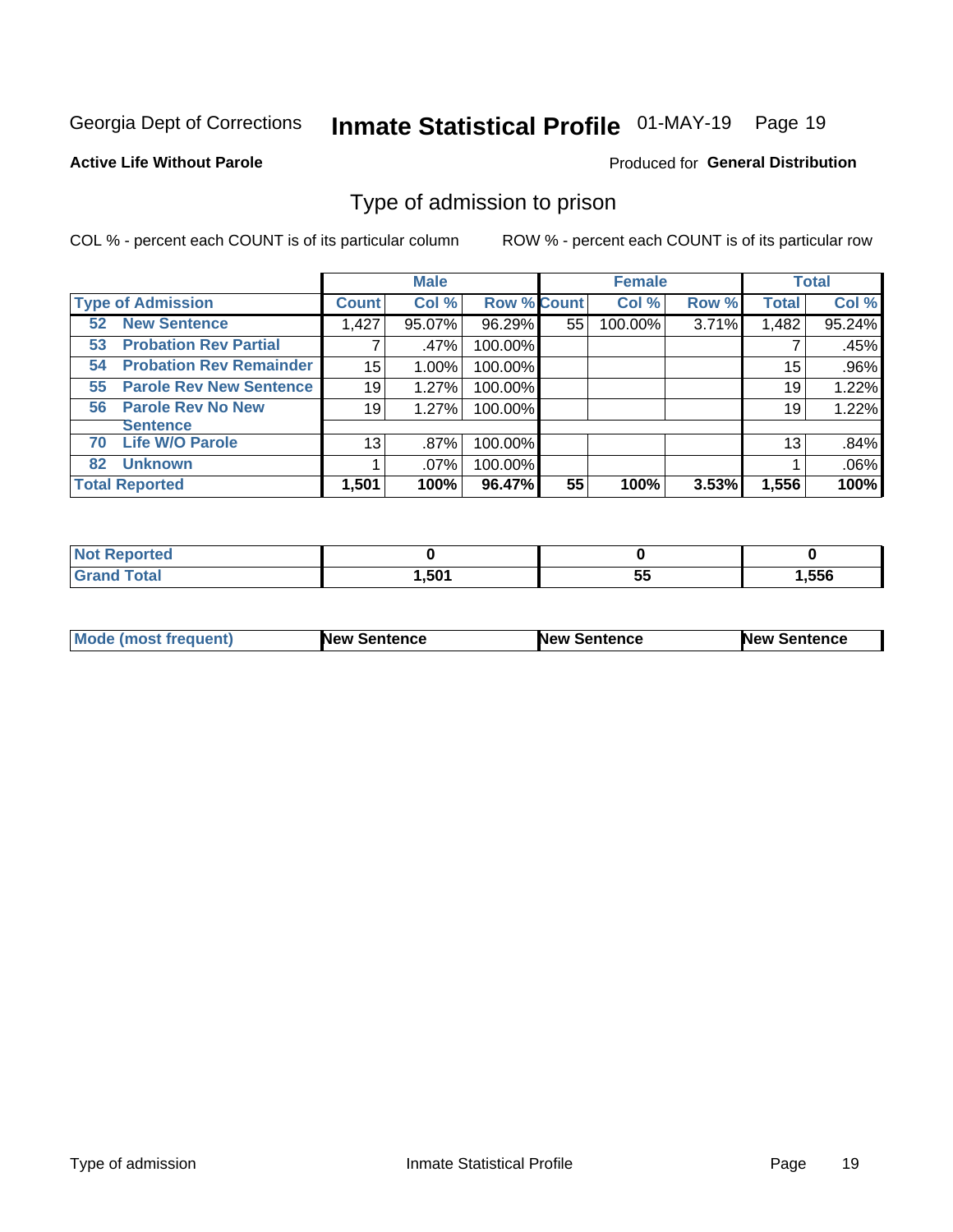## Inmate Statistical Profile 01-MAY-19 Page 19

#### **Active Life Without Parole**

#### Produced for General Distribution

### Type of admission to prison

COL % - percent each COUNT is of its particular column

|                                      |              | <b>Male</b> |                    |    | <b>Female</b> |       |              | <b>Total</b> |
|--------------------------------------|--------------|-------------|--------------------|----|---------------|-------|--------------|--------------|
| <b>Type of Admission</b>             | <b>Count</b> | Col %       | <b>Row % Count</b> |    | Col %         | Row % | <b>Total</b> | Col %        |
| <b>New Sentence</b><br>52            | 1,427        | 95.07%      | 96.29%             | 55 | 100.00%       | 3.71% | 1,482        | 95.24%       |
| <b>Probation Rev Partial</b><br>53   |              | .47%        | 100.00%            |    |               |       |              | .45%         |
| <b>Probation Rev Remainder</b><br>54 | 15           | 1.00%       | 100.00%            |    |               |       | 15           | .96%         |
| <b>Parole Rev New Sentence</b><br>55 | 19           | 1.27%       | 100.00%            |    |               |       | 19           | 1.22%        |
| <b>Parole Rev No New</b><br>56       | 19           | 1.27%       | 100.00%            |    |               |       | 19           | 1.22%        |
| <b>Sentence</b>                      |              |             |                    |    |               |       |              |              |
| <b>Life W/O Parole</b><br>70         | 13           | .87%        | 100.00%            |    |               |       | 13           | .84%         |
| <b>Unknown</b><br>82                 |              | .07%        | 100.00%            |    |               |       |              | .06%         |
| <b>Total Reported</b>                | 1,501        | 100%        | 96.47%             | 55 | 100%          | 3.53% | 1,556        | 100%         |

| <b>Not</b><br>: Reported |      |                   |       |
|--------------------------|------|-------------------|-------|
| <b>Total</b><br>'Grai.   | ,501 | --<br>$\sim$<br>◡ | .,556 |

| <b>Mode (most frequent)</b> | <b>New Sentence</b> | <b>New Sentence</b> | <b>New Sentence</b> |
|-----------------------------|---------------------|---------------------|---------------------|
|                             |                     |                     |                     |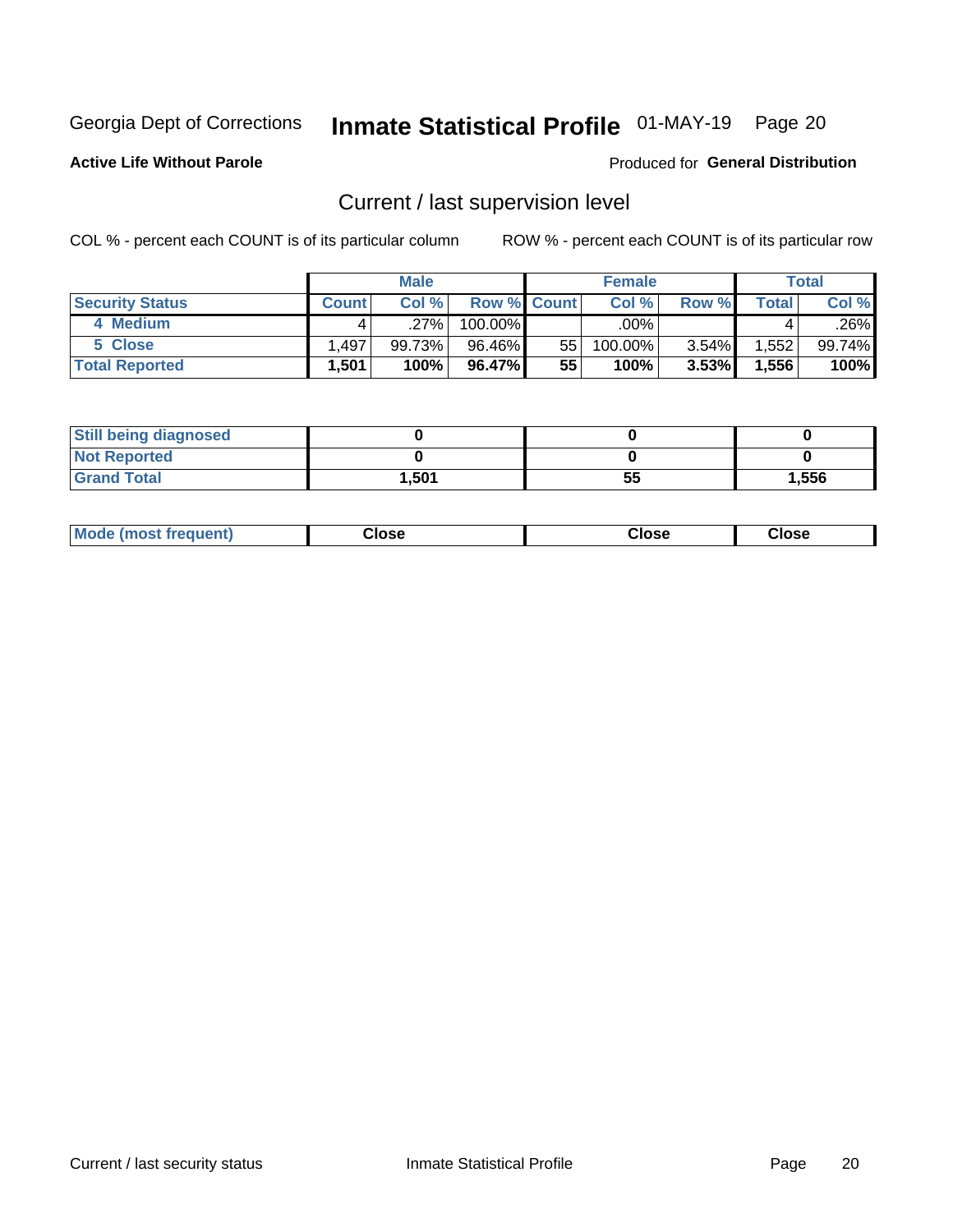## Inmate Statistical Profile 01-MAY-19 Page 20

**Active Life Without Parole** 

#### Produced for General Distribution

## Current / last supervision level

COL % - percent each COUNT is of its particular column

|                        |              | <b>Male</b> |                    |    | <b>Female</b> |       |       | <b>Total</b> |
|------------------------|--------------|-------------|--------------------|----|---------------|-------|-------|--------------|
| <b>Security Status</b> | <b>Count</b> | Col%        | <b>Row % Count</b> |    | Col %         | Row % | Total | Col %        |
| 4 Medium               |              | .27%        | 100.00%            |    | .00% '        |       |       | .26%         |
| 5 Close                | . 497.       | 99.73%      | 96.46%             | 55 | 100.00%       | 3.54% | .552  | 99.74%       |
| <b>Total Reported</b>  | .501         | 100%        | 96.47%             | 55 | 100%          | 3.53% | 1,556 | 100%         |

| <b>Still being diagnosed</b> |       |    |       |
|------------------------------|-------|----|-------|
| <b>Not Reported</b>          |       |    |       |
| <b>Grand Total</b>           | 1,501 | 55 | 1,556 |

| <b>AhoM</b><br>rreauent) | Close | Close | Close |
|--------------------------|-------|-------|-------|
|                          |       |       |       |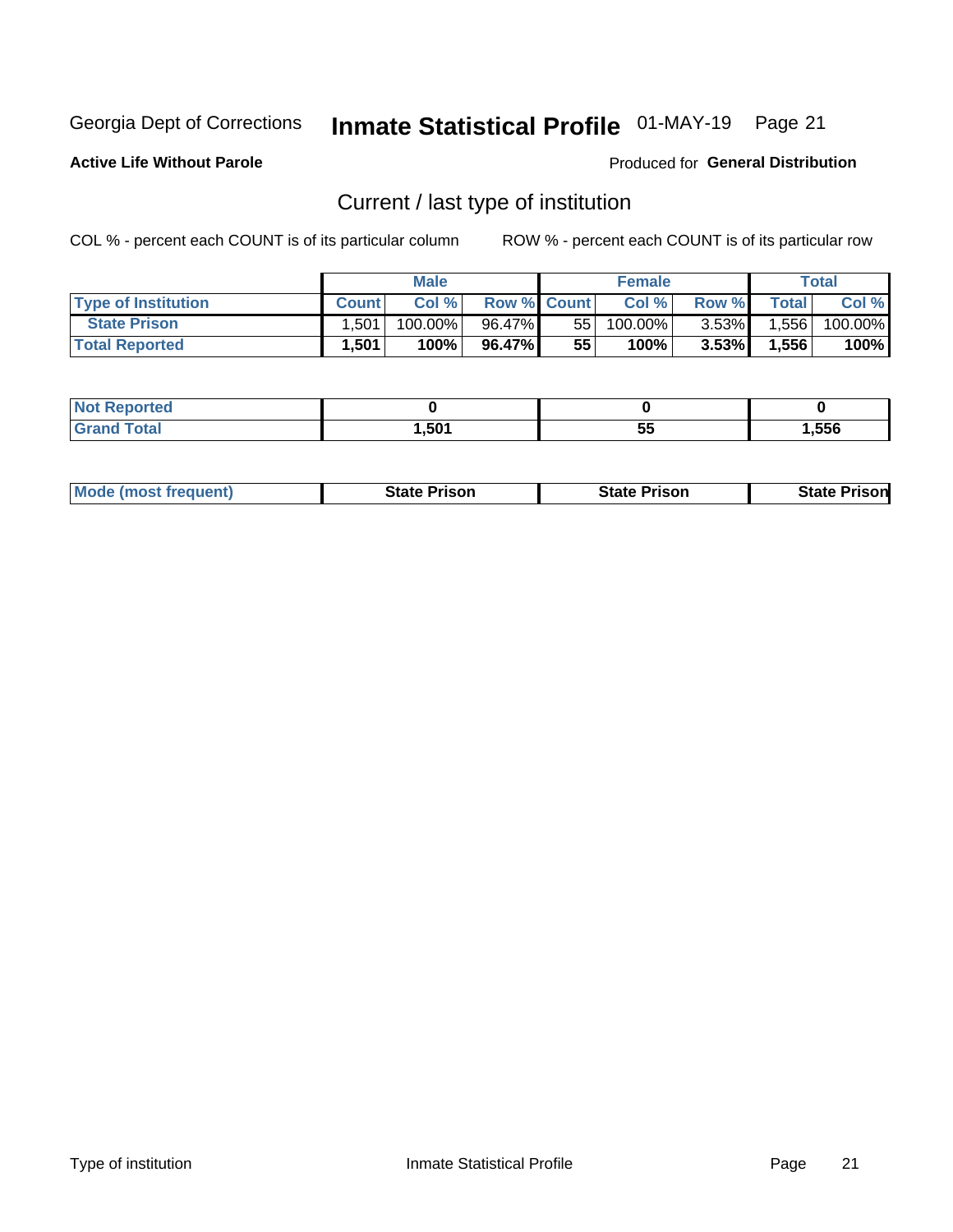## Inmate Statistical Profile 01-MAY-19 Page 21

**Active Life Without Parole** 

Produced for General Distribution

## Current / last type of institution

COL % - percent each COUNT is of its particular column

|                            |              | <b>Male</b> |                    |    | <b>Female</b> |          |              | <b>Total</b> |
|----------------------------|--------------|-------------|--------------------|----|---------------|----------|--------------|--------------|
| <b>Type of Institution</b> | <b>Count</b> | Col%        | <b>Row % Count</b> |    | Col %         | Row %    | <b>Total</b> | Col %        |
| <b>State Prison</b>        | 1.501        | 100.00%     | 96.47%             | 55 | 100.00%       | $3.53\%$ | 1,556        | 100.00%      |
| <b>Total Reported</b>      | 1,501        | 100%        | 96.47%             | 55 | $100\%$ .     | $3.53\%$ | 1,556        | 100%         |

| ueo<br>. |      |    |      |
|----------|------|----|------|
|          | ,501 | D. | .556 |

|  | <b>Mode (most frequent)</b> | State Prison | <b>State Prison</b> | <b>State Prison</b> |
|--|-----------------------------|--------------|---------------------|---------------------|
|--|-----------------------------|--------------|---------------------|---------------------|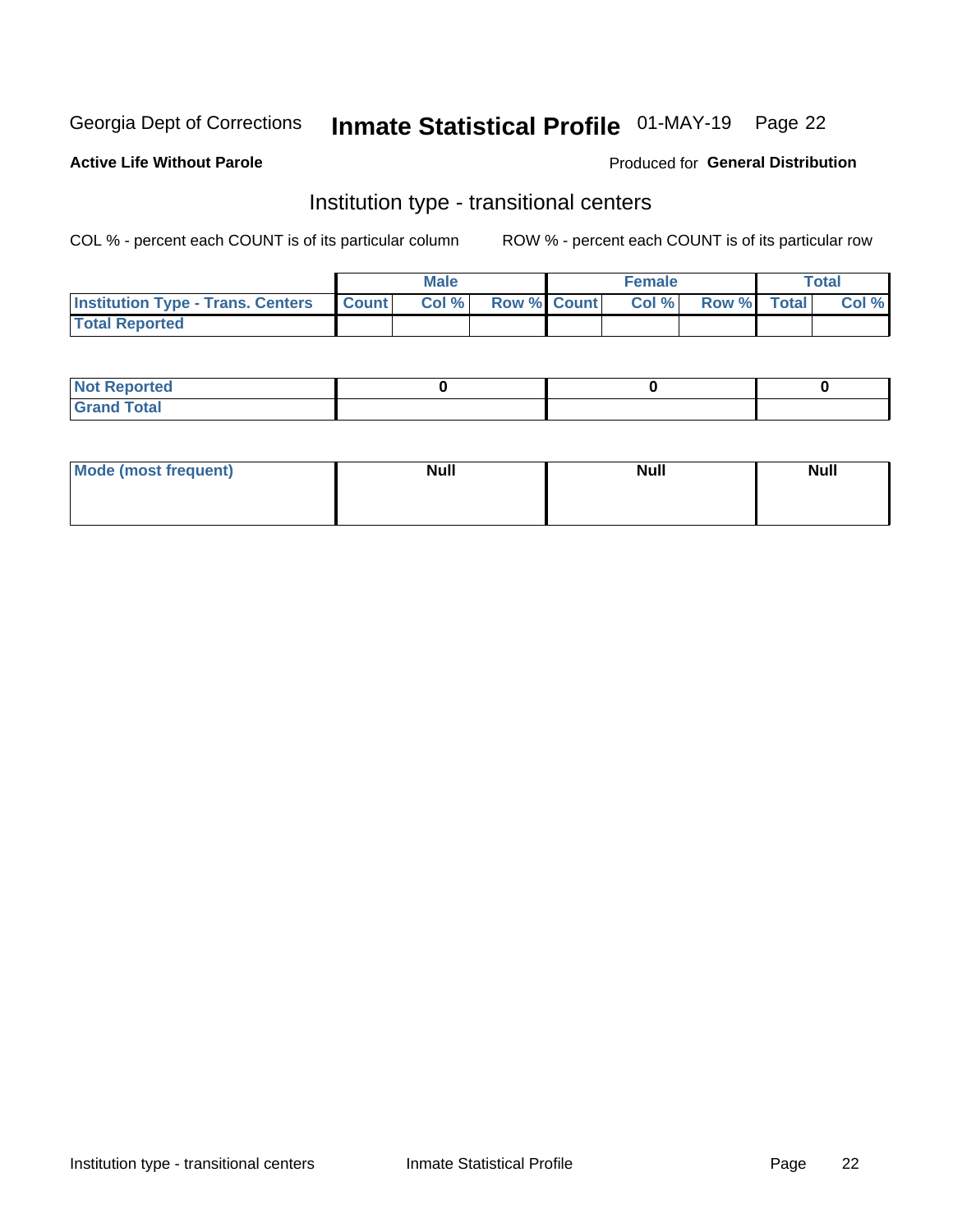## Inmate Statistical Profile 01-MAY-19 Page 22

#### **Active Life Without Parole**

#### Produced for General Distribution

### Institution type - transitional centers

COL % - percent each COUNT is of its particular column

|                                                | <b>Male</b> |                          | <b>Female</b> |             | <b>Total</b> |
|------------------------------------------------|-------------|--------------------------|---------------|-------------|--------------|
| <b>Institution Type - Trans. Centers Count</b> |             | <b>Col %</b> Row % Count | Col %         | Row % Total | Col %        |
| <b>Total Reported</b>                          |             |                          |               |             |              |

| <b>Reported</b><br><b>NOT</b><br>$\sim$            |  |  |
|----------------------------------------------------|--|--|
| $f$ $f \circ f \circ f$<br>$C = 1$<br><b>TULAI</b> |  |  |

| Mode (most frequent) | <b>Null</b> | <b>Null</b> | <b>Null</b> |
|----------------------|-------------|-------------|-------------|
|                      |             |             |             |
|                      |             |             |             |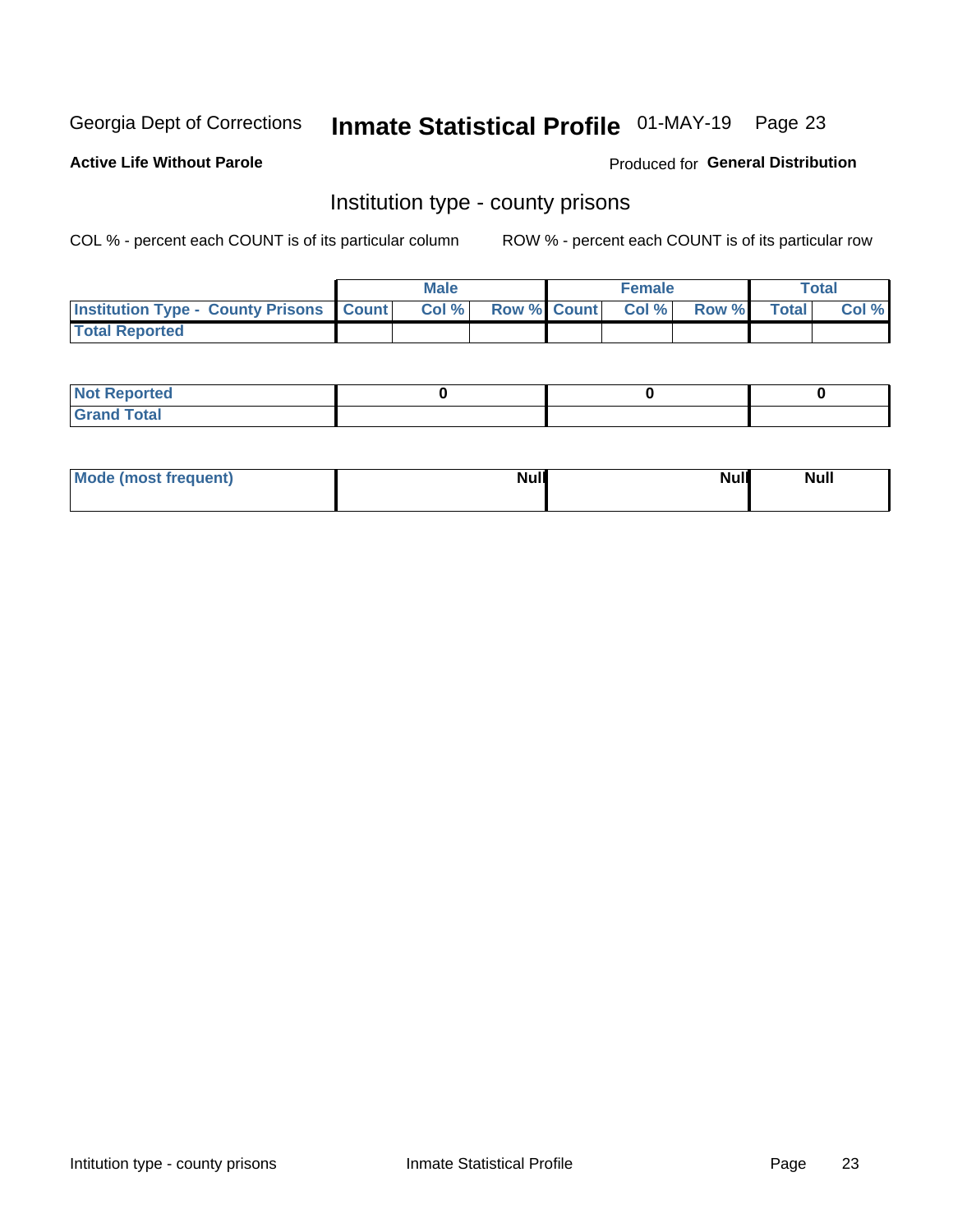## Inmate Statistical Profile 01-MAY-19 Page 23

**Active Life Without Parole** 

Produced for General Distribution

### Institution type - county prisons

COL % - percent each COUNT is of its particular column

|                                                    | <b>Male</b> |       |  | <b>Female</b> |                          |             | <b>Total</b> |       |
|----------------------------------------------------|-------------|-------|--|---------------|--------------------------|-------------|--------------|-------|
| <b>Institution Type - County Prisons   Count  </b> |             | Col % |  |               | <b>Row % Count Col %</b> | Row % Total |              | Col % |
| <b>Total Reported</b>                              |             |       |  |               |                          |             |              |       |

| <b>Not</b><br>: Reported<br> |  |  |
|------------------------------|--|--|
| <b>Total</b><br>---          |  |  |

| Mode (most frequent) | <b>Null</b> | <b>Null</b><br><b>Null</b> |
|----------------------|-------------|----------------------------|
|                      |             |                            |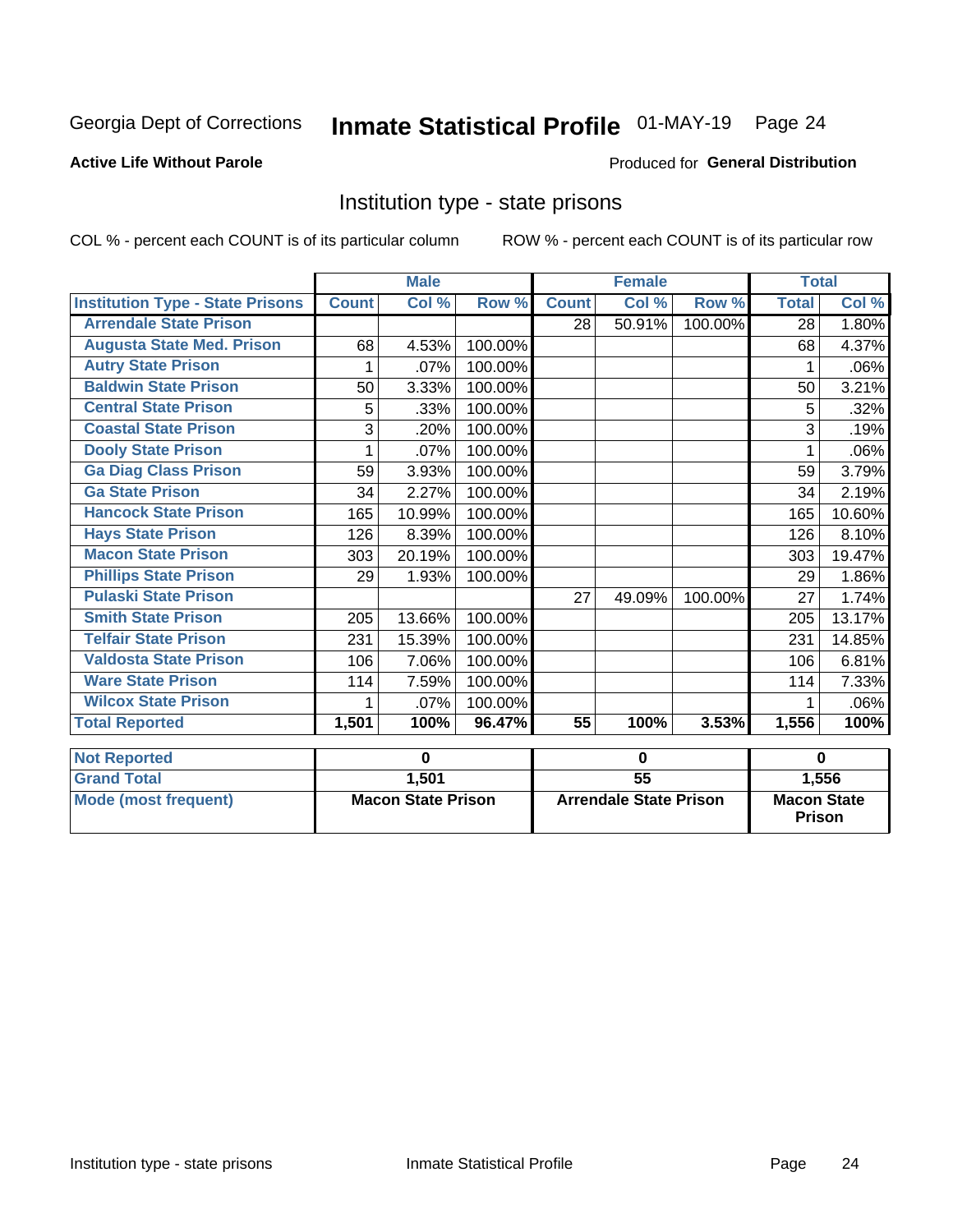## Inmate Statistical Profile 01-MAY-19 Page 24

#### **Active Life Without Parole**

#### Produced for General Distribution

### Institution type - state prisons

COL % - percent each COUNT is of its particular column

|                                         | <b>Male</b>               |        |                               |                 | <b>Female</b> |                                     | <b>Total</b> |        |
|-----------------------------------------|---------------------------|--------|-------------------------------|-----------------|---------------|-------------------------------------|--------------|--------|
| <b>Institution Type - State Prisons</b> | <b>Count</b>              | Col %  | Row %                         | <b>Count</b>    | Col %         | Row %                               | <b>Total</b> | Col %  |
| <b>Arrendale State Prison</b>           |                           |        |                               | 28              | 50.91%        | 100.00%                             | 28           | 1.80%  |
| <b>Augusta State Med. Prison</b>        | 68                        | 4.53%  | 100.00%                       |                 |               |                                     | 68           | 4.37%  |
| <b>Autry State Prison</b>               | 1                         | .07%   | 100.00%                       |                 |               |                                     | 1            | .06%   |
| <b>Baldwin State Prison</b>             | 50                        | 3.33%  | 100.00%                       |                 |               |                                     | 50           | 3.21%  |
| <b>Central State Prison</b>             | 5                         | .33%   | 100.00%                       |                 |               |                                     | 5            | .32%   |
| <b>Coastal State Prison</b>             | 3                         | .20%   | 100.00%                       |                 |               |                                     | 3            | .19%   |
| <b>Dooly State Prison</b>               |                           | .07%   | 100.00%                       |                 |               |                                     |              | .06%   |
| <b>Ga Diag Class Prison</b>             | 59                        | 3.93%  | 100.00%                       |                 |               |                                     | 59           | 3.79%  |
| <b>Ga State Prison</b>                  | 34                        | 2.27%  | 100.00%                       |                 |               |                                     | 34           | 2.19%  |
| <b>Hancock State Prison</b>             | 165                       | 10.99% | 100.00%                       |                 |               |                                     | 165          | 10.60% |
| <b>Hays State Prison</b>                | 126                       | 8.39%  | 100.00%                       |                 |               |                                     | 126          | 8.10%  |
| <b>Macon State Prison</b>               | 303                       | 20.19% | 100.00%                       |                 |               |                                     | 303          | 19.47% |
| <b>Phillips State Prison</b>            | 29                        | 1.93%  | 100.00%                       |                 |               |                                     | 29           | 1.86%  |
| <b>Pulaski State Prison</b>             |                           |        |                               | 27              | 49.09%        | 100.00%                             | 27           | 1.74%  |
| <b>Smith State Prison</b>               | 205                       | 13.66% | 100.00%                       |                 |               |                                     | 205          | 13.17% |
| <b>Telfair State Prison</b>             | 231                       | 15.39% | 100.00%                       |                 |               |                                     | 231          | 14.85% |
| <b>Valdosta State Prison</b>            | 106                       | 7.06%  | 100.00%                       |                 |               |                                     | 106          | 6.81%  |
| <b>Ware State Prison</b>                | 114                       | 7.59%  | 100.00%                       |                 |               |                                     | 114          | 7.33%  |
| <b>Wilcox State Prison</b>              | 1                         | .07%   | 100.00%                       |                 |               |                                     |              | .06%   |
| <b>Total Reported</b>                   | 1,501                     | 100%   | 96.47%                        | 55              | 100%          | 3.53%                               | 1,556        | 100%   |
| <b>Not Reported</b>                     | 0                         |        | $\bf{0}$                      |                 |               | $\bf{0}$                            |              |        |
| <b>Grand Total</b>                      |                           | 1,501  |                               | $\overline{55}$ |               |                                     | 1,556        |        |
| <b>Mode (most frequent)</b>             | <b>Macon State Prison</b> |        | <b>Arrendale State Prison</b> |                 |               | <b>Macon State</b><br><b>Prison</b> |              |        |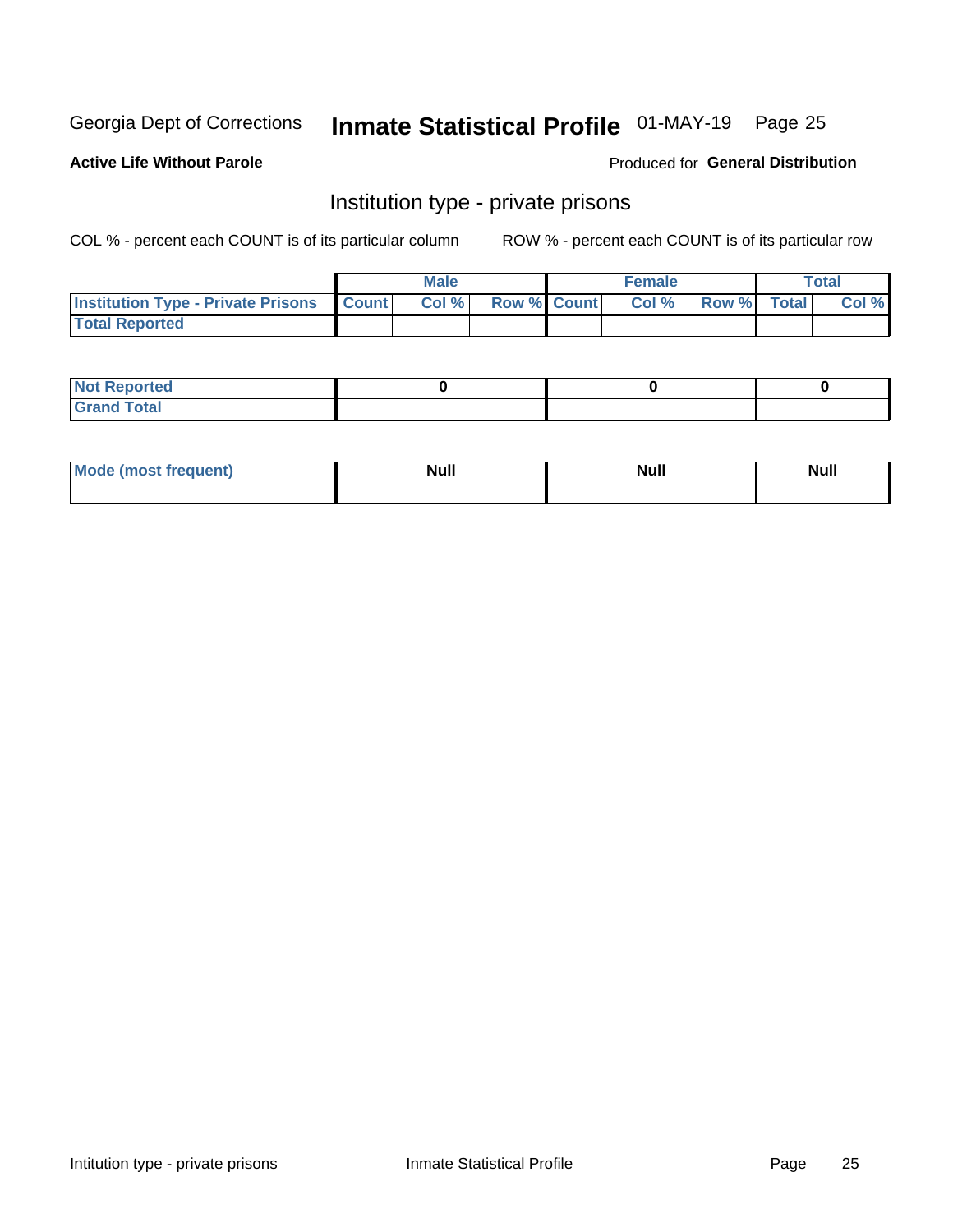## Inmate Statistical Profile 01-MAY-19 Page 25

#### **Active Life Without Parole**

#### Produced for General Distribution

### Institution type - private prisons

COL % - percent each COUNT is of its particular column

|                                                     | <b>Male</b> |       |                    | <b>Female</b> |       |             | Total |       |
|-----------------------------------------------------|-------------|-------|--------------------|---------------|-------|-------------|-------|-------|
| <b>Institution Type - Private Prisons   Count  </b> |             | Col % | <b>Row % Count</b> |               | Col % | Row % Total |       | Col % |
| <b>Total Reported</b>                               |             |       |                    |               |       |             |       |       |

| Not Reported           |  |  |
|------------------------|--|--|
| <b>Cotal</b><br>______ |  |  |

| <b>Mo</b><br>frequent) | <b>Null</b> | <b>Null</b> | . . I *<br><b>IVUII</b> |
|------------------------|-------------|-------------|-------------------------|
|                        |             |             |                         |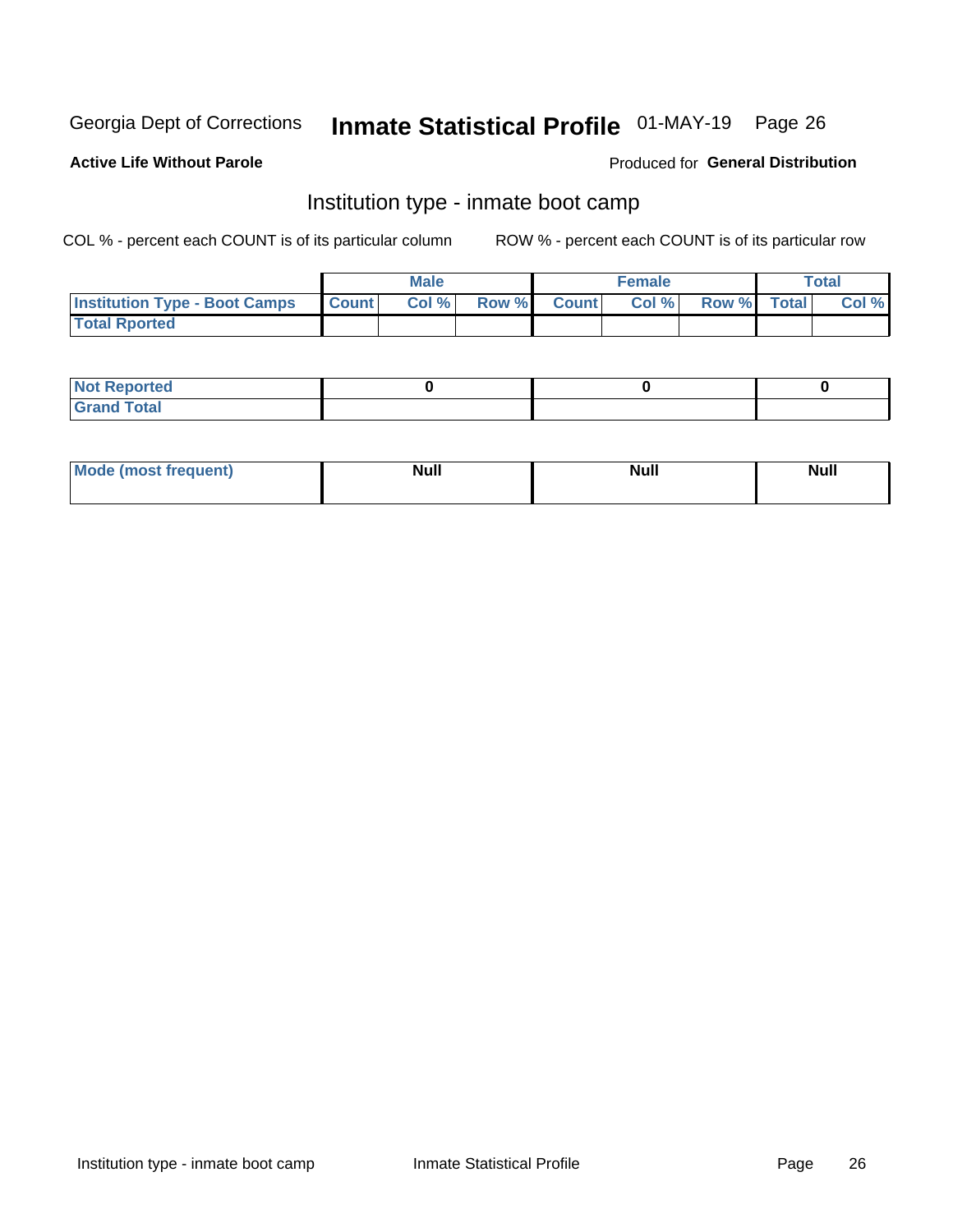## Inmate Statistical Profile 01-MAY-19 Page 26

#### **Active Life Without Parole**

#### Produced for General Distribution

### Institution type - inmate boot camp

COL % - percent each COUNT is of its particular column

|                                            | <b>Male</b> |      |                    | <b>Female</b> | <b>Total</b> |  |       |
|--------------------------------------------|-------------|------|--------------------|---------------|--------------|--|-------|
| <b>Institution Type - Boot Camps Count</b> |             | Col% | <b>Row % Count</b> | Col%          | Row % Total  |  | Col % |
| <b>Total Rported</b>                       |             |      |                    |               |              |  |       |

| <b>Not Reported</b>            |  |  |
|--------------------------------|--|--|
| <b>Total</b><br>C <sub>r</sub> |  |  |

| Mode (most f<br>*requent) | Nul.<br>------ | <b>Null</b> | <b>Null</b> |
|---------------------------|----------------|-------------|-------------|
|                           |                |             |             |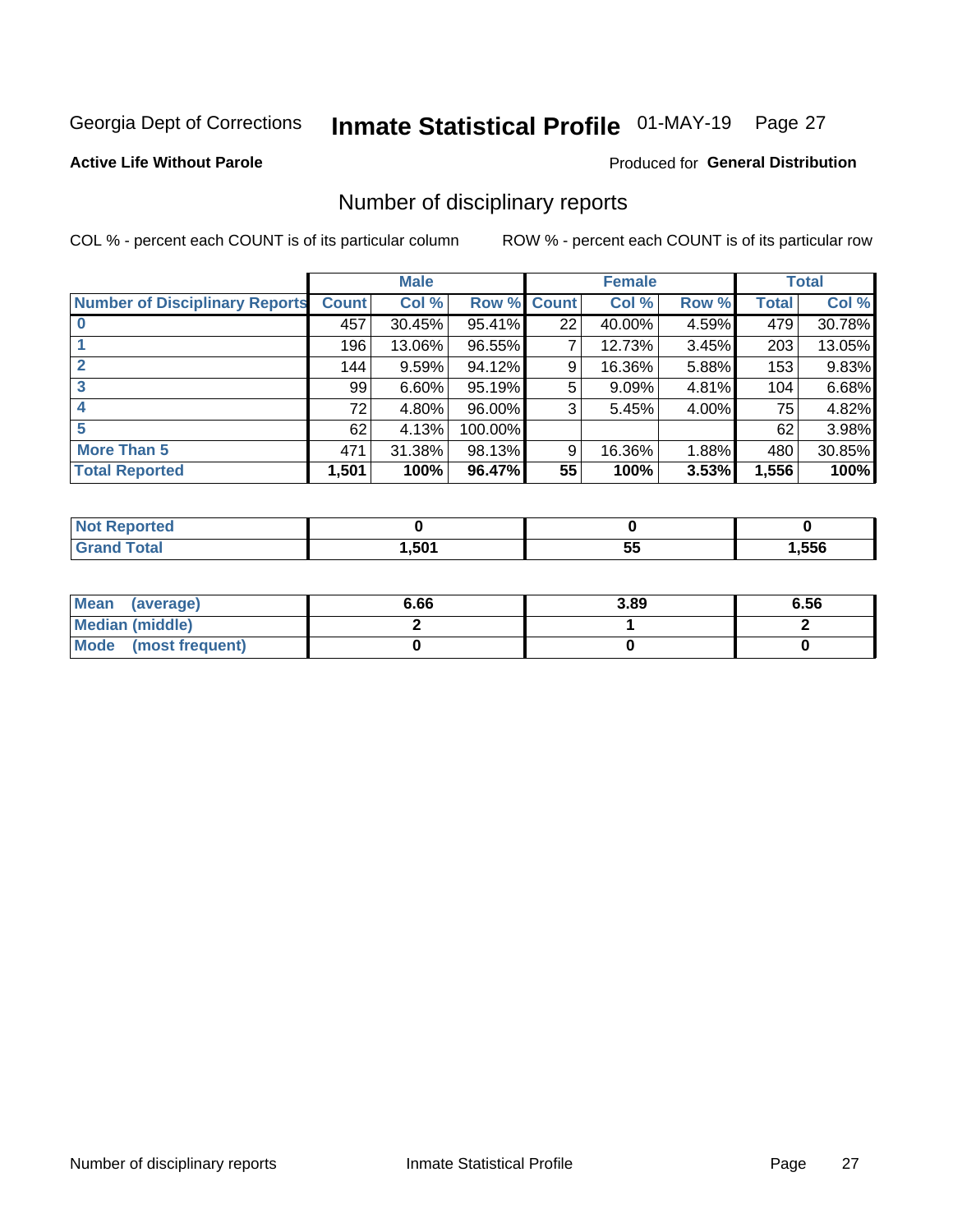## Inmate Statistical Profile 01-MAY-19 Page 27

#### **Active Life Without Parole**

#### Produced for General Distribution

### Number of disciplinary reports

COL % - percent each COUNT is of its particular column

|                                       | <b>Male</b>  |          |         | <b>Female</b> |        |       | <b>Total</b> |        |
|---------------------------------------|--------------|----------|---------|---------------|--------|-------|--------------|--------|
| <b>Number of Disciplinary Reports</b> | <b>Count</b> | Col %    | Row %   | <b>Count</b>  | Col %  | Row % | <b>Total</b> | Col %  |
|                                       | 457          | 30.45%   | 95.41%  | 22            | 40.00% | 4.59% | 479          | 30.78% |
|                                       | 196          | 13.06%   | 96.55%  | 7             | 12.73% | 3.45% | 203          | 13.05% |
| 2                                     | 144          | 9.59%    | 94.12%  | 9             | 16.36% | 5.88% | 153          | 9.83%  |
| 3                                     | 99           | $6.60\%$ | 95.19%  | 5             | 9.09%  | 4.81% | 104          | 6.68%  |
|                                       | 72           | 4.80%    | 96.00%  | 3             | 5.45%  | 4.00% | 75           | 4.82%  |
| 5                                     | 62           | 4.13%    | 100.00% |               |        |       | 62           | 3.98%  |
| <b>More Than 5</b>                    | 471          | 31.38%   | 98.13%  | 9             | 16.36% | 1.88% | 480          | 30.85% |
| <b>Total Reported</b>                 | 1,501        | 100%     | 96.47%  | 55            | 100%   | 3.53% | 1,556        | 100%   |

| NO           |      |   |      |
|--------------|------|---|------|
| <b>Total</b> | .501 | ູ | ,556 |

| Mean (average)       | 6.66 | 3.89 | 6.56 |
|----------------------|------|------|------|
| Median (middle)      |      |      |      |
| Mode (most frequent) |      |      |      |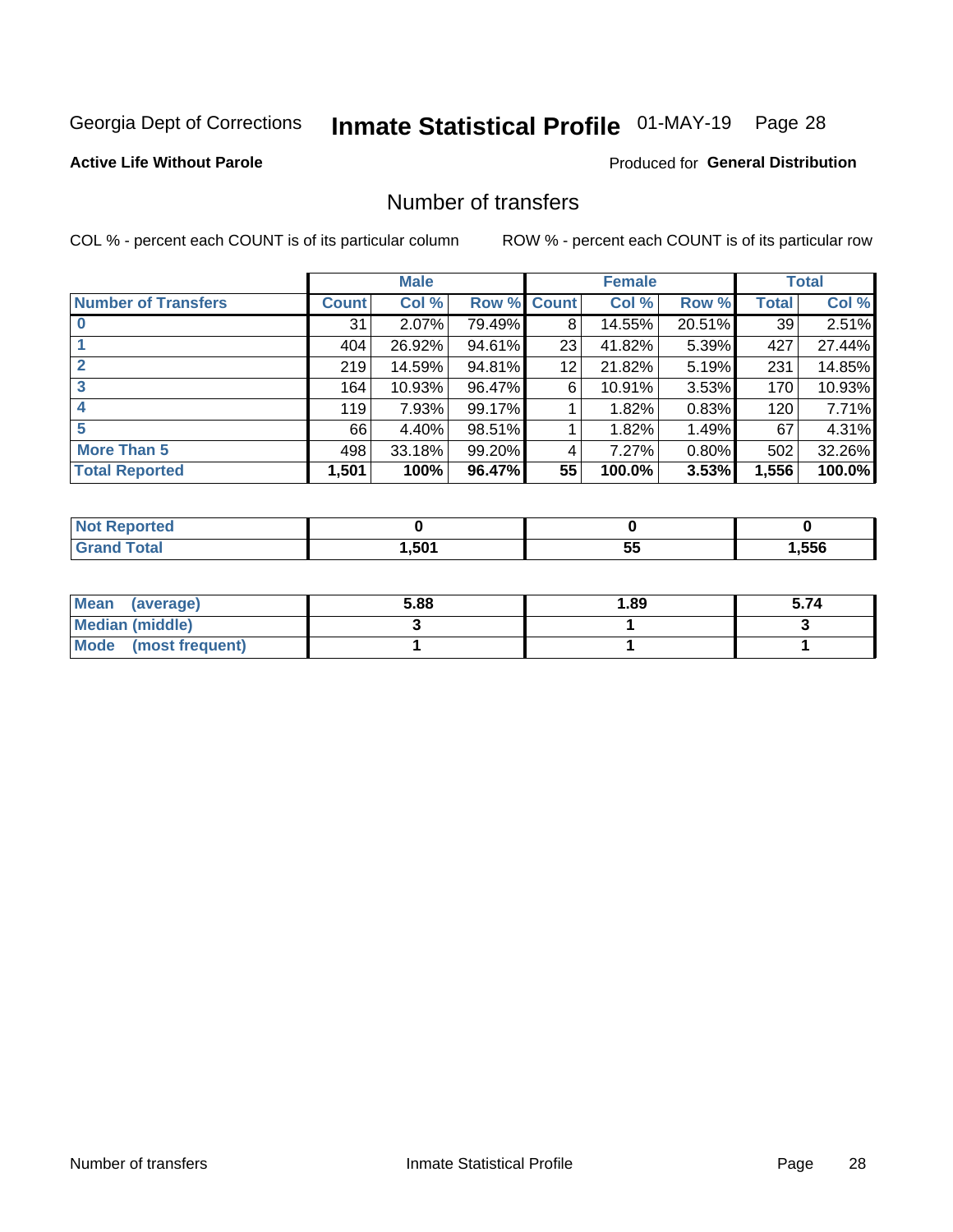## Inmate Statistical Profile 01-MAY-19 Page 28

#### **Active Life Without Parole**

#### **Produced for General Distribution**

### Number of transfers

COL % - percent each COUNT is of its particular column

|                            | <b>Male</b> |        | <b>Female</b> |              |        | <b>Total</b> |              |        |
|----------------------------|-------------|--------|---------------|--------------|--------|--------------|--------------|--------|
| <b>Number of Transfers</b> | Count l     | Col %  | Row %         | <b>Count</b> | Col %  | Row %        | <b>Total</b> | Col %  |
|                            | 31          | 2.07%  | 79.49%        | 8            | 14.55% | 20.51%       | 39           | 2.51%  |
|                            | 404         | 26.92% | 94.61%        | 23           | 41.82% | 5.39%        | 427          | 27.44% |
| $\mathbf{2}$               | 219         | 14.59% | 94.81%        | 12           | 21.82% | 5.19%        | 231          | 14.85% |
| 3                          | 164         | 10.93% | 96.47%        | 6            | 10.91% | $3.53\%$     | 170          | 10.93% |
|                            | 119         | 7.93%  | 99.17%        |              | 1.82%  | 0.83%        | 120          | 7.71%  |
| 5                          | 66          | 4.40%  | 98.51%        |              | 1.82%  | 1.49%        | 67           | 4.31%  |
| <b>More Than 5</b>         | 498         | 33.18% | 99.20%        | 4            | 7.27%  | 0.80%        | 502          | 32.26% |
| <b>Total Reported</b>      | 1,501       | 100%   | 96.47%        | 55           | 100.0% | 3.53%        | 1,556        | 100.0% |

| NO           |      |   |      |
|--------------|------|---|------|
| <b>Total</b> | .501 | ູ | ,556 |

| Mean (average)       | 5.88 | 1.89 | 5.74 |
|----------------------|------|------|------|
| Median (middle)      |      |      |      |
| Mode (most frequent) |      |      |      |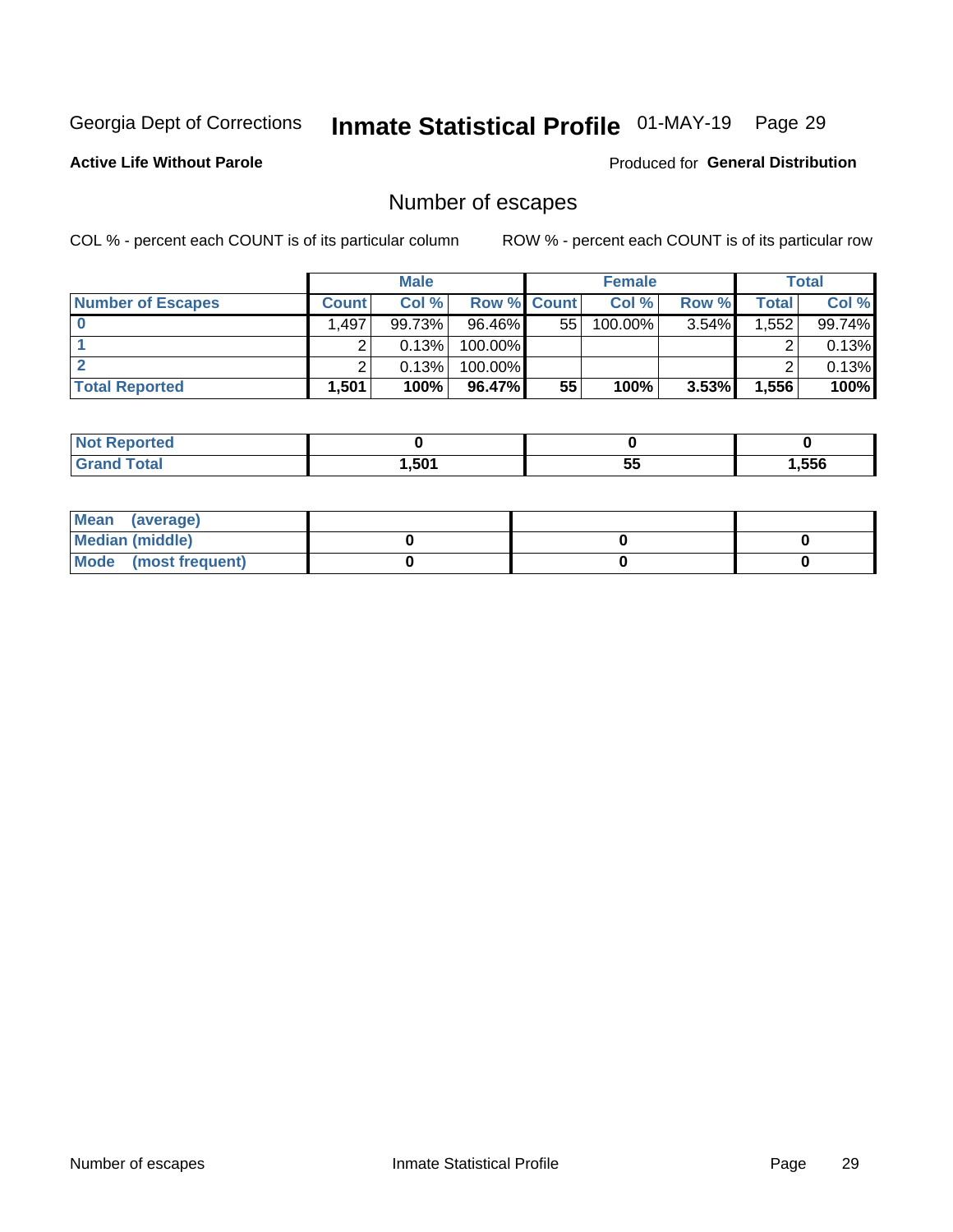## Inmate Statistical Profile 01-MAY-19 Page 29

**Active Life Without Parole** 

Produced for General Distribution

## Number of escapes

COL % - percent each COUNT is of its particular column

|                          | <b>Male</b>  |           |                    | <b>Female</b> |         |          | Total |        |
|--------------------------|--------------|-----------|--------------------|---------------|---------|----------|-------|--------|
| <b>Number of Escapes</b> | <b>Count</b> | Col %     | <b>Row % Count</b> |               | Col %   | Row %    | Total | Col %  |
|                          | 1.497        | $99.73\%$ | $96.46\%$          | 55            | 100.00% | $3.54\%$ | 1,552 | 99.74% |
|                          |              | 0.13%     | 100.00%            |               |         |          |       | 0.13%  |
|                          |              | 0.13%     | $100.00\%$         |               |         |          |       | 0.13%  |
| <b>Total Reported</b>    | .501         | 100%      | 96.47%             | 55            | 100%    | 3.53%    | 1,556 | 100%   |

| <b>Not Reported</b> |      |             |       |
|---------------------|------|-------------|-------|
| <b>Grand Total</b>  | .501 | --<br><br>◡ | 1,556 |

| Mean (average)         |  |  |
|------------------------|--|--|
| <b>Median (middle)</b> |  |  |
| Mode (most frequent)   |  |  |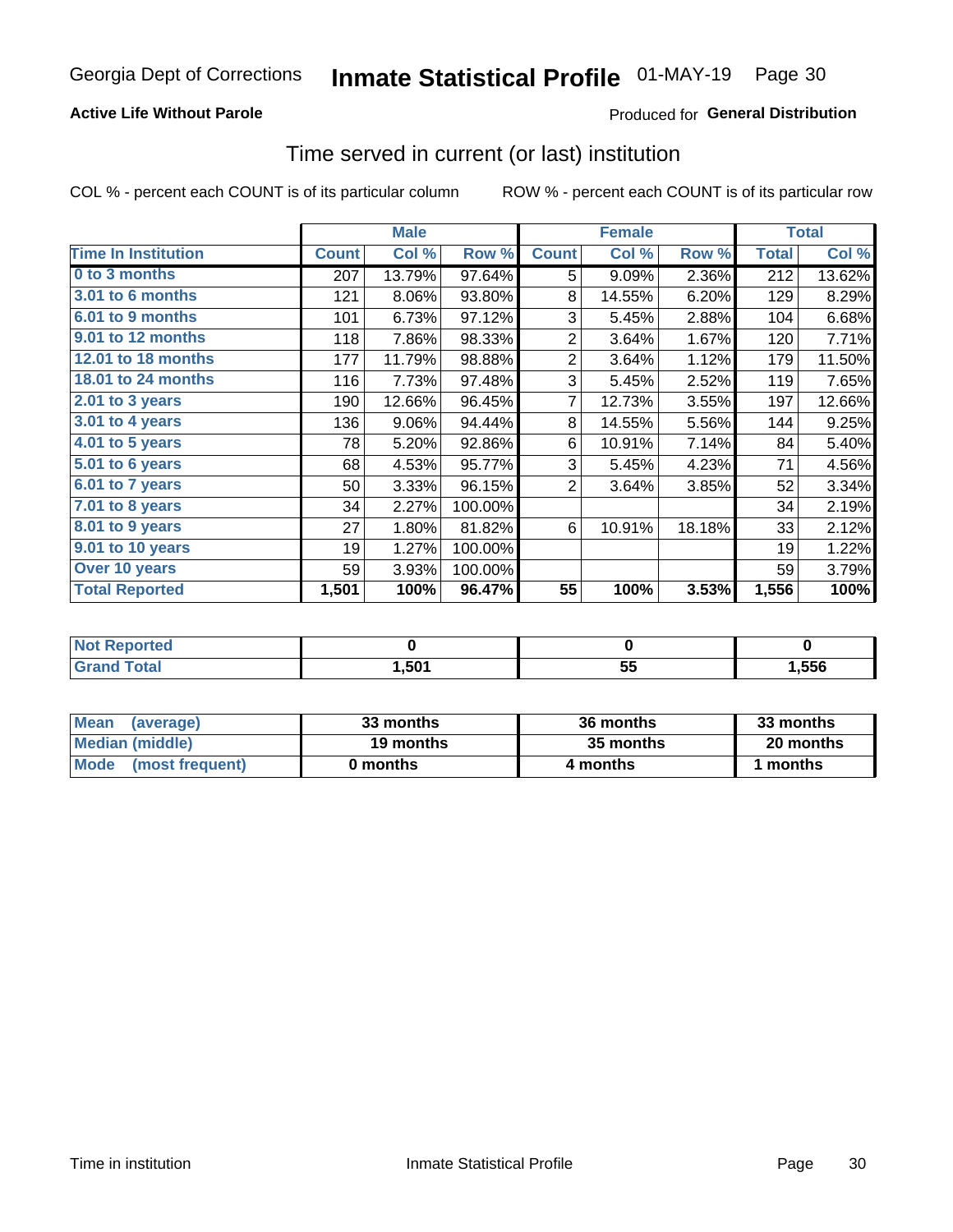#### **Active Life Without Parole**

#### Produced for General Distribution

### Time served in current (or last) institution

COL % - percent each COUNT is of its particular column

|                            |              | <b>Male</b> |         | <b>Female</b>  |        |        | <b>Total</b> |        |
|----------------------------|--------------|-------------|---------|----------------|--------|--------|--------------|--------|
| <b>Time In Institution</b> | <b>Count</b> | Col %       | Row %   | <b>Count</b>   | Col %  | Row %  | <b>Total</b> | Col %  |
| 0 to 3 months              | 207          | 13.79%      | 97.64%  | 5              | 9.09%  | 2.36%  | 212          | 13.62% |
| <b>3.01 to 6 months</b>    | 121          | 8.06%       | 93.80%  | 8              | 14.55% | 6.20%  | 129          | 8.29%  |
| 6.01 to 9 months           | 101          | 6.73%       | 97.12%  | 3              | 5.45%  | 2.88%  | 104          | 6.68%  |
| 9.01 to 12 months          | 118          | 7.86%       | 98.33%  | $\overline{2}$ | 3.64%  | 1.67%  | 120          | 7.71%  |
| 12.01 to 18 months         | 177          | 11.79%      | 98.88%  | $\overline{c}$ | 3.64%  | 1.12%  | 179          | 11.50% |
| <b>18.01 to 24 months</b>  | 116          | 7.73%       | 97.48%  | 3              | 5.45%  | 2.52%  | 119          | 7.65%  |
| $2.01$ to 3 years          | 190          | 12.66%      | 96.45%  | 7              | 12.73% | 3.55%  | 197          | 12.66% |
| 3.01 to 4 years            | 136          | 9.06%       | 94.44%  | 8              | 14.55% | 5.56%  | 144          | 9.25%  |
| 4.01 to 5 years            | 78           | 5.20%       | 92.86%  | 6              | 10.91% | 7.14%  | 84           | 5.40%  |
| 5.01 to 6 years            | 68           | 4.53%       | 95.77%  | 3              | 5.45%  | 4.23%  | 71           | 4.56%  |
| 6.01 to 7 years            | 50           | 3.33%       | 96.15%  | $\overline{2}$ | 3.64%  | 3.85%  | 52           | 3.34%  |
| 7.01 to 8 years            | 34           | 2.27%       | 100.00% |                |        |        | 34           | 2.19%  |
| $8.01$ to 9 years          | 27           | 1.80%       | 81.82%  | 6              | 10.91% | 18.18% | 33           | 2.12%  |
| 9.01 to 10 years           | 19           | 1.27%       | 100.00% |                |        |        | 19           | 1.22%  |
| Over 10 years              | 59           | 3.93%       | 100.00% |                |        |        | 59           | 3.79%  |
| <b>Total Reported</b>      | 1,501        | 100%        | 96.47%  | 55             | 100%   | 3.53%  | 1,556        | 100%   |

| <b>Not Reported</b>    |      |           |        |
|------------------------|------|-----------|--------|
| <b>Total</b><br>. Gran | ,501 | . .<br>JJ | 556, ا |

| <b>Mean</b><br>(average) | 33 months | 36 months | 33 months |
|--------------------------|-----------|-----------|-----------|
| Median (middle)          | 19 months | 35 months | 20 months |
| Mode (most frequent)     | 0 months  | 4 months  | 1 months  |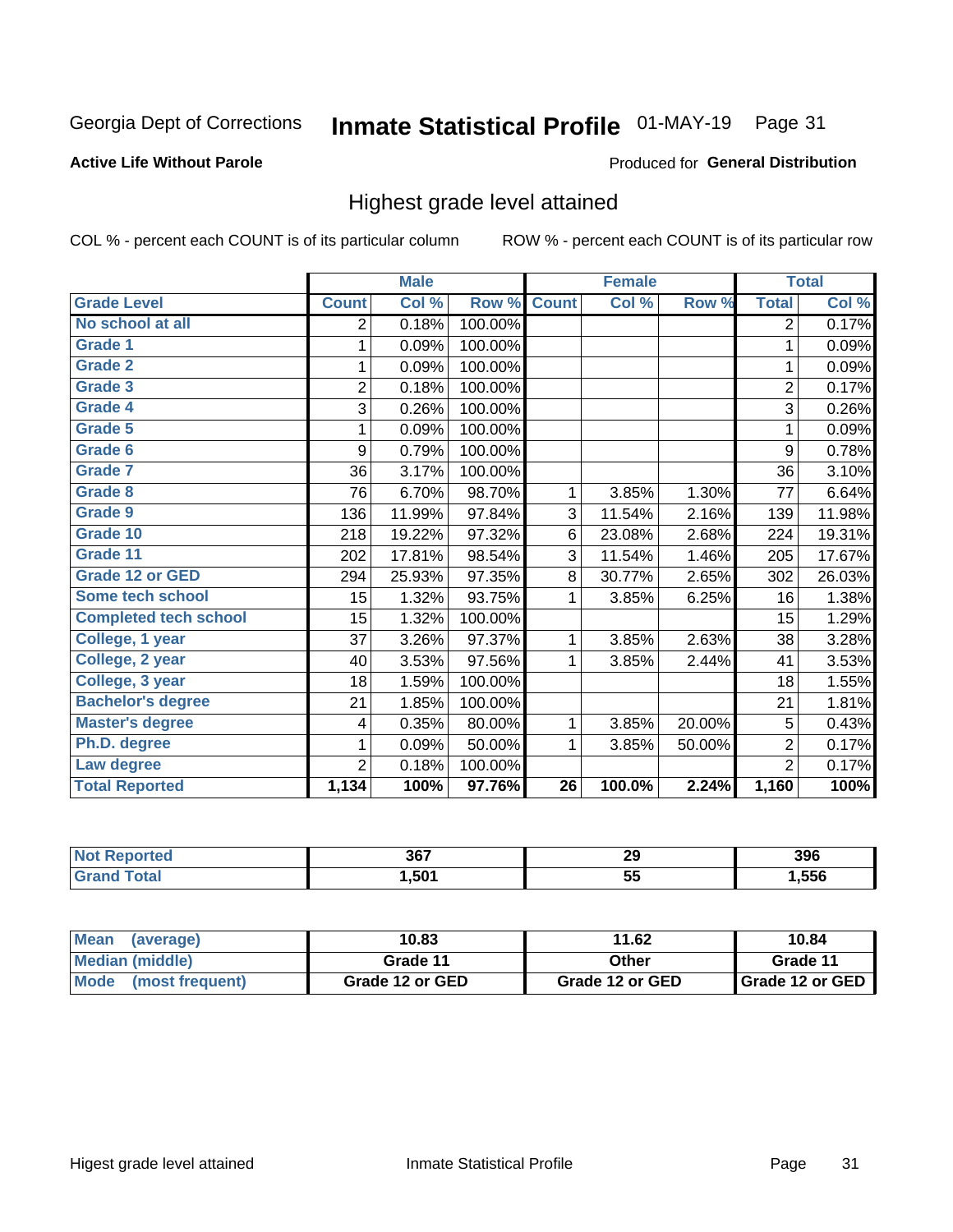## Inmate Statistical Profile 01-MAY-19 Page 31

#### **Active Life Without Parole**

#### Produced for General Distribution

### Highest grade level attained

COL % - percent each COUNT is of its particular column

|                              |                | <b>Male</b> |         |                 | <b>Female</b> |        |                | <b>Total</b> |
|------------------------------|----------------|-------------|---------|-----------------|---------------|--------|----------------|--------------|
| <b>Grade Level</b>           | <b>Count</b>   | Col %       | Row %   | <b>Count</b>    | Col %         | Row %  | <b>Total</b>   | Col %        |
| No school at all             | 2              | 0.18%       | 100.00% |                 |               |        | $\overline{2}$ | 0.17%        |
| <b>Grade 1</b>               | 1              | 0.09%       | 100.00% |                 |               |        | 1              | 0.09%        |
| <b>Grade 2</b>               | 1              | 0.09%       | 100.00% |                 |               |        | 1              | 0.09%        |
| <b>Grade 3</b>               | $\overline{2}$ | 0.18%       | 100.00% |                 |               |        | $\overline{2}$ | 0.17%        |
| Grade 4                      | 3              | 0.26%       | 100.00% |                 |               |        | 3              | 0.26%        |
| Grade 5                      | 1              | 0.09%       | 100.00% |                 |               |        | 1              | 0.09%        |
| Grade 6                      | 9              | 0.79%       | 100.00% |                 |               |        | 9              | 0.78%        |
| Grade 7                      | 36             | 3.17%       | 100.00% |                 |               |        | 36             | 3.10%        |
| <b>Grade 8</b>               | 76             | 6.70%       | 98.70%  | 1               | 3.85%         | 1.30%  | 77             | 6.64%        |
| Grade 9                      | 136            | 11.99%      | 97.84%  | 3               | 11.54%        | 2.16%  | 139            | 11.98%       |
| Grade 10                     | 218            | 19.22%      | 97.32%  | 6               | 23.08%        | 2.68%  | 224            | 19.31%       |
| Grade 11                     | 202            | 17.81%      | 98.54%  | 3               | 11.54%        | 1.46%  | 205            | 17.67%       |
| <b>Grade 12 or GED</b>       | 294            | 25.93%      | 97.35%  | 8               | 30.77%        | 2.65%  | 302            | 26.03%       |
| Some tech school             | 15             | 1.32%       | 93.75%  | 1               | 3.85%         | 6.25%  | 16             | 1.38%        |
| <b>Completed tech school</b> | 15             | 1.32%       | 100.00% |                 |               |        | 15             | 1.29%        |
| College, 1 year              | 37             | 3.26%       | 97.37%  | 1               | 3.85%         | 2.63%  | 38             | 3.28%        |
| College, 2 year              | 40             | 3.53%       | 97.56%  | 1               | 3.85%         | 2.44%  | 41             | 3.53%        |
| College, 3 year              | 18             | 1.59%       | 100.00% |                 |               |        | 18             | 1.55%        |
| <b>Bachelor's degree</b>     | 21             | 1.85%       | 100.00% |                 |               |        | 21             | 1.81%        |
| <b>Master's degree</b>       | 4              | 0.35%       | 80.00%  | 1               | 3.85%         | 20.00% | 5              | 0.43%        |
| Ph.D. degree                 | 1              | 0.09%       | 50.00%  | 1               | 3.85%         | 50.00% | $\overline{2}$ | 0.17%        |
| Law degree                   | $\overline{2}$ | 0.18%       | 100.00% |                 |               |        | $\overline{2}$ | 0.17%        |
| <b>Total Reported</b>        | 1,134          | 100%        | 97.76%  | $\overline{26}$ | 100.0%        | 2.24%  | 1,160          | 100%         |

| rteo<br>NO | 367  | 29  | 396  |
|------------|------|-----|------|
|            | .501 | ູບພ | ,556 |

| <b>Mean</b><br>(average) | 10.83           | 11.62           | 10.84           |
|--------------------------|-----------------|-----------------|-----------------|
| Median (middle)          | Grade 11        | Other           | Grade 11        |
| Mode<br>(most frequent)  | Grade 12 or GED | Grade 12 or GED | Grade 12 or GED |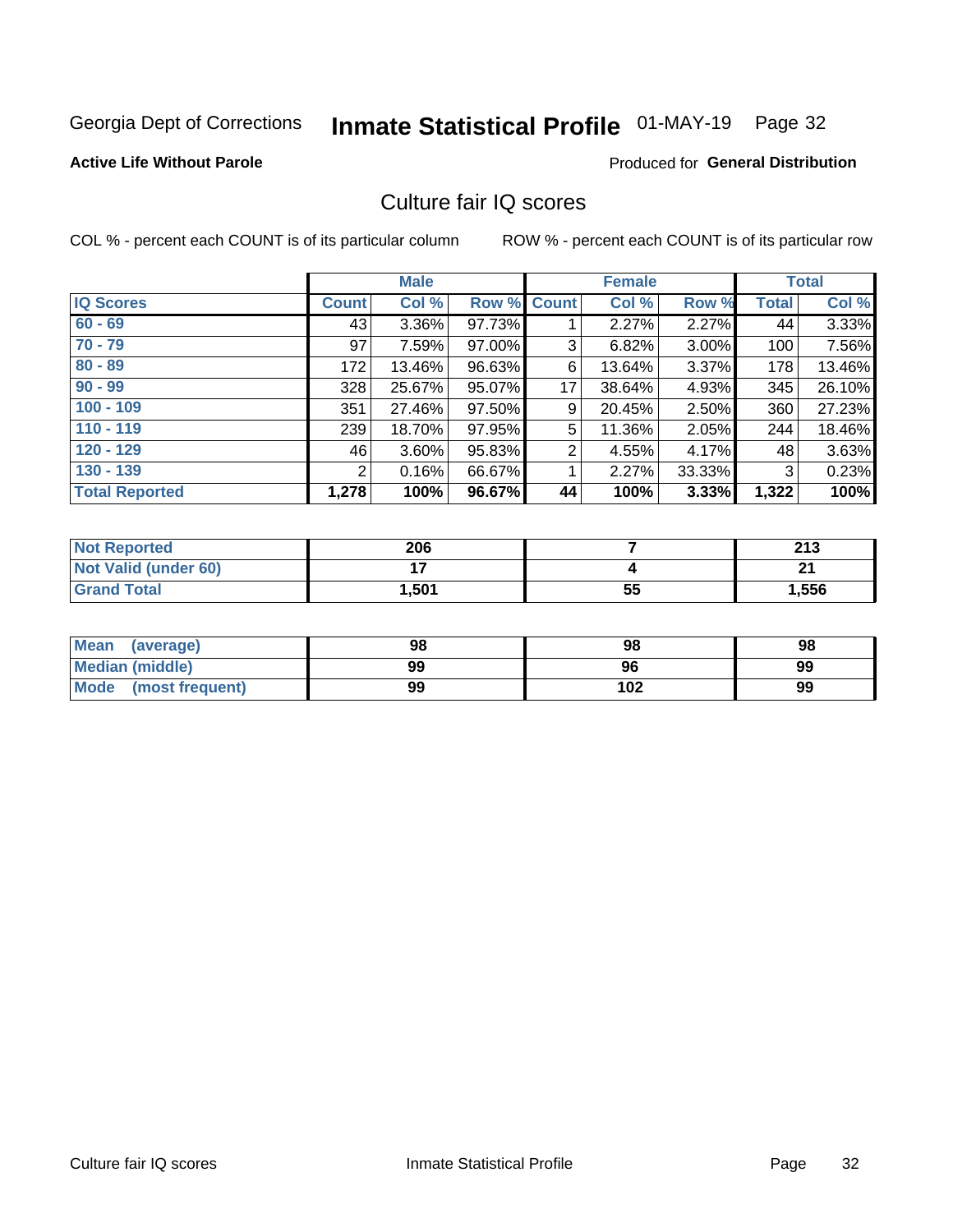## Inmate Statistical Profile 01-MAY-19 Page 32

#### **Active Life Without Parole**

#### **Produced for General Distribution**

### Culture fair IQ scores

COL % - percent each COUNT is of its particular column

|                       |              | <b>Male</b> |                    |                | <b>Female</b> |          |              | <b>Total</b> |
|-----------------------|--------------|-------------|--------------------|----------------|---------------|----------|--------------|--------------|
| <b>IQ Scores</b>      | <b>Count</b> | Col %       | <b>Row % Count</b> |                | Col %         | Row %    | <b>Total</b> | Col %        |
| $60 - 69$             | 43           | $3.36\%$    | 97.73%             |                | 2.27%         | $2.27\%$ | 44           | 3.33%        |
| $70 - 79$             | 97           | 7.59%       | 97.00%             | 3              | 6.82%         | 3.00%    | 100          | 7.56%        |
| $80 - 89$             | 172          | 13.46%      | 96.63%             | 6              | 13.64%        | $3.37\%$ | 178          | 13.46%       |
| $90 - 99$             | 328          | 25.67%      | 95.07%             | 17             | 38.64%        | 4.93%    | 345          | 26.10%       |
| $100 - 109$           | 351          | 27.46%      | 97.50%             | 9              | 20.45%        | 2.50%    | 360          | 27.23%       |
| $110 - 119$           | 239          | 18.70%      | 97.95%             | 5              | 11.36%        | 2.05%    | 244          | 18.46%       |
| $120 - 129$           | 46           | 3.60%       | 95.83%             | $\overline{2}$ | 4.55%         | 4.17%    | 48           | 3.63%        |
| $130 - 139$           | 2            | 0.16%       | 66.67%             | 1              | 2.27%         | 33.33%   | 3            | 0.23%        |
| <b>Total Reported</b> | 1,278        | 100%        | 96.67%             | 44             | 100%          | 3.33%    | 1,322        | 100%         |

| <b>Not Reported</b>  | 206   |    | つイつ<br>2 I J |
|----------------------|-------|----|--------------|
| Not Valid (under 60) |       |    | $\sim$       |
| <b>Grand Total</b>   | 1,501 | 55 | 1,556        |

| <b>Mean</b><br>(average) | 98 | 98  | 98 |
|--------------------------|----|-----|----|
| Median (middle)          | 99 | 96  | 99 |
| Mode (most frequent)     | 99 | 102 | 99 |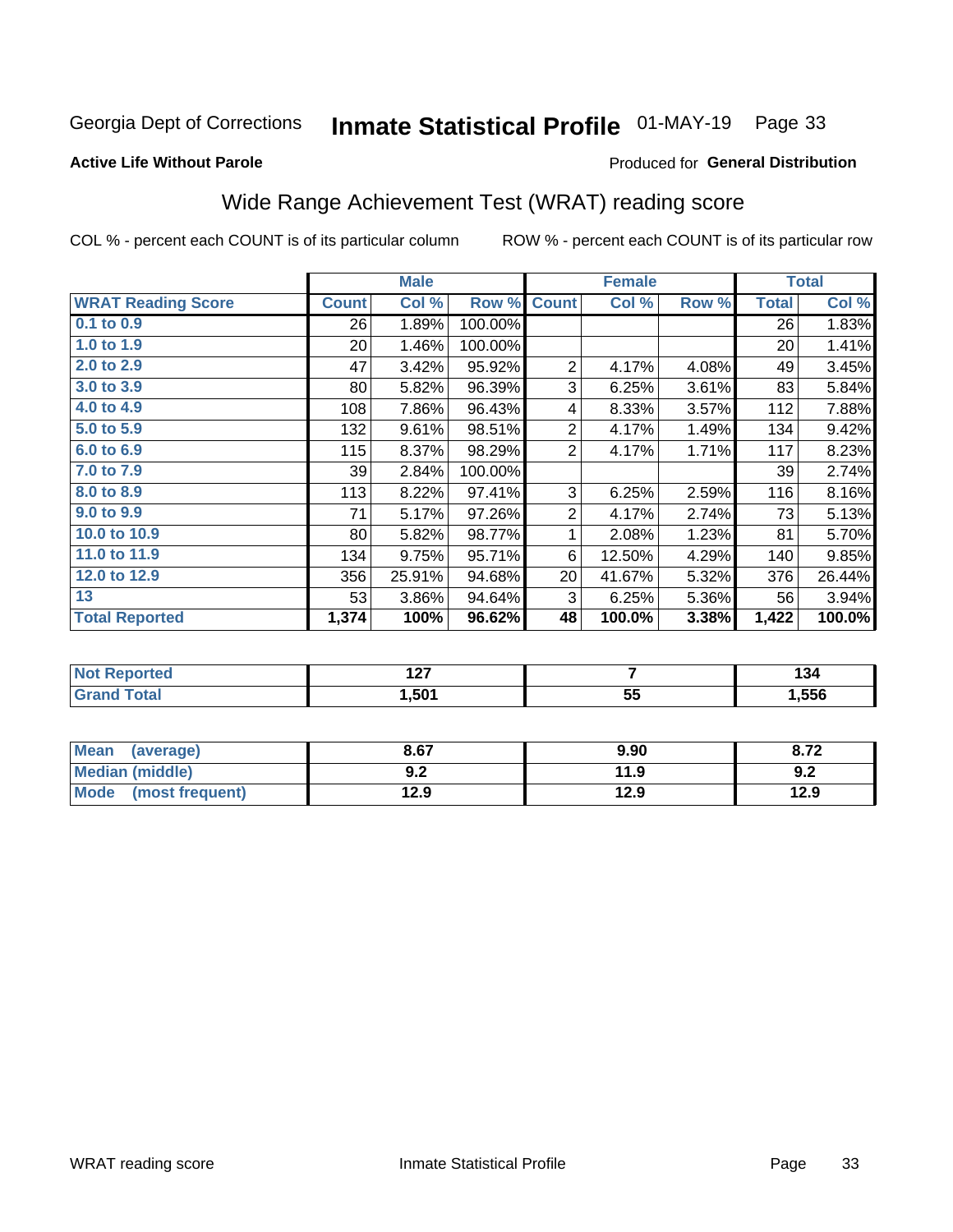## Inmate Statistical Profile 01-MAY-19 Page 33

#### **Active Life Without Parole**

#### **Produced for General Distribution**

## Wide Range Achievement Test (WRAT) reading score

COL % - percent each COUNT is of its particular column

| <b>WRAT Reading Score</b><br><b>Count</b><br>$0.1$ to $0.9$<br>26<br>1.0 to 1.9<br>20 <sup>2</sup><br>2.0 to 2.9<br>47<br>3.0 to 3.9<br>80 <br>4.0 to 4.9<br>108<br>5.0 to 5.9<br>132<br>6.0 to 6.9<br>115<br>7.0 to 7.9<br>39 | Col %<br>1.89%<br>1.46%<br>3.42%<br>5.82%<br>7.86%<br>9.61%<br>8.37% | Row %<br>100.00%<br>100.00%<br>95.92%<br>96.39%<br>96.43%<br>98.51% | <b>Count</b><br>$\overline{2}$<br>3<br>4 | Col %<br>4.17%<br>6.25%<br>8.33% | Row %<br>4.08%<br>3.61%<br>3.57% | <b>Total</b><br>26<br>20<br>49<br>83 | Col %<br>1.83%<br>1.41%<br>3.45%<br>5.84% |
|--------------------------------------------------------------------------------------------------------------------------------------------------------------------------------------------------------------------------------|----------------------------------------------------------------------|---------------------------------------------------------------------|------------------------------------------|----------------------------------|----------------------------------|--------------------------------------|-------------------------------------------|
|                                                                                                                                                                                                                                |                                                                      |                                                                     |                                          |                                  |                                  |                                      |                                           |
|                                                                                                                                                                                                                                |                                                                      |                                                                     |                                          |                                  |                                  |                                      |                                           |
|                                                                                                                                                                                                                                |                                                                      |                                                                     |                                          |                                  |                                  |                                      |                                           |
|                                                                                                                                                                                                                                |                                                                      |                                                                     |                                          |                                  |                                  |                                      |                                           |
|                                                                                                                                                                                                                                |                                                                      |                                                                     |                                          |                                  |                                  |                                      |                                           |
|                                                                                                                                                                                                                                |                                                                      |                                                                     |                                          |                                  |                                  | 112                                  | 7.88%                                     |
|                                                                                                                                                                                                                                |                                                                      |                                                                     | $\overline{2}$                           | 4.17%                            | 1.49%                            | 134                                  | 9.42%                                     |
|                                                                                                                                                                                                                                |                                                                      | 98.29%                                                              | $\overline{2}$                           | 4.17%                            | 1.71%                            | 117                                  | 8.23%                                     |
|                                                                                                                                                                                                                                | 2.84%                                                                | 100.00%                                                             |                                          |                                  |                                  | 39                                   | 2.74%                                     |
| 8.0 to 8.9<br>113                                                                                                                                                                                                              | 8.22%                                                                | 97.41%                                                              | 3                                        | 6.25%                            | 2.59%                            | 116                                  | 8.16%                                     |
| 9.0 to 9.9<br>71                                                                                                                                                                                                               | 5.17%                                                                | 97.26%                                                              | $\overline{2}$                           | 4.17%                            | 2.74%                            | 73                                   | 5.13%                                     |
| 10.0 to 10.9<br>80                                                                                                                                                                                                             | 5.82%                                                                | 98.77%                                                              | 1                                        | 2.08%                            | 1.23%                            | 81                                   | 5.70%                                     |
| 11.0 to 11.9<br>134                                                                                                                                                                                                            | 9.75%                                                                | 95.71%                                                              | 6                                        | 12.50%                           | 4.29%                            | 140                                  | 9.85%                                     |
| 12.0 to 12.9<br>356                                                                                                                                                                                                            | 25.91%                                                               | 94.68%                                                              | 20                                       | 41.67%                           | 5.32%                            | 376                                  | 26.44%                                    |
| 13<br>53                                                                                                                                                                                                                       | 3.86%                                                                | 94.64%                                                              | 3                                        | 6.25%                            | 5.36%                            | 56                                   | 3.94%                                     |
| <b>Total Reported</b><br>1,374                                                                                                                                                                                                 | 100%                                                                 | 96.62%                                                              | 48                                       | 100.0%                           | 3.38%                            | 1,422                                | 100.0%                                    |

| <b>Not Reported</b>          | "~<br>14 I |         | .<br>134 |
|------------------------------|------------|---------|----------|
| <b>Total</b><br><b>Grand</b> | ,501       | 55<br>◡ | ,556     |

| <b>Mean</b><br>(average)       | 8.67       | 9.90 | 8.72 |
|--------------------------------|------------|------|------|
| <b>Median (middle)</b>         | י ה<br>9.Z | 11.9 | 9.2  |
| <b>Mode</b><br>(most frequent) | 12.9       | 12.9 | 12.9 |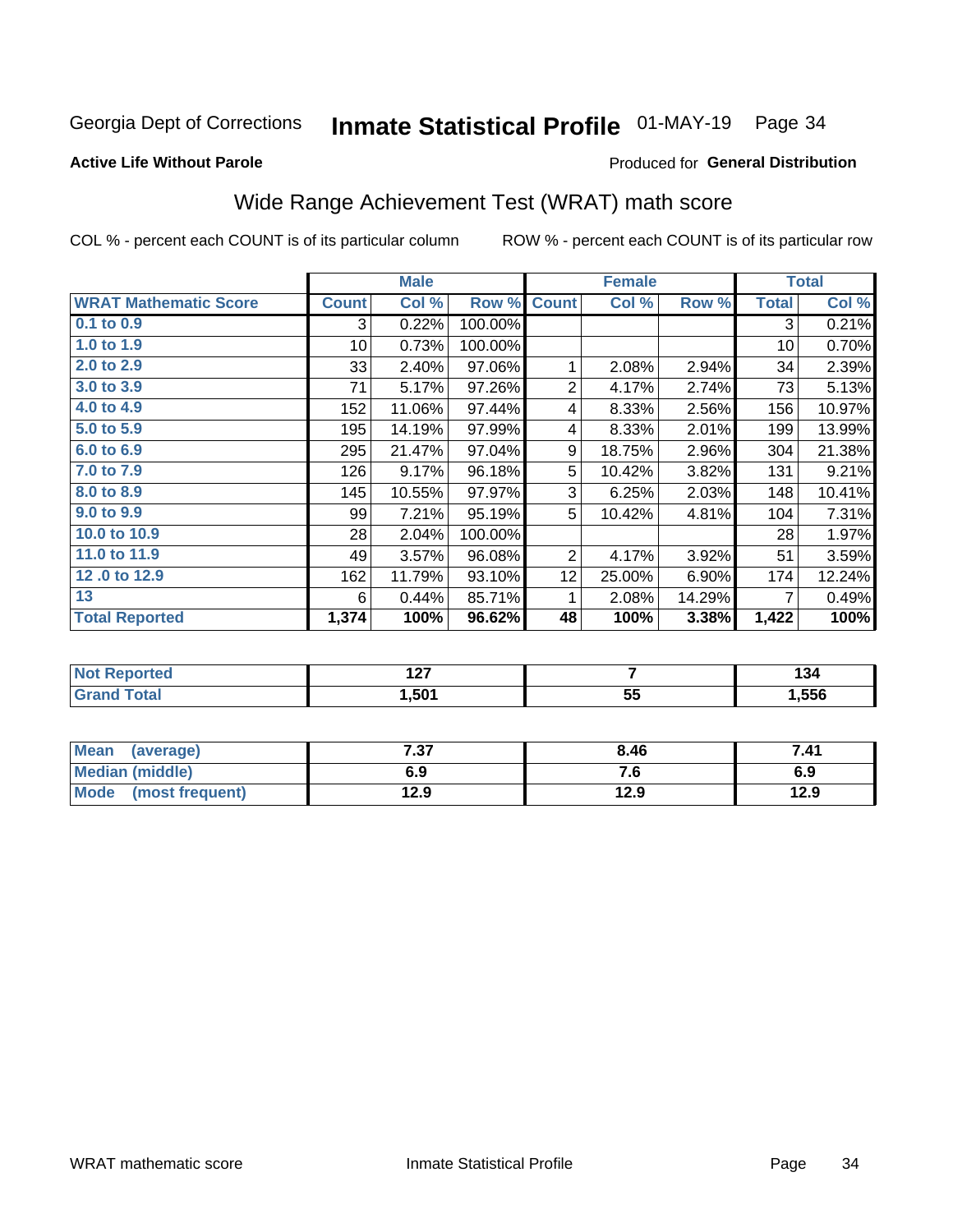## Inmate Statistical Profile 01-MAY-19 Page 34

#### **Active Life Without Parole**

#### Produced for General Distribution

## Wide Range Achievement Test (WRAT) math score

COL % - percent each COUNT is of its particular column

|                              |                 | <b>Male</b> |         |                 | <b>Female</b> |        |              | <b>Total</b> |
|------------------------------|-----------------|-------------|---------|-----------------|---------------|--------|--------------|--------------|
| <b>WRAT Mathematic Score</b> | <b>Count</b>    | Col %       | Row %   | <b>Count</b>    | Col %         | Row %  | <b>Total</b> | Col %        |
| $0.1$ to $0.9$               | 3               | 0.22%       | 100.00% |                 |               |        | 3            | 0.21%        |
| 1.0 to 1.9                   | 10 <sup>1</sup> | 0.73%       | 100.00% |                 |               |        | 10           | 0.70%        |
| 2.0 to 2.9                   | 33              | 2.40%       | 97.06%  | 1               | 2.08%         | 2.94%  | 34           | 2.39%        |
| 3.0 to 3.9                   | 71              | 5.17%       | 97.26%  | $\overline{2}$  | 4.17%         | 2.74%  | 73           | 5.13%        |
| 4.0 to 4.9                   | 152             | 11.06%      | 97.44%  | 4               | 8.33%         | 2.56%  | 156          | 10.97%       |
| 5.0 to 5.9                   | 195             | 14.19%      | 97.99%  | 4               | 8.33%         | 2.01%  | 199          | 13.99%       |
| 6.0 to 6.9                   | 295             | 21.47%      | 97.04%  | 9               | 18.75%        | 2.96%  | 304          | 21.38%       |
| 7.0 to 7.9                   | 126             | 9.17%       | 96.18%  | 5               | 10.42%        | 3.82%  | 131          | 9.21%        |
| 8.0 to 8.9                   | 145             | 10.55%      | 97.97%  | 3               | 6.25%         | 2.03%  | 148          | 10.41%       |
| 9.0 to 9.9                   | 99              | 7.21%       | 95.19%  | 5               | 10.42%        | 4.81%  | 104          | 7.31%        |
| 10.0 to 10.9                 | 28              | 2.04%       | 100.00% |                 |               |        | 28           | 1.97%        |
| 11.0 to 11.9                 | 49              | 3.57%       | 96.08%  | $\overline{2}$  | 4.17%         | 3.92%  | 51           | 3.59%        |
| 12.0 to 12.9                 | 162             | 11.79%      | 93.10%  | 12 <sub>2</sub> | 25.00%        | 6.90%  | 174          | 12.24%       |
| 13                           | 6               | 0.44%       | 85.71%  | 1               | 2.08%         | 14.29% | 7            | 0.49%        |
| <b>Total Reported</b>        | 1,374           | 100%        | 96.62%  | 48              | 100%          | 3.38%  | 1,422        | 100%         |

| <b>Not Reported</b>          | ៱៷<br>141 |              | .<br>134 |
|------------------------------|-----------|--------------|----------|
| <b>Total</b><br><b>Grand</b> | 501.ا     | --<br><br>JJ | ,556     |

| <b>Mean</b><br>(average) | 7 27<br>، ن | 8.46  | 7.41 |
|--------------------------|-------------|-------|------|
| Median (middle)          | 6.9         | . . O | 6.9  |
| Mode<br>(most frequent)  | 12.9        | 12.9  | 12.9 |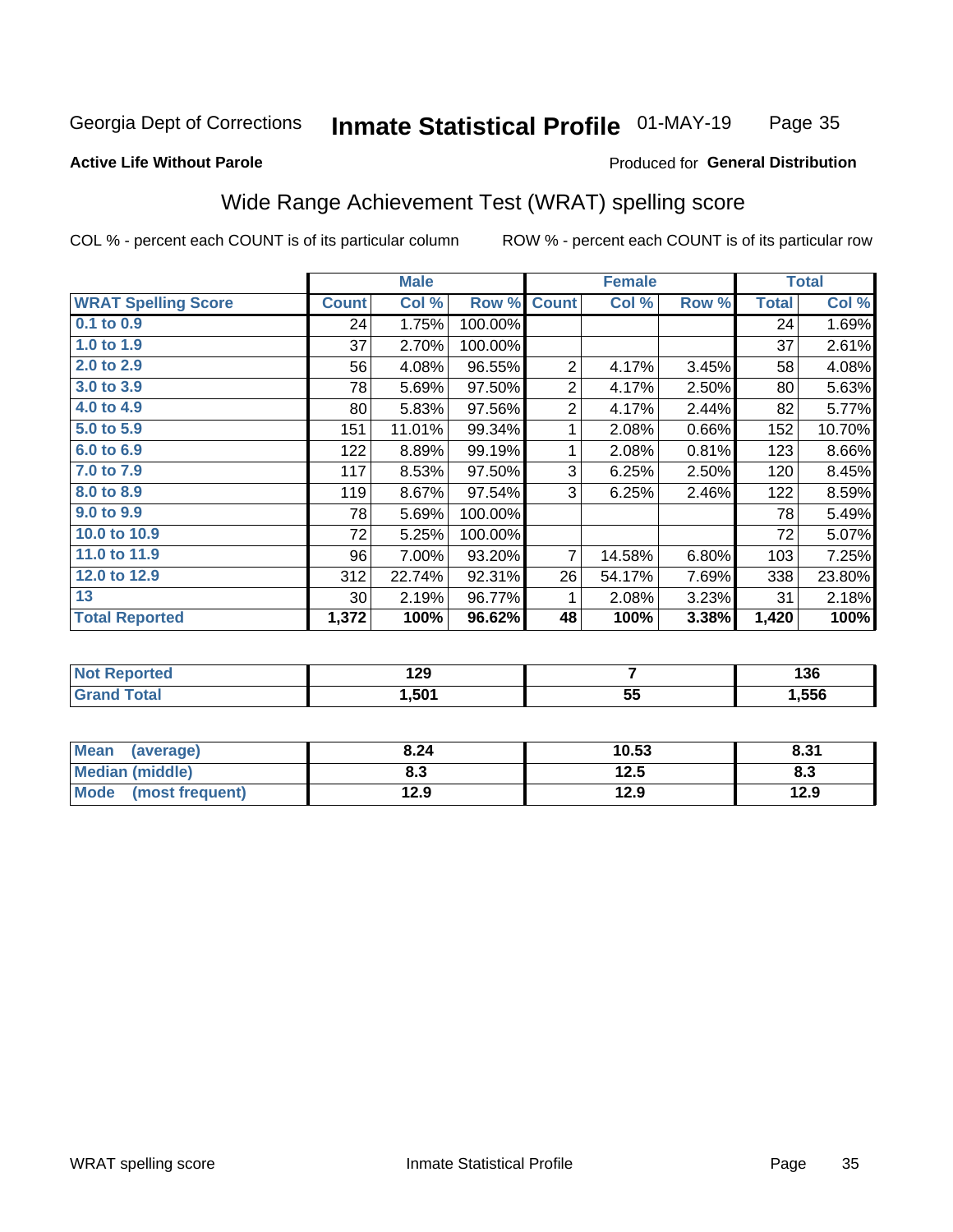#### Inmate Statistical Profile 01-MAY-19 Page 35

#### **Active Life Without Parole**

#### Produced for General Distribution

### Wide Range Achievement Test (WRAT) spelling score

COL % - percent each COUNT is of its particular column

|                            |              | <b>Male</b> |         |                | <b>Female</b>  |       |              | <b>Total</b> |
|----------------------------|--------------|-------------|---------|----------------|----------------|-------|--------------|--------------|
| <b>WRAT Spelling Score</b> | <b>Count</b> | Col %       | Row %   | <b>Count</b>   | Col %          | Row % | <b>Total</b> | Col %        |
| 0.1 to 0.9                 | 24           | 1.75%       | 100.00% |                |                |       | 24           | 1.69%        |
| 1.0 to $1.9$               | 37           | 2.70%       | 100.00% |                |                |       | 37           | 2.61%        |
| 2.0 to 2.9                 | 56           | 4.08%       | 96.55%  | $\overline{2}$ | 4.17%          | 3.45% | 58           | 4.08%        |
| 3.0 to 3.9                 | 78           | 5.69%       | 97.50%  | $\overline{2}$ | 4.17%          | 2.50% | 80           | 5.63%        |
| 4.0 to 4.9                 | 80           | 5.83%       | 97.56%  | $\overline{2}$ | 4.17%          | 2.44% | 82           | 5.77%        |
| 5.0 to 5.9                 | 151          | 11.01%      | 99.34%  | 1              | 2.08%          | 0.66% | 152          | 10.70%       |
| 6.0 to 6.9                 | 122          | 8.89%       | 99.19%  | 1              | 2.08%          | 0.81% | 123          | 8.66%        |
| 7.0 to 7.9                 | 117          | 8.53%       | 97.50%  | 3              | 6.25%          | 2.50% | 120          | 8.45%        |
| 8.0 to 8.9                 | 119          | 8.67%       | 97.54%  | 3              | 6.25%          | 2.46% | 122          | 8.59%        |
| 9.0 to 9.9                 | 78           | 5.69%       | 100.00% |                |                |       | 78           | 5.49%        |
| 10.0 to 10.9               | 72           | 5.25%       | 100.00% |                |                |       | 72           | 5.07%        |
| 11.0 to 11.9               | 96           | 7.00%       | 93.20%  | $\overline{7}$ | 14.58%         | 6.80% | 103          | 7.25%        |
| 12.0 to 12.9               | 312          | 22.74%      | 92.31%  | 26             | 54.17%         | 7.69% | 338          | 23.80%       |
| 13                         | 30           | 2.19%       | 96.77%  | 1              | 2.08%          | 3.23% | 31           | 2.18%        |
| <b>Total Reported</b>      | 1,372        | 100%        | 96.62%  | 48             | 100%           | 3.38% | 1,420        | 100%         |
|                            |              |             |         |                |                |       |              |              |
| <b>Not Reported</b>        |              | 129         |         |                | $\overline{7}$ |       |              | 136          |
| <b>Grand Total</b>         |              | 1,501       |         |                | 55             |       |              | 1,556        |

| <b>Mean</b><br>(average)       | 8.24 | 10.53 | 8.31 |
|--------------------------------|------|-------|------|
| Median (middle)                | o. J | 12.5  | ი.ა  |
| <b>Mode</b><br>(most frequent) | 12.9 | 12.9  | 12.9 |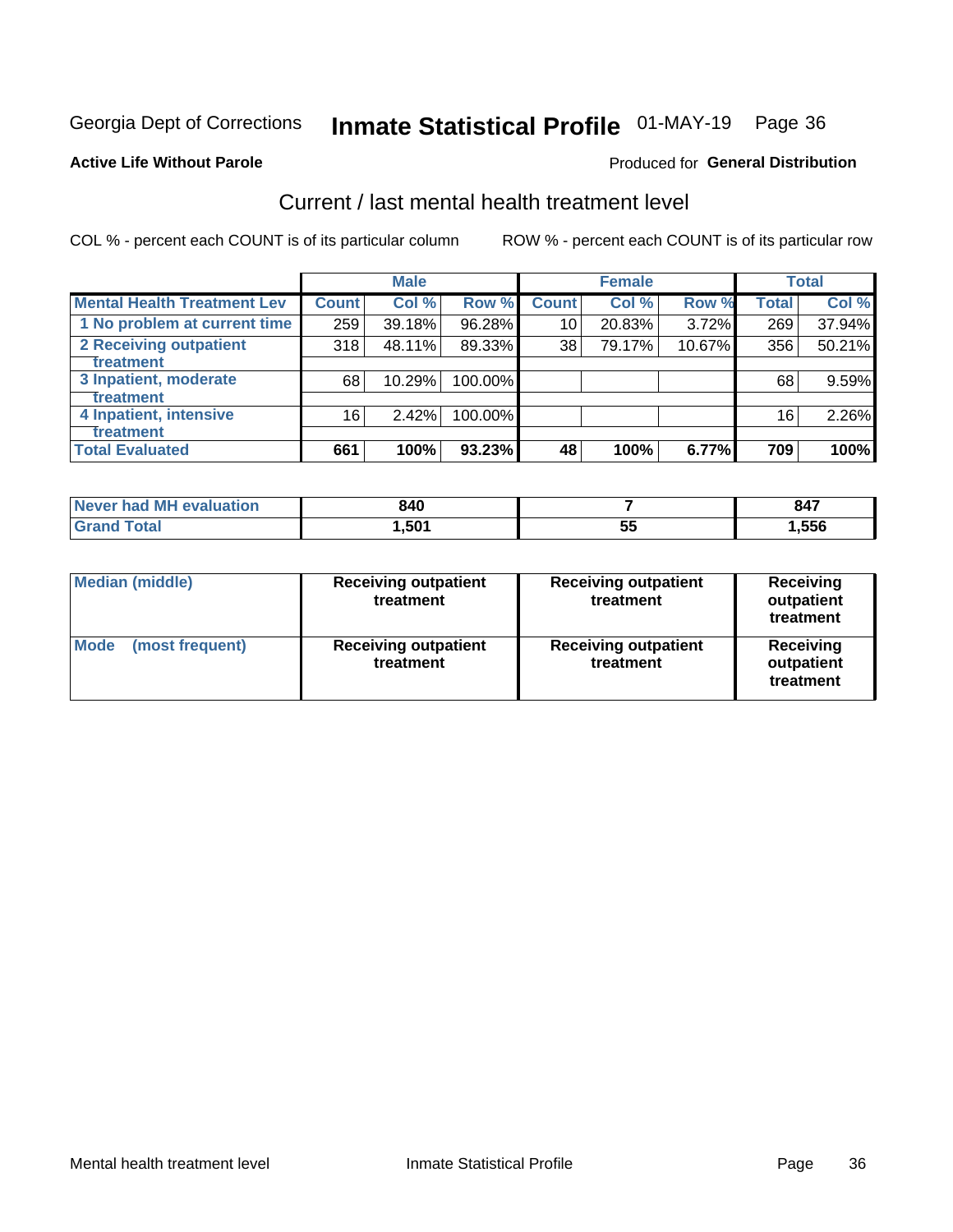## Inmate Statistical Profile 01-MAY-19 Page 36

#### **Active Life Without Parole**

#### **Produced for General Distribution**

## Current / last mental health treatment level

COL % - percent each COUNT is of its particular column

|                                    |              | <b>Male</b> |         |              | <b>Female</b> |        |              | <b>Total</b> |
|------------------------------------|--------------|-------------|---------|--------------|---------------|--------|--------------|--------------|
| <b>Mental Health Treatment Lev</b> | <b>Count</b> | Col %       | Row %   | <b>Count</b> | Col %         | Row %  | <b>Total</b> | Col %        |
| 1 No problem at current time       | 259          | 39.18%      | 96.28%  | 10           | 20.83%        | 3.72%  | 269          | 37.94%       |
| 2 Receiving outpatient             | 318          | 48.11%      | 89.33%  | 38           | 79.17%        | 10.67% | 356          | 50.21%       |
| Treatment                          |              |             |         |              |               |        |              |              |
| 3 Inpatient, moderate              | 68           | 10.29%      | 100.00% |              |               |        | 68           | 9.59%        |
| <b>Treatment</b>                   |              |             |         |              |               |        |              |              |
| 4 Inpatient, intensive             | 16           | $2.42\%$    | 100.00% |              |               |        | 16           | 2.26%        |
| Treatment                          |              |             |         |              |               |        |              |              |
| <b>Total Evaluated</b>             | 661          | 100%        | 93.23%  | 48           | 100%          | 6.77%  | 709          | 100%         |

| Never had MH evaluation | 840   |           | 847  |
|-------------------------|-------|-----------|------|
|                         | .,501 | - -<br>vu | ,556 |

| <b>Median (middle)</b>         | <b>Receiving outpatient</b><br>treatment | <b>Receiving outpatient</b><br>treatment | <b>Receiving</b><br>outpatient<br>treatment |  |
|--------------------------------|------------------------------------------|------------------------------------------|---------------------------------------------|--|
| <b>Mode</b><br>(most frequent) | <b>Receiving outpatient</b><br>treatment | <b>Receiving outpatient</b><br>treatment | <b>Receiving</b><br>outpatient<br>treatment |  |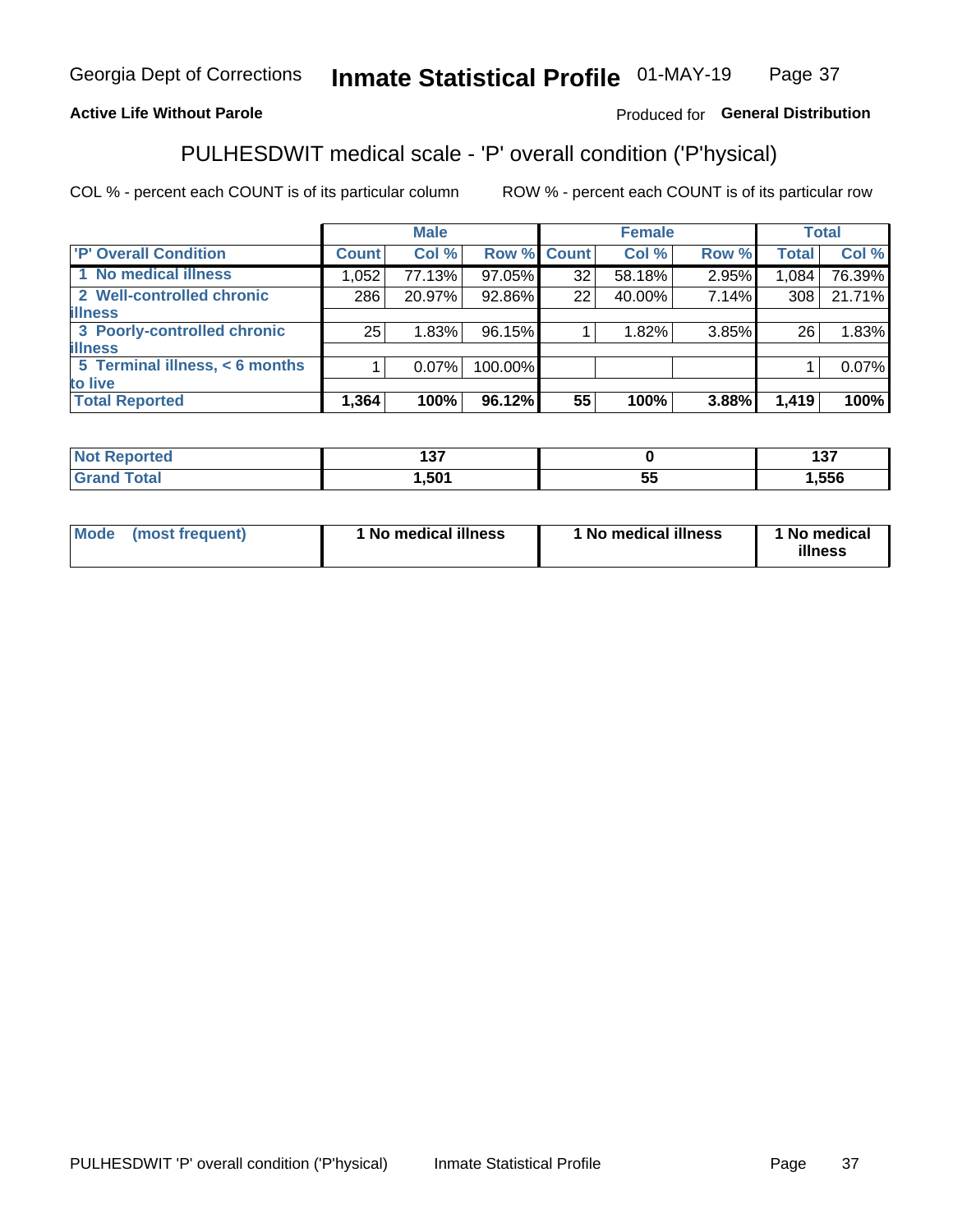#### Inmate Statistical Profile 01-MAY-19 Page 37

#### **Active Life Without Parole**

#### Produced for General Distribution

## PULHESDWIT medical scale - 'P' overall condition ('P'hysical)

COL % - percent each COUNT is of its particular column

|                                |              | <b>Male</b> |             |    | <b>Female</b> |       |                 | <b>Total</b> |
|--------------------------------|--------------|-------------|-------------|----|---------------|-------|-----------------|--------------|
| 'P' Overall Condition          | <b>Count</b> | Col %       | Row % Count |    | Col %         | Row % | <b>Total</b>    | Col %        |
| 1 No medical illness           | 1,052        | 77.13%      | 97.05%      | 32 | 58.18%        | 2.95% | 1,084           | 76.39%       |
| 2 Well-controlled chronic      | 286          | 20.97%      | 92.86%      | 22 | 40.00%        | 7.14% | 308             | 21.71%       |
| <b>lillness</b>                |              |             |             |    |               |       |                 |              |
| 3 Poorly-controlled chronic    | 25           | 1.83%       | 96.15%      |    | 1.82%         | 3.85% | 26 <sub>1</sub> | 1.83%        |
| <b>illness</b>                 |              |             |             |    |               |       |                 |              |
| 5 Terminal illness, < 6 months |              | $0.07\%$    | 100.00%     |    |               |       |                 | 0.07%        |
| to live                        |              |             |             |    |               |       |                 |              |
| <b>Total Reported</b>          | 1,364        | 100%        | 96.12%      | 55 | 100%          | 3.88% | 1,419           | 100%         |

| --<br>. .<br>___ |             | $\sim$<br><u>. </u> |
|------------------|-------------|---------------------|
| EO <sub>4</sub>  | --<br><br>ぃ | .556                |

| <b>Mode</b> | (most frequent) | 1 No medical illness | 1 No medical illness | 1 No medical<br>illness |
|-------------|-----------------|----------------------|----------------------|-------------------------|
|-------------|-----------------|----------------------|----------------------|-------------------------|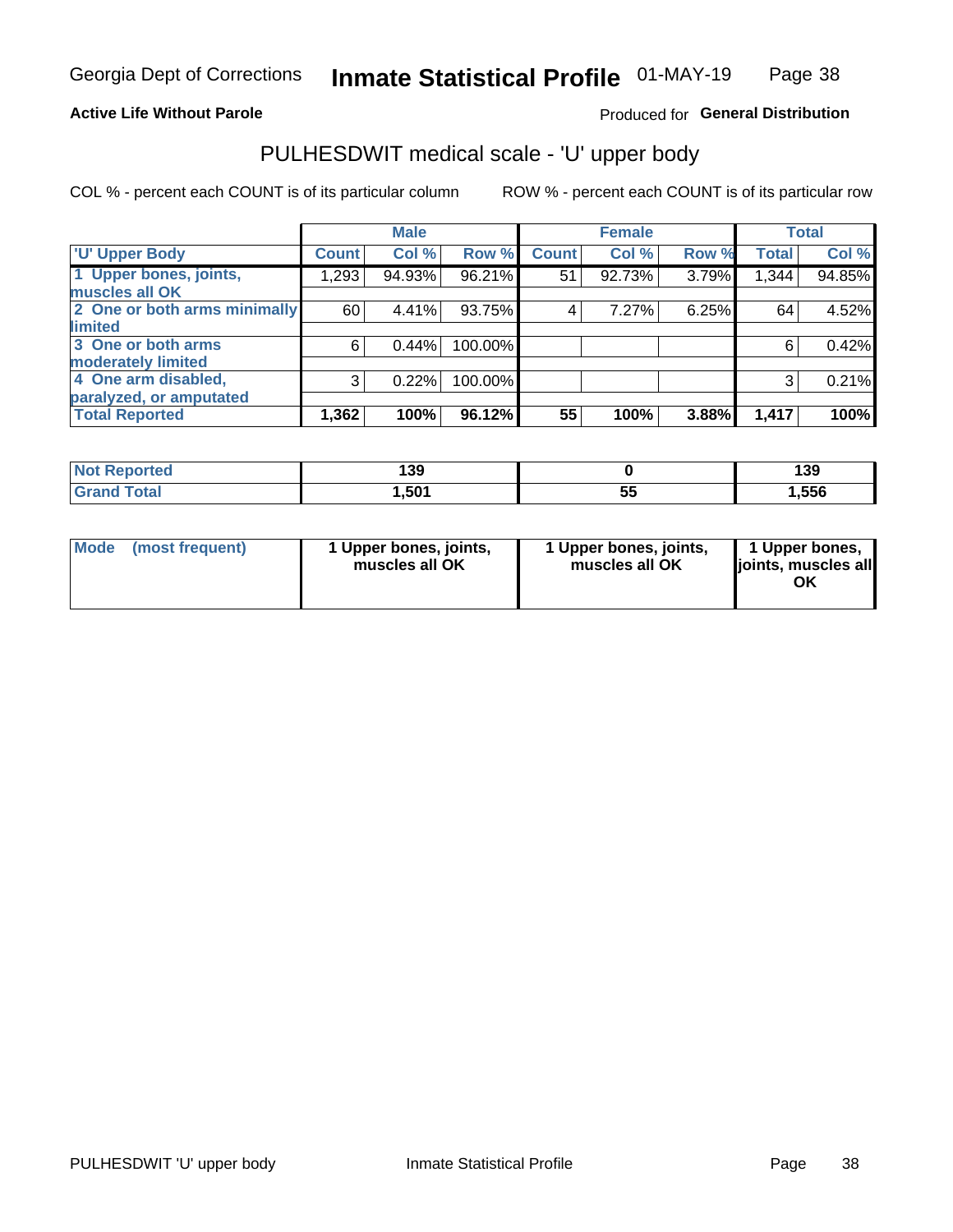#### **Active Life Without Parole**

#### Produced for General Distribution

## PULHESDWIT medical scale - 'U' upper body

COL % - percent each COUNT is of its particular column

|                              |              | <b>Male</b> |         |              | <b>Female</b> |       |              | <b>Total</b> |
|------------------------------|--------------|-------------|---------|--------------|---------------|-------|--------------|--------------|
| <b>U' Upper Body</b>         | <b>Count</b> | Col %       | Row %   | <b>Count</b> | Col %         | Row % | <b>Total</b> | Col %        |
| 1 Upper bones, joints,       | 1,293        | 94.93%      | 96.21%  | 51           | 92.73%        | 3.79% | 1,344        | 94.85%       |
| muscles all OK               |              |             |         |              |               |       |              |              |
| 2 One or both arms minimally | 60           | 4.41%       | 93.75%  | 4            | 7.27%         | 6.25% | 64           | 4.52%        |
| limited                      |              |             |         |              |               |       |              |              |
| 3 One or both arms           | 6            | 0.44%       | 100.00% |              |               |       | 6            | 0.42%        |
| moderately limited           |              |             |         |              |               |       |              |              |
| 4 One arm disabled,          | 3            | 0.22%       | 100.00% |              |               |       | 3            | 0.21%        |
| paralyzed, or amputated      |              |             |         |              |               |       |              |              |
| <b>Total Reported</b>        | 1,362        | 100%        | 96.12%  | 55           | 100%          | 3.88% | 1,417        | 100%         |

| <b>Not Reported</b> | 139  |    | 139  |
|---------------------|------|----|------|
| <b>Grand Total</b>  | ,501 | vu | 556, |

| <b>Mode</b> | (most frequent) | 1 Upper bones, joints,<br>muscles all OK | 1 Upper bones, joints,<br>muscles all OK | 1 Upper bones,<br>ljoints, muscles all<br>ОK |
|-------------|-----------------|------------------------------------------|------------------------------------------|----------------------------------------------|
|-------------|-----------------|------------------------------------------|------------------------------------------|----------------------------------------------|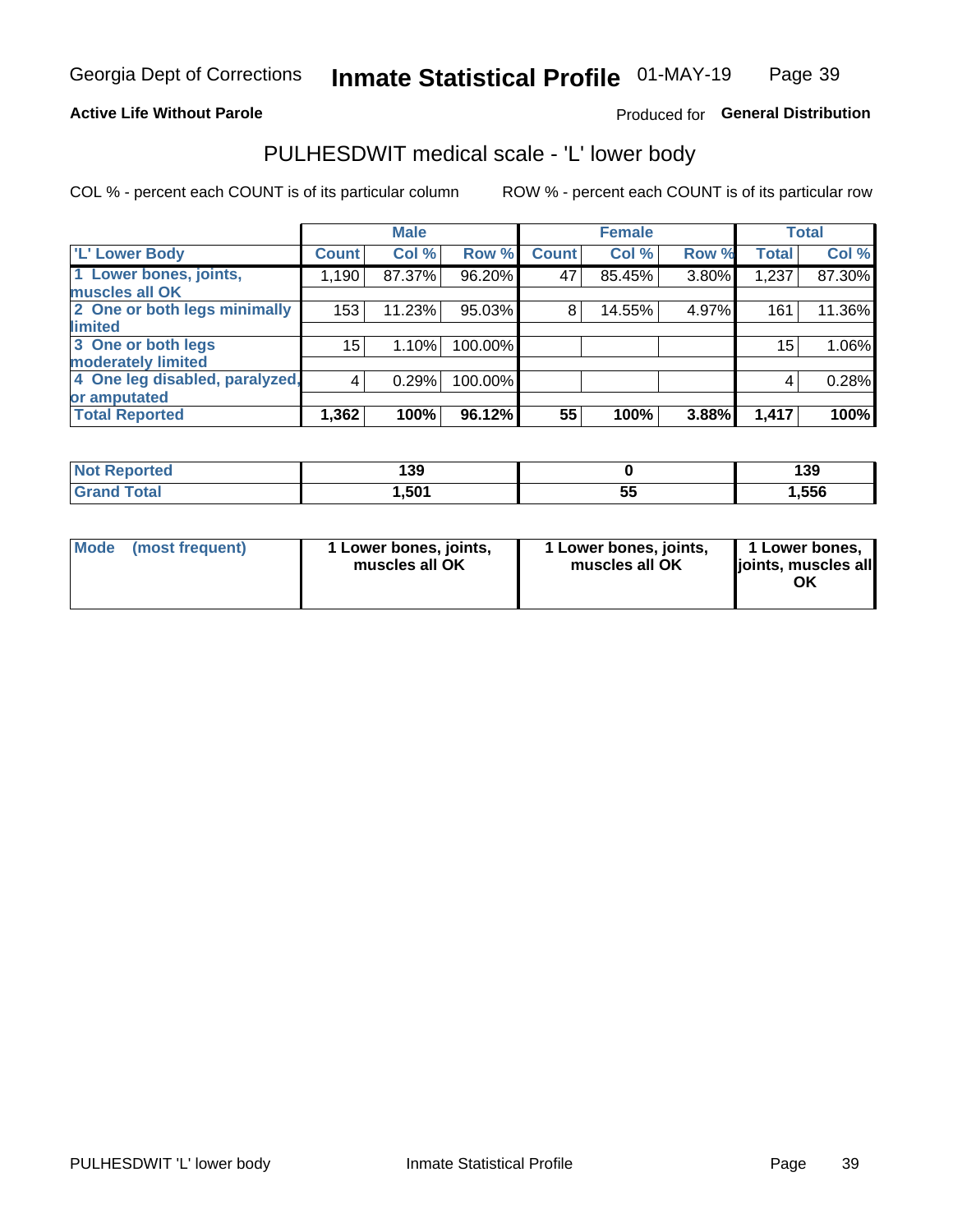#### **Active Life Without Parole**

#### Produced for General Distribution

### PULHESDWIT medical scale - 'L' lower body

COL % - percent each COUNT is of its particular column

|                                |               | <b>Male</b> |         |              | <b>Female</b> |       |              | <b>Total</b> |
|--------------------------------|---------------|-------------|---------|--------------|---------------|-------|--------------|--------------|
| 'L' Lower Body                 | <b>Count!</b> | Col %       | Row %   | <b>Count</b> | Col %         | Row % | <b>Total</b> | Col %        |
| 1 Lower bones, joints,         | 1,190         | 87.37%      | 96.20%  | 47           | 85.45%        | 3.80% | 1,237        | 87.30%       |
| muscles all OK                 |               |             |         |              |               |       |              |              |
| 2 One or both legs minimally   | 153           | 11.23%      | 95.03%  | 8            | 14.55%        | 4.97% | 161          | 11.36%       |
| limited                        |               |             |         |              |               |       |              |              |
| 3 One or both legs             | 15            | 1.10%       | 100.00% |              |               |       | 15           | 1.06%        |
| moderately limited             |               |             |         |              |               |       |              |              |
| 4 One leg disabled, paralyzed, | 4             | 0.29%       | 100.00% |              |               |       | 4            | 0.28%        |
| or amputated                   |               |             |         |              |               |       |              |              |
| <b>Total Reported</b>          | 1,362         | 100%        | 96.12%  | 55           | 100%          | 3.88% | 1,417        | 100%         |

| <b>Not Reported</b> | 139   |    | 139  |
|---------------------|-------|----|------|
| <b>Grand Total</b>  | 1,501 | ວະ | ,556 |

| Mode | (most frequent) | 1 Lower bones, joints,<br>muscles all OK | 1 Lower bones, joints,<br>muscles all OK | 1 Lower bones,<br>ljoints, muscles all<br>ΟK |
|------|-----------------|------------------------------------------|------------------------------------------|----------------------------------------------|
|------|-----------------|------------------------------------------|------------------------------------------|----------------------------------------------|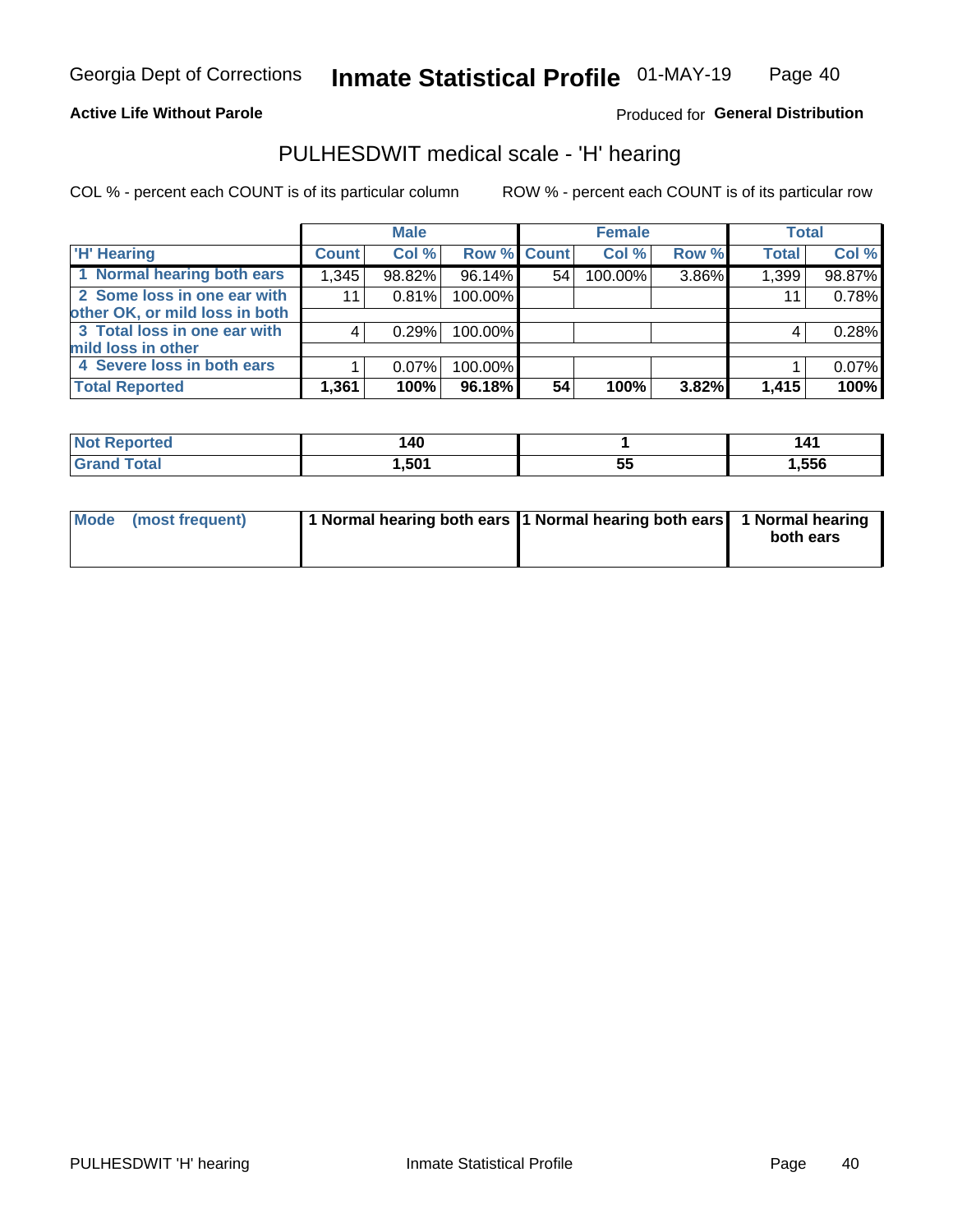#### **Active Life Without Parole**

Produced for General Distribution

### PULHESDWIT medical scale - 'H' hearing

COL % - percent each COUNT is of its particular column

|                                |              | <b>Male</b> |                    |    | <b>Female</b> |       | <b>Total</b> |        |
|--------------------------------|--------------|-------------|--------------------|----|---------------|-------|--------------|--------|
| <b>H' Hearing</b>              | <b>Count</b> | Col %       | <b>Row % Count</b> |    | Col %         | Row % | <b>Total</b> | Col %  |
| 1 Normal hearing both ears     | 1,345        | 98.82%      | 96.14%             | 54 | 100.00%       | 3.86% | 1,399        | 98.87% |
| 2 Some loss in one ear with    | 11           | 0.81%       | 100.00%            |    |               |       | 11           | 0.78%  |
| other OK, or mild loss in both |              |             |                    |    |               |       |              |        |
| 3 Total loss in one ear with   | 4            | 0.29%       | 100.00%            |    |               |       | 4            | 0.28%  |
| mild loss in other             |              |             |                    |    |               |       |              |        |
| 4 Severe loss in both ears     |              | $0.07\%$    | 100.00%            |    |               |       |              | 0.07%  |
| <b>Total Reported</b>          | 1,361        | 100%        | 96.18%             | 54 | 100%          | 3.82% | 1,415        | 100%   |

| ported<br>NOT   | 140  |             | 14.<br>- - - |
|-----------------|------|-------------|--------------|
| $n+n$<br>______ | .501 | $\sim$<br>◡ | 556,،        |

| Mode (most frequent) | 1 Normal hearing both ears 1 Normal hearing both ears 1 Normal hearing | both ears |
|----------------------|------------------------------------------------------------------------|-----------|
|                      |                                                                        |           |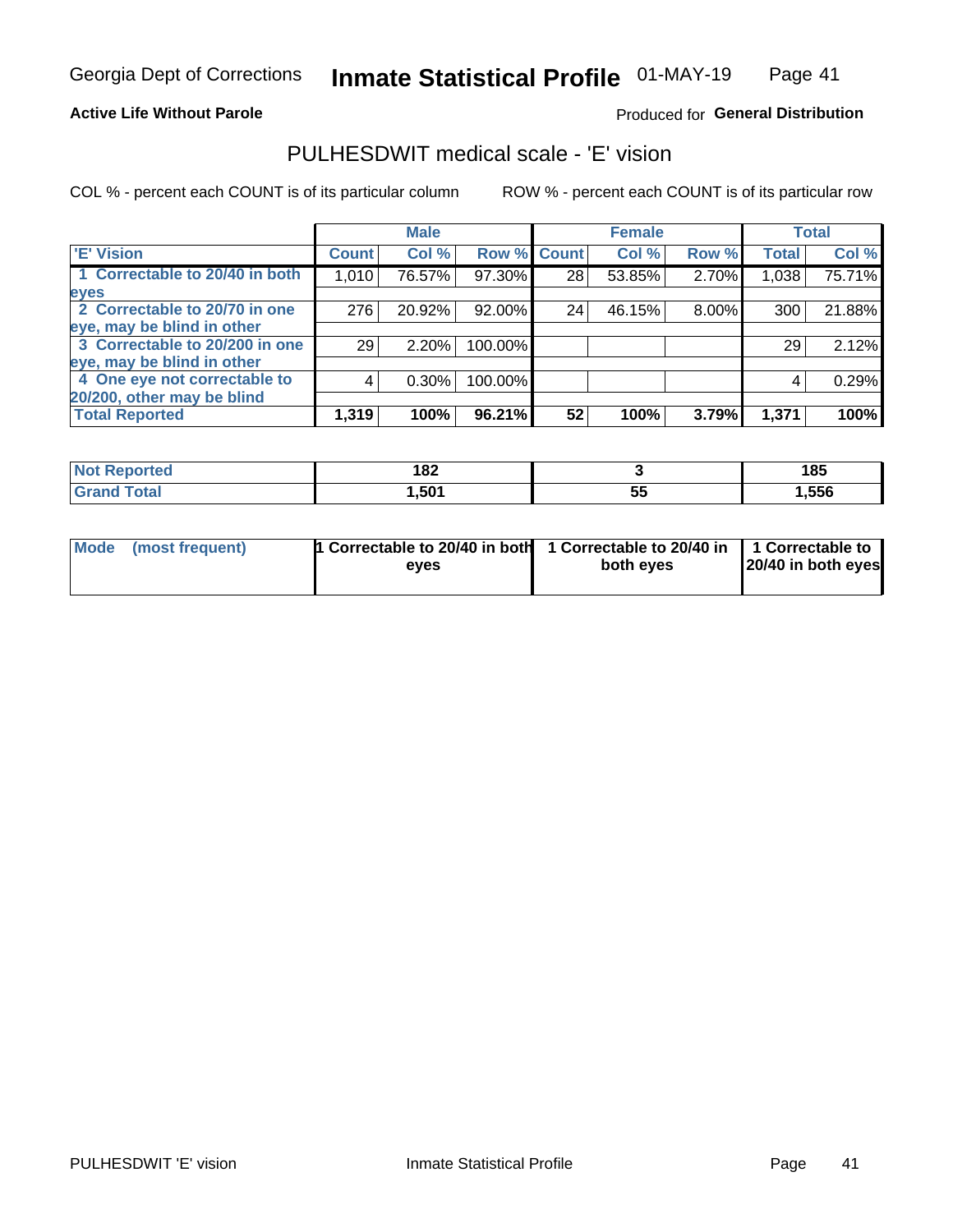#### **Active Life Without Parole**

#### Produced for General Distribution

### PULHESDWIT medical scale - 'E' vision

COL % - percent each COUNT is of its particular column

|                                |              | <b>Male</b> |             |    | <b>Female</b> |          |              | <b>Total</b> |
|--------------------------------|--------------|-------------|-------------|----|---------------|----------|--------------|--------------|
| <b>E' Vision</b>               | <b>Count</b> | Col %       | Row % Count |    | Col %         | Row %    | <b>Total</b> | Col %        |
| 1 Correctable to 20/40 in both | 1,010        | 76.57%      | 97.30%      | 28 | 53.85%        | 2.70%    | 1,038        | 75.71%       |
| eyes                           |              |             |             |    |               |          |              |              |
| 2 Correctable to 20/70 in one  | 276          | 20.92%      | 92.00%      | 24 | 46.15%        | $8.00\%$ | 300          | 21.88%       |
| eye, may be blind in other     |              |             |             |    |               |          |              |              |
| 3 Correctable to 20/200 in one | 29           | 2.20%       | 100.00%     |    |               |          | 29           | 2.12%        |
| eye, may be blind in other     |              |             |             |    |               |          |              |              |
| 4 One eye not correctable to   | 4            | $0.30\%$    | 100.00%     |    |               |          | 4            | 0.29%        |
| 20/200, other may be blind     |              |             |             |    |               |          |              |              |
| <b>Total Reported</b>          | 1,319        | 100%        | $96.21\%$   | 52 | 100%          | 3.79%    | 1,371        | 100%         |

| <b>Not Reported</b> | រ ០១<br>.UZ |          | 185  |
|---------------------|-------------|----------|------|
| Total               | 501,ا       | --<br>ວະ | ,556 |

| Mode (most frequent) | 1 Correctable to 20/40 in both<br>eves | 1 Correctable to 20/40 in   1 Correctable to<br>both eyes | 20/40 in both eyes |
|----------------------|----------------------------------------|-----------------------------------------------------------|--------------------|
|                      |                                        |                                                           |                    |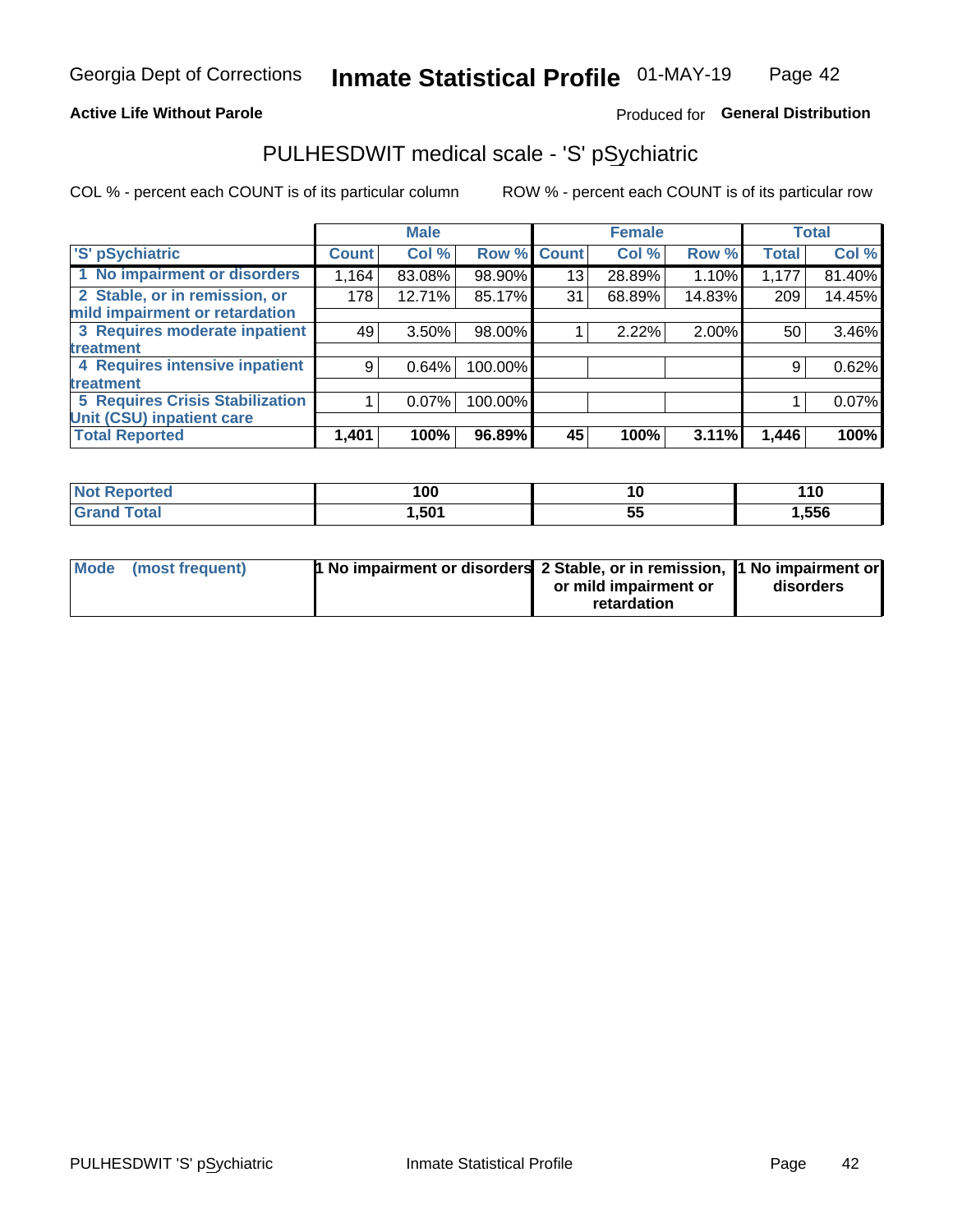#### **Active Life Without Parole**

#### Produced for General Distribution

## PULHESDWIT medical scale - 'S' pSychiatric

COL % - percent each COUNT is of its particular column

|                                        |              | <b>Male</b> |         |             | <b>Female</b> |        |              | <b>Total</b> |
|----------------------------------------|--------------|-------------|---------|-------------|---------------|--------|--------------|--------------|
| 'S' pSychiatric                        | <b>Count</b> | Col %       |         | Row % Count | Col %         | Row %  | <b>Total</b> | Col %        |
| 1 No impairment or disorders           | 1,164        | 83.08%      | 98.90%  | 13          | 28.89%        | 1.10%  | 1,177        | 81.40%       |
| 2 Stable, or in remission, or          | 178          | 12.71%      | 85.17%  | 31          | 68.89%        | 14.83% | 209          | 14.45%       |
| mild impairment or retardation         |              |             |         |             |               |        |              |              |
| 3 Requires moderate inpatient          | 49           | $3.50\%$    | 98.00%  |             | 2.22%         | 2.00%  | 50           | 3.46%        |
| treatment                              |              |             |         |             |               |        |              |              |
| 4 Requires intensive inpatient         | 9            | 0.64%       | 100.00% |             |               |        | 9            | 0.62%        |
| treatment                              |              |             |         |             |               |        |              |              |
| <b>5 Requires Crisis Stabilization</b> |              | $0.07\%$    | 100.00% |             |               |        |              | 0.07%        |
| Unit (CSU) inpatient care              |              |             |         |             |               |        |              |              |
| <b>Total Reported</b>                  | 1,401        | 100%        | 96.89%  | 45          | 100%          | 3.11%  | 1,446        | 100%         |

| <b>Not Reported</b> | 100   |   | 110   |
|---------------------|-------|---|-------|
| <b>Grand Total</b>  | 501,ا | ◡ | 1,556 |

| Mode (most frequent) | <b>1 No impairment or disorders</b> 2 Stable, or in remission, 11 No impairment or |                       |           |
|----------------------|------------------------------------------------------------------------------------|-----------------------|-----------|
|                      |                                                                                    | or mild impairment or | disorders |
|                      |                                                                                    | retardation           |           |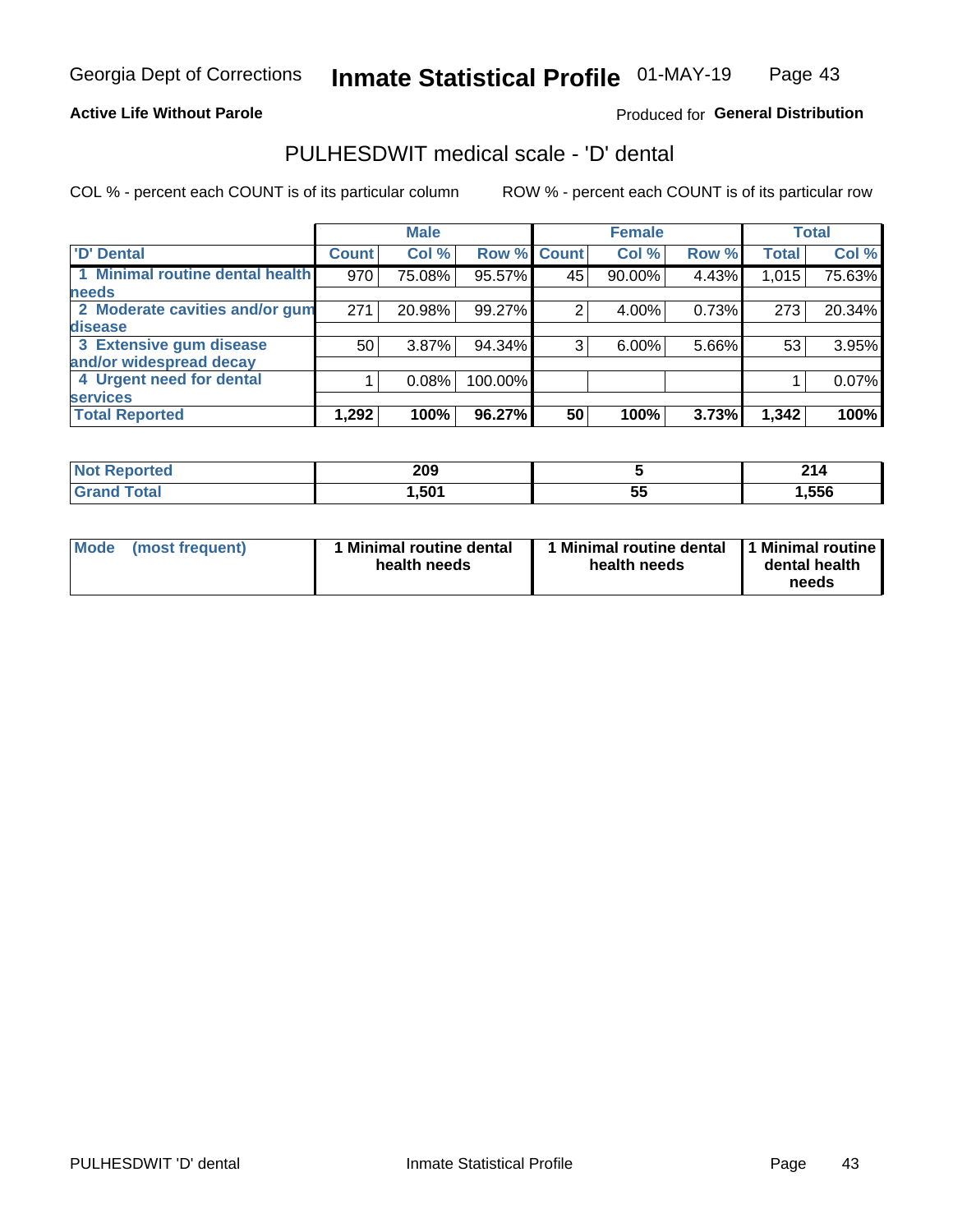#### **Active Life Without Parole**

#### Produced for General Distribution

## PULHESDWIT medical scale - 'D' dental

COL % - percent each COUNT is of its particular column

|                                 |              | <b>Male</b> |         |             | <b>Female</b> |       |              | <b>Total</b> |
|---------------------------------|--------------|-------------|---------|-------------|---------------|-------|--------------|--------------|
| <b>D'</b> Dental                | <b>Count</b> | Col %       |         | Row % Count | Col %         | Row % | <b>Total</b> | Col %        |
| 1 Minimal routine dental health | 970          | 75.08%      | 95.57%  | 45          | 90.00%        | 4.43% | 1,015        | 75.63%       |
| <b>needs</b>                    |              |             |         |             |               |       |              |              |
| 2 Moderate cavities and/or gum  | 271          | 20.98%      | 99.27%  |             | 4.00%         | 0.73% | 273          | 20.34%       |
| disease                         |              |             |         |             |               |       |              |              |
| 3 Extensive gum disease         | 50           | 3.87%       | 94.34%  | 3           | 6.00%         | 5.66% | 53           | 3.95%        |
| and/or widespread decay         |              |             |         |             |               |       |              |              |
| 4 Urgent need for dental        |              | 0.08%       | 100.00% |             |               |       |              | 0.07%        |
| <b>services</b>                 |              |             |         |             |               |       |              |              |
| <b>Total Reported</b>           | 1,292        | 100%        | 96.27%  | 50          | 100%          | 3.73% | 1,342        | 100%         |

| orted<br>NOT RADO<br>. | 209  |           | O4.<br>Z 14 |
|------------------------|------|-----------|-------------|
| <b>Total</b>           | ,501 | --<br>ູບປ | ,556        |

| <b>Mode</b> | (most frequent) | <b>Minimal routine dental</b><br>health needs | 1 Minimal routine dental<br>health needs | <b>11 Minimal routine I</b><br>dental health<br>needs |
|-------------|-----------------|-----------------------------------------------|------------------------------------------|-------------------------------------------------------|
|-------------|-----------------|-----------------------------------------------|------------------------------------------|-------------------------------------------------------|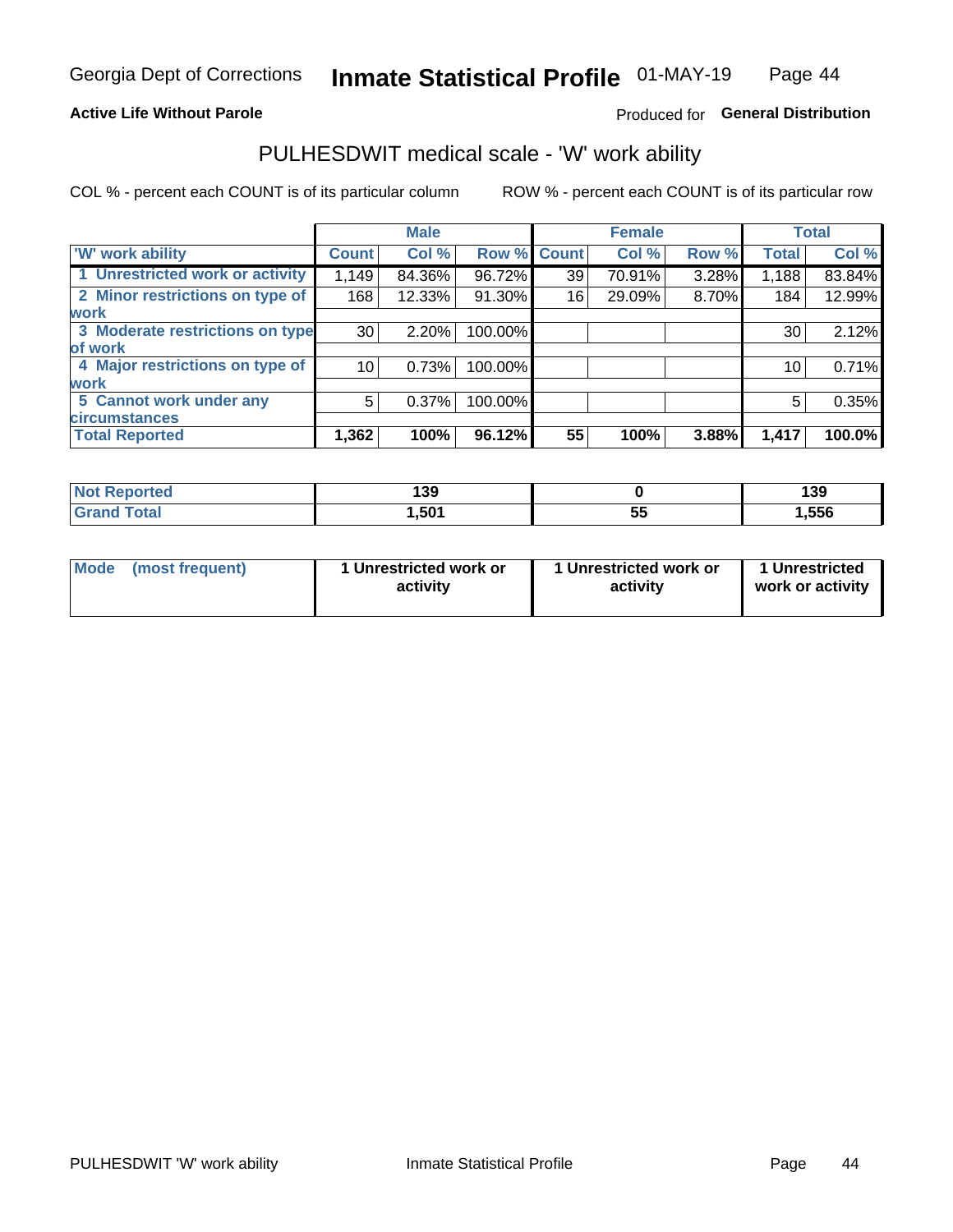#### **Active Life Without Parole**

#### Produced for General Distribution

### PULHESDWIT medical scale - 'W' work ability

COL % - percent each COUNT is of its particular column

|                                 |              | <b>Male</b> |         |             | <b>Female</b> |       |              | <b>Total</b> |
|---------------------------------|--------------|-------------|---------|-------------|---------------|-------|--------------|--------------|
| <b>W' work ability</b>          | <b>Count</b> | Col %       |         | Row % Count | Col %         | Row % | <b>Total</b> | Col %        |
| 1 Unrestricted work or activity | 1,149        | 84.36%      | 96.72%  | 39          | 70.91%        | 3.28% | 1,188        | 83.84%       |
| 2 Minor restrictions on type of | 168          | 12.33%      | 91.30%  | 16          | 29.09%        | 8.70% | 184          | 12.99%       |
| <b>work</b>                     |              |             |         |             |               |       |              |              |
| 3 Moderate restrictions on type | 30           | 2.20%       | 100.00% |             |               |       | 30           | 2.12%        |
| lof work                        |              |             |         |             |               |       |              |              |
| 4 Major restrictions on type of | 10           | 0.73%       | 100.00% |             |               |       | 10           | 0.71%        |
| <b>work</b>                     |              |             |         |             |               |       |              |              |
| 5 Cannot work under any         | 5            | 0.37%       | 100.00% |             |               |       | 5            | 0.35%        |
| <b>circumstances</b>            |              |             |         |             |               |       |              |              |
| <b>Total Reported</b>           | 1,362        | 100%        | 96.12%  | 55          | 100%          | 3.88% | 1,417        | 100.0%       |

| <b>Not Reported</b>  | 139  |          | 139   |
|----------------------|------|----------|-------|
| <b>Total</b><br>Cron | 501, | --<br>v. | 1,556 |

| Mode (most frequent) | 1 Unrestricted work or | 1 Unrestricted work or | 1 Unrestricted   |
|----------------------|------------------------|------------------------|------------------|
|                      | activity               | activity               | work or activity |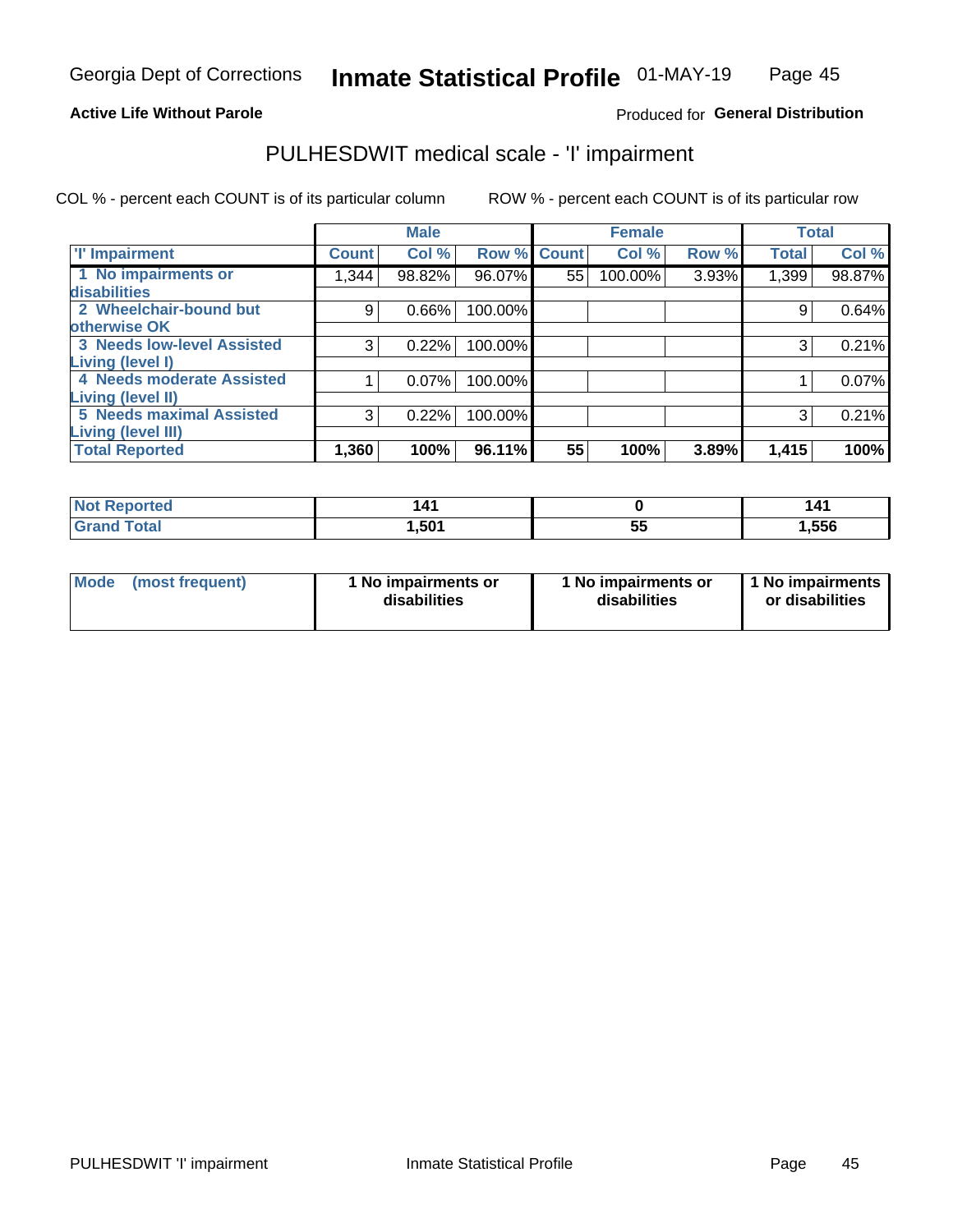#### **Active Life Without Parole**

#### Produced for General Distribution

## PULHESDWIT medical scale - 'I' impairment

COL % - percent each COUNT is of its particular column ROW % - percent each COUNT is of its particular row

|                                   |              | <b>Male</b> |             |    | <b>Female</b> |       |              | <b>Total</b> |
|-----------------------------------|--------------|-------------|-------------|----|---------------|-------|--------------|--------------|
| <b>T' Impairment</b>              | <b>Count</b> | Col %       | Row % Count |    | Col %         | Row % | <b>Total</b> | Col %        |
| 1 No impairments or               | 1,344        | 98.82%      | 96.07%      | 55 | 100.00%       | 3.93% | 1,399        | 98.87%       |
| <b>disabilities</b>               |              |             |             |    |               |       |              |              |
| 2 Wheelchair-bound but            | 9            | 0.66%       | 100.00%     |    |               |       | 9            | 0.64%        |
| otherwise OK                      |              |             |             |    |               |       |              |              |
| <b>3 Needs low-level Assisted</b> | 3            | 0.22%       | 100.00%     |    |               |       | 3            | 0.21%        |
| Living (level I)                  |              |             |             |    |               |       |              |              |
| 4 Needs moderate Assisted         |              | 0.07%       | 100.00%     |    |               |       |              | 0.07%        |
| Living (level II)                 |              |             |             |    |               |       |              |              |
| <b>5 Needs maximal Assisted</b>   | 3            | 0.22%       | 100.00%     |    |               |       | 3            | 0.21%        |
| <b>Living (level III)</b>         |              |             |             |    |               |       |              |              |
| <b>Total Reported</b>             | 1,360        | 100%        | 96.11%      | 55 | 100%          | 3.89% | 1,415        | 100%         |

| <b>eported</b> |       |          | 141   |
|----------------|-------|----------|-------|
| `otal          | 501.ا | --<br>JJ | 1,556 |

| <b>Mode</b> | (most frequent) | <b>No impairments or</b><br>disabilities | 1 No impairments or<br>disabilities | 1 No impairments<br>or disabilities |
|-------------|-----------------|------------------------------------------|-------------------------------------|-------------------------------------|
|-------------|-----------------|------------------------------------------|-------------------------------------|-------------------------------------|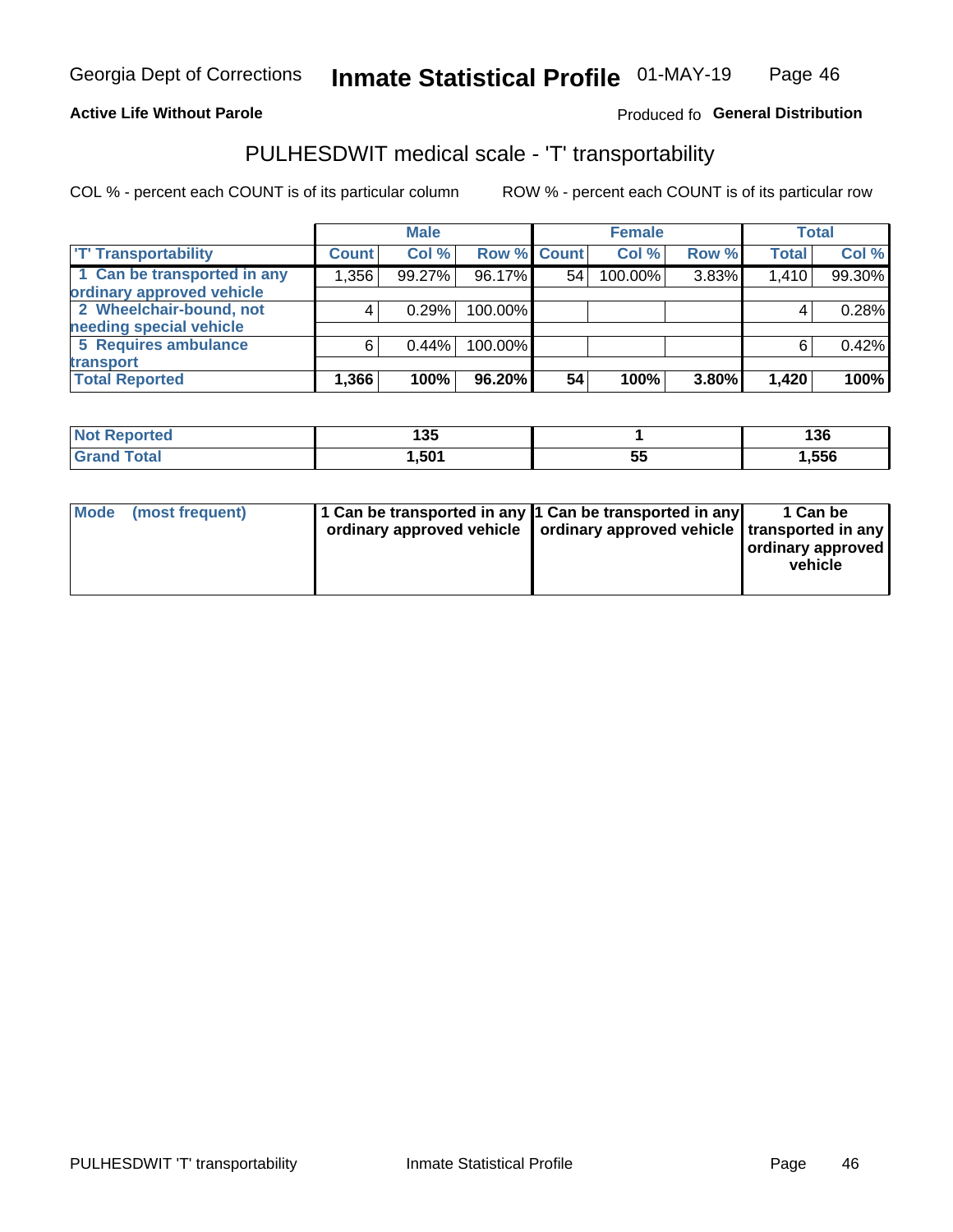#### **Active Life Without Parole**

#### Produced fo General Distribution

## PULHESDWIT medical scale - 'T' transportability

COL % - percent each COUNT is of its particular column

|                             |              | <b>Male</b> |             |    | <b>Female</b> |       |              | <b>Total</b> |
|-----------------------------|--------------|-------------|-------------|----|---------------|-------|--------------|--------------|
| <b>T' Transportability</b>  | <b>Count</b> | Col%        | Row % Count |    | Col %         | Row % | <b>Total</b> | Col %        |
| 1 Can be transported in any | 1,356        | 99.27%      | 96.17%      | 54 | 100.00%       | 3.83% | 1,410        | 99.30%       |
| ordinary approved vehicle   |              |             |             |    |               |       |              |              |
| 2 Wheelchair-bound, not     |              | 0.29%       | 100.00%     |    |               |       |              | 0.28%        |
| needing special vehicle     |              |             |             |    |               |       |              |              |
| 5 Requires ambulance        | 6            | 0.44%       | 100.00%     |    |               |       |              | 0.42%        |
| transport                   |              |             |             |    |               |       |              |              |
| <b>Total Reported</b>       | 1,366        | 100%        | 96.20%      | 54 | 100%          | 3.80% | 1,420        | 100%         |

| <b>eported</b> | $\overline{AB}$<br>טט ו |           | 136   |
|----------------|-------------------------|-----------|-------|
| <b>otal</b>    | 501.                    | - -<br>JJ | 1,556 |

| Mode (most frequent) | 1 Can be transported in any 1 Can be transported in any | ordinary approved vehicle   ordinary approved vehicle   transported in any | 1 Can be<br>ordinary approved<br>vehicle |
|----------------------|---------------------------------------------------------|----------------------------------------------------------------------------|------------------------------------------|
|                      |                                                         |                                                                            |                                          |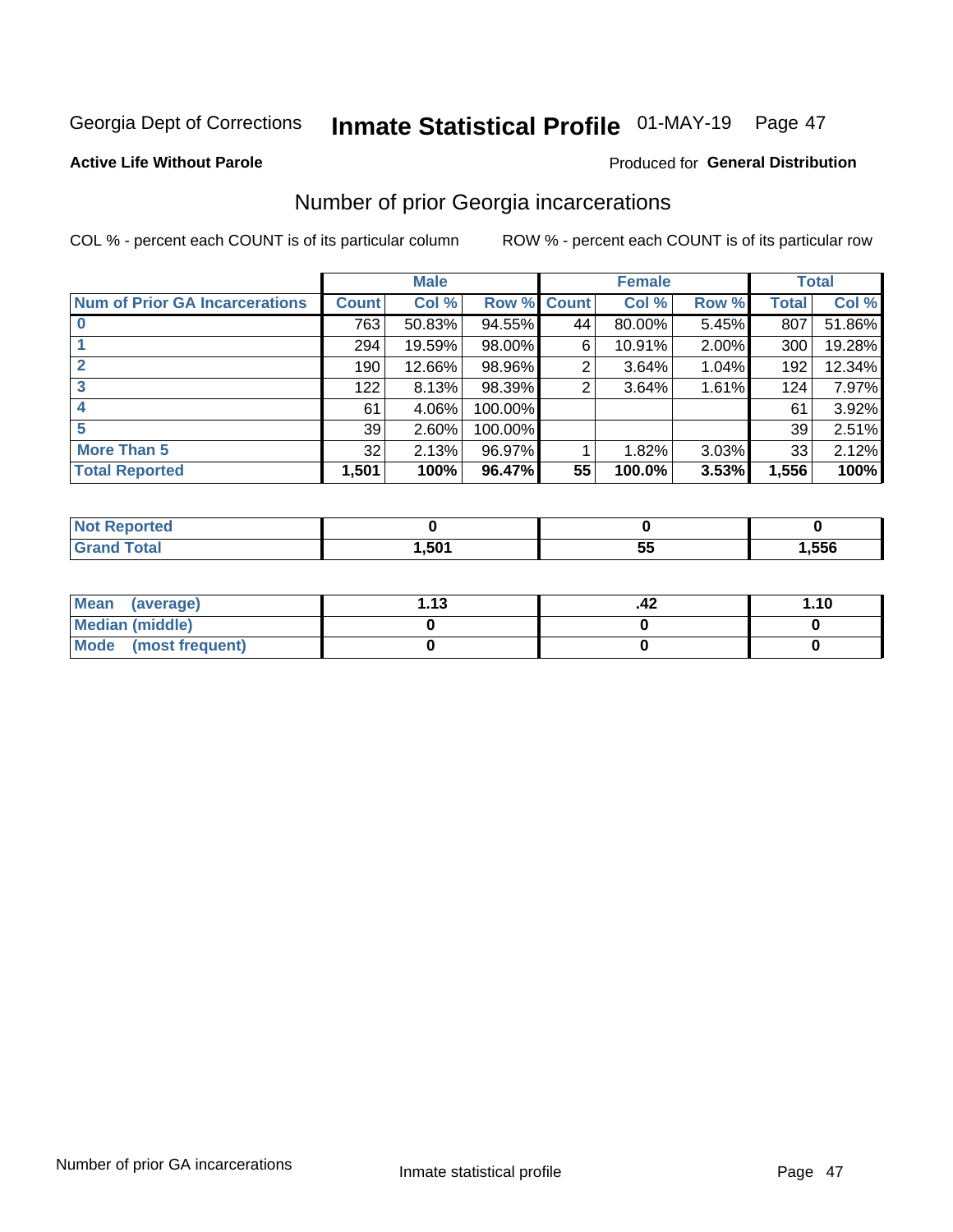## Inmate Statistical Profile 01-MAY-19 Page 47

#### **Active Life Without Parole**

#### **Produced for General Distribution**

### Number of prior Georgia incarcerations

COL % - percent each COUNT is of its particular column

|                                       |       | <b>Male</b> |           |              | <b>Female</b> |          |       | <b>Total</b> |
|---------------------------------------|-------|-------------|-----------|--------------|---------------|----------|-------|--------------|
| <b>Num of Prior GA Incarcerations</b> | Count | Col %       | Row %     | <b>Count</b> | Col %         | Row %    | Total | Col %        |
| $\bf{0}$                              | 763   | 50.83%      | 94.55%    | 44           | 80.00%        | 5.45%    | 807   | 51.86%       |
|                                       | 294   | 19.59%      | $98.00\%$ | 6            | 10.91%        | $2.00\%$ | 300   | 19.28%       |
|                                       | 190   | 12.66%      | 98.96%    | 2            | 3.64%         | 1.04%    | 192   | 12.34%       |
| 3                                     | 122   | 8.13%       | 98.39%    | 2            | 3.64%         | 1.61%    | 124   | 7.97%        |
| 4                                     | 61    | 4.06%       | 100.00%   |              |               |          | 61    | 3.92%        |
| 5                                     | 39    | 2.60%       | 100.00%   |              |               |          | 39    | 2.51%        |
| <b>More Than 5</b>                    | 32    | 2.13%       | 96.97%    |              | 1.82%         | 3.03%    | 33    | 2.12%        |
| <b>Total Reported</b>                 | 1,501 | 100%        | 96.47%    | 55           | 100.0%        | 3.53%    | 1,556 | 100%         |

| <b>ortea</b><br><b>NI</b>        |      |   |      |
|----------------------------------|------|---|------|
| <b>Total</b><br>$\mathbf{v}$ and | .501 | ູ | .556 |

| Mean (average)       | 1 1 2 | .42 | 1.10 |
|----------------------|-------|-----|------|
| Median (middle)      |       |     |      |
| Mode (most frequent) |       |     |      |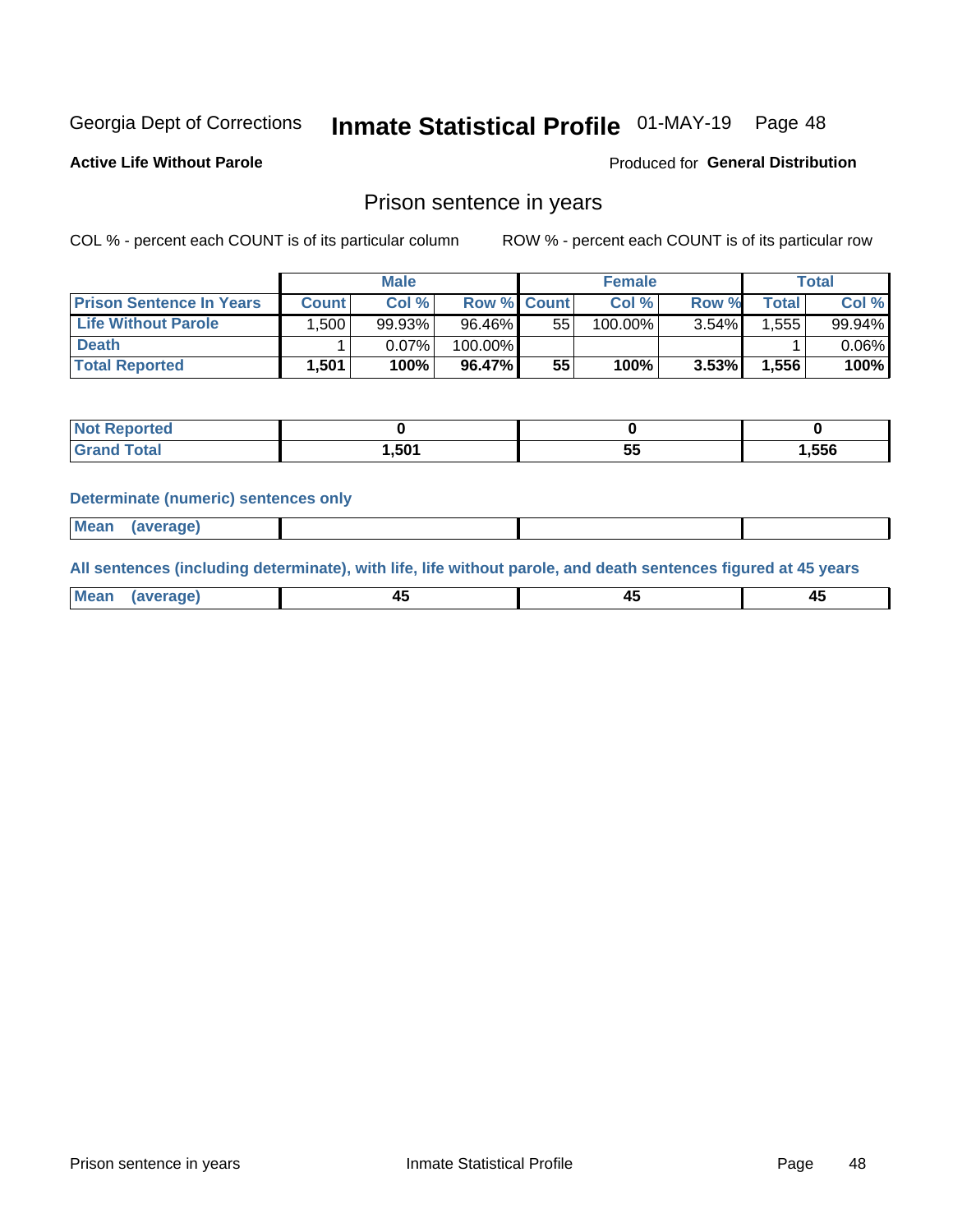## Inmate Statistical Profile 01-MAY-19 Page 48

**Active Life Without Parole** 

**Produced for General Distribution** 

### Prison sentence in years

COL % - percent each COUNT is of its particular column

ROW % - percent each COUNT is of its particular row

|                                 | <b>Male</b>  |        |             |    | <b>Female</b> | Total    |             |        |
|---------------------------------|--------------|--------|-------------|----|---------------|----------|-------------|--------|
| <b>Prison Sentence In Years</b> | <b>Count</b> | Col %  | Row % Count |    | Col %         | Row %    | $\tau$ otal | Col %  |
| <b>Life Without Parole</b>      | .500'        | 99.93% | 96.46%      | 55 | 100.00%       | $3.54\%$ | .555        | 99.94% |
| <b>Death</b>                    |              | 0.07%  | 100.00%     |    |               |          |             | 0.06%  |
| <b>Total Reported</b>           | 1,501        | 100%   | 96.47%      | 55 | 100%          | 3.53%    | 1,556       | 100%   |

| rted  |       |           |
|-------|-------|-----------|
| 'otal | 1,501 | <br>1,556 |

#### **Determinate (numeric) sentences only**

| 1112211 | <b>Mean</b> | Ane <sup>*</sup> |  |  |
|---------|-------------|------------------|--|--|

All sentences (including determinate), with life, life without parole, and death sentences figured at 45 years

| l Mea<br>'ЯМА<br>.<br> | ᠇<br>$\sim$ | $\sim$ |  |
|------------------------|-------------|--------|--|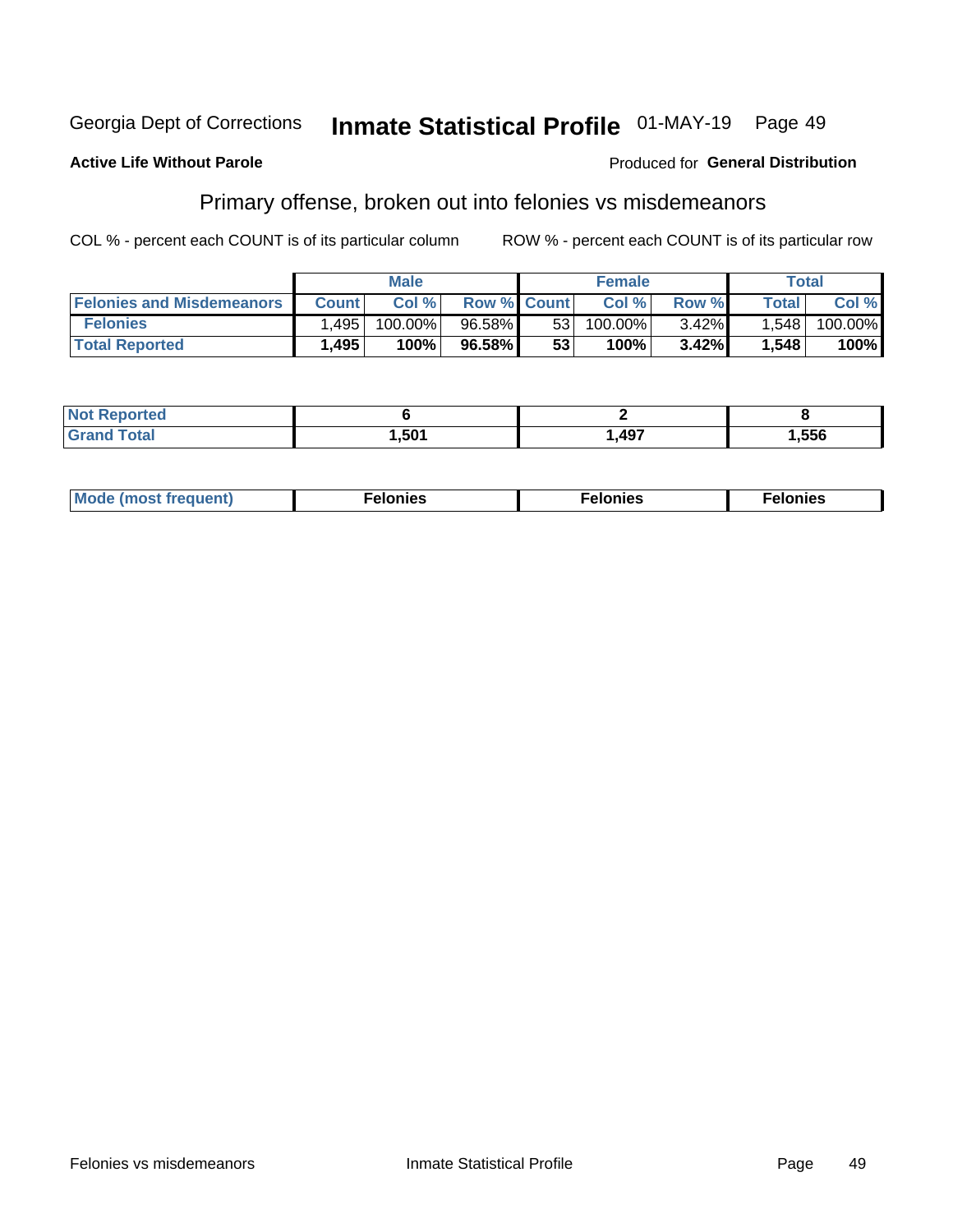#### Georgia Dept of Corrections Inmate Statistical Profile 01-MAY-19 Page 49

#### **Active Life Without Parole**

#### **Produced for General Distribution**

### Primary offense, broken out into felonies vs misdemeanors

COL % - percent each COUNT is of its particular column

|                                  | <b>Male</b>  |         |                    | <b>Female</b>   |         |          | Total        |         |
|----------------------------------|--------------|---------|--------------------|-----------------|---------|----------|--------------|---------|
| <b>Felonies and Misdemeanors</b> | <b>Count</b> | Col%    | <b>Row % Count</b> |                 | Col%    | Row %    | <b>Total</b> | Col %   |
| <b>Felonies</b>                  | .495         | 100.00% | $96.58\%$          | 53 <sub>1</sub> | 100.00% | $3.42\%$ | 1.548        | 100.00% |
| <b>Total Reported</b>            | .495         | $100\%$ | 96.58%             | 53              | $100\%$ | 3.42%    | 1,548        | 100%    |

| <b>Not Reported</b>   |      |      |      |
|-----------------------|------|------|------|
| Total<br><b>Grand</b> | ,501 | ,497 | ,556 |

| <b>Mode</b><br>frequent)<br>nies<br>≧ (most tr.<br>. | onies<br>. | lonies<br>ею<br>____ |
|------------------------------------------------------|------------|----------------------|
|------------------------------------------------------|------------|----------------------|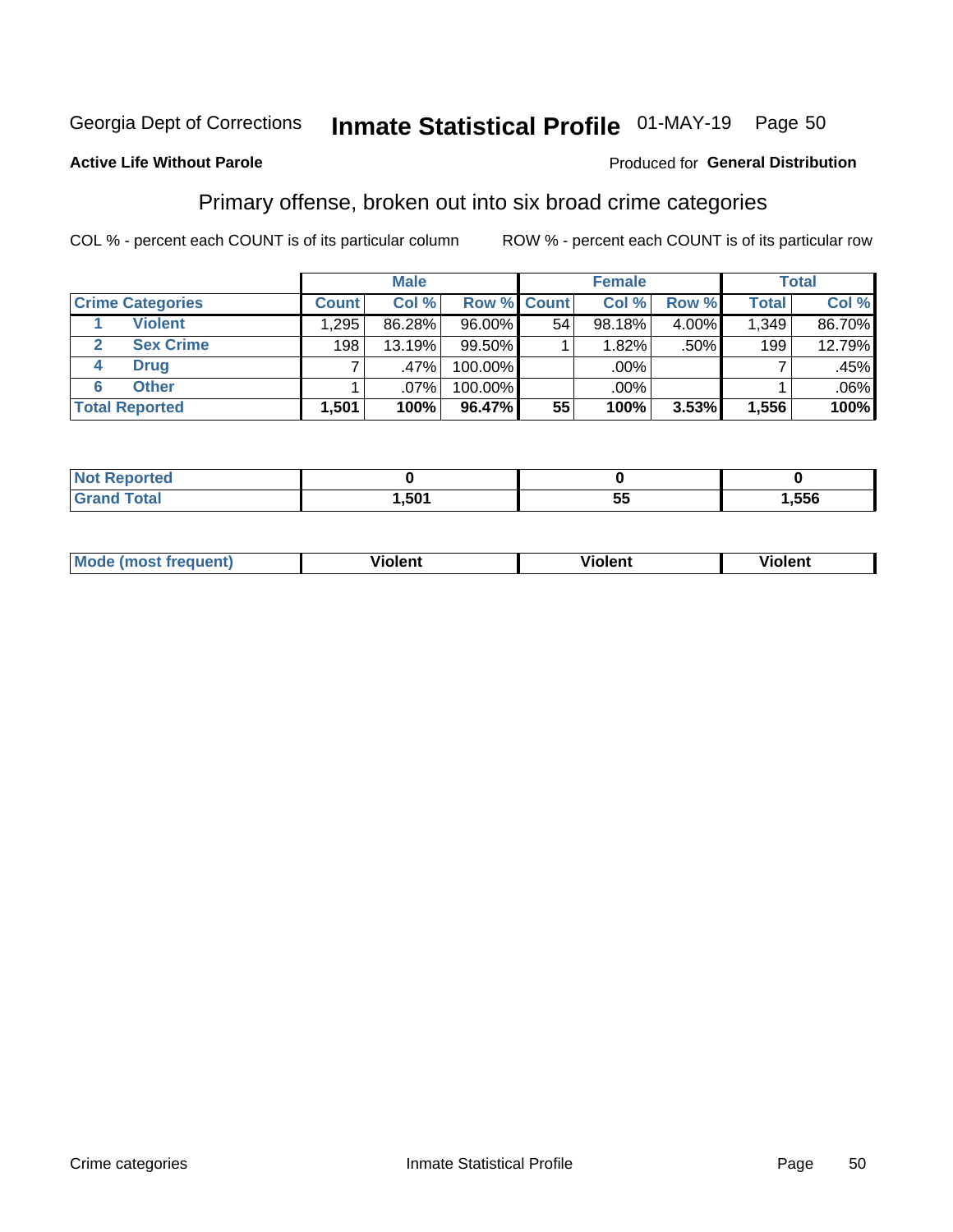## Inmate Statistical Profile 01-MAY-19 Page 50

#### **Active Life Without Parole**

#### Produced for General Distribution

### Primary offense, broken out into six broad crime categories

COL % - percent each COUNT is of its particular column

|                         | <b>Male</b>  |        |           |             | <b>Female</b> |       |                  | Total   |  |
|-------------------------|--------------|--------|-----------|-------------|---------------|-------|------------------|---------|--|
| <b>Crime Categories</b> | <b>Count</b> | Col %  |           | Row % Count | Col %         | Row % | <b>Total</b>     | Col %   |  |
| <b>Violent</b>          | .295         | 86.28% | 96.00%    | 54          | 98.18%        | 4.00% | 1,349            | 86.70%  |  |
| <b>Sex Crime</b>        | 198          | 13.19% | $99.50\%$ |             | 1.82%         | .50%  | 199 <sub>1</sub> | 12.79%  |  |
| <b>Drug</b><br>4        | ⇁            | .47%   | 100.00%   |             | .00%          |       |                  | .45%    |  |
| <b>Other</b><br>6       |              | .07%   | 100.00%   |             | .00%          |       |                  | $.06\%$ |  |
| <b>Total Reported</b>   | 1,501        | 100%   | 96.47%    | 55          | 100%          | 3.53% | 1,556            | 100%    |  |

| orted<br><b>NOT REPO</b> |      |          |      |
|--------------------------|------|----------|------|
| Total                    | .501 | --<br>Ju | ,556 |

| <b>Mode (most frequent)</b> | <br>'iolent | Violent | --<br><b>Violent</b> |
|-----------------------------|-------------|---------|----------------------|
|                             |             |         |                      |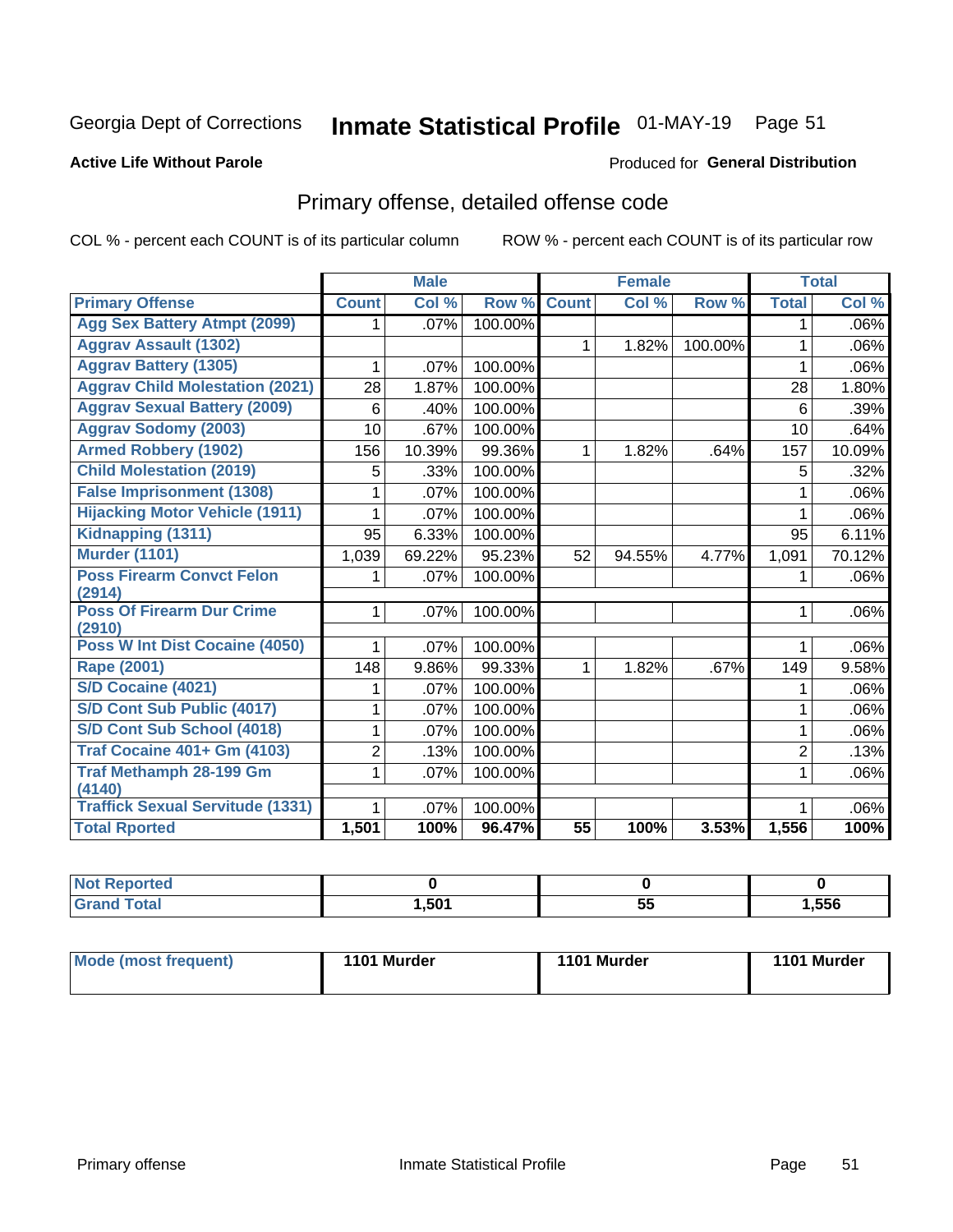## Inmate Statistical Profile 01-MAY-19 Page 51

#### **Active Life Without Parole**

#### **Produced for General Distribution**

## Primary offense, detailed offense code

COL % - percent each COUNT is of its particular column

|                                            |              | <b>Male</b> |         |                 | <b>Female</b> |         |                | <b>Total</b> |
|--------------------------------------------|--------------|-------------|---------|-----------------|---------------|---------|----------------|--------------|
| <b>Primary Offense</b>                     | <b>Count</b> | Col %       | Row %   | <b>Count</b>    | Col %         | Row %   | <b>Total</b>   | Col %        |
| <b>Agg Sex Battery Atmpt (2099)</b>        | 1.           | .07%        | 100.00% |                 |               |         | 1              | $.06\%$      |
| <b>Aggrav Assault (1302)</b>               |              |             |         | $\mathbf{1}$    | 1.82%         | 100.00% | 1              | .06%         |
| <b>Aggrav Battery (1305)</b>               | 1            | .07%        | 100.00% |                 |               |         | 1              | $.06\%$      |
| <b>Aggrav Child Molestation (2021)</b>     | 28           | 1.87%       | 100.00% |                 |               |         | 28             | 1.80%        |
| <b>Aggrav Sexual Battery (2009)</b>        | 6            | .40%        | 100.00% |                 |               |         | 6              | $.39\%$      |
| <b>Aggrav Sodomy (2003)</b>                | 10           | .67%        | 100.00% |                 |               |         | 10             | .64%         |
| <b>Armed Robbery (1902)</b>                | 156          | 10.39%      | 99.36%  | $\mathbf 1$     | 1.82%         | .64%    | 157            | 10.09%       |
| <b>Child Molestation (2019)</b>            | 5            | .33%        | 100.00% |                 |               |         | 5              | .32%         |
| <b>False Imprisonment (1308)</b>           |              | .07%        | 100.00% |                 |               |         | 1              | $.06\%$      |
| <b>Hijacking Motor Vehicle (1911)</b>      | 1            | .07%        | 100.00% |                 |               |         | 1              | .06%         |
| Kidnapping (1311)                          | 95           | 6.33%       | 100.00% |                 |               |         | 95             | 6.11%        |
| <b>Murder (1101)</b>                       | 1,039        | 69.22%      | 95.23%  | 52              | 94.55%        | 4.77%   | 1,091          | 70.12%       |
| <b>Poss Firearm Convct Felon</b>           | 1.           | .07%        | 100.00% |                 |               |         |                | $.06\%$      |
| (2914)                                     |              |             |         |                 |               |         |                |              |
| <b>Poss Of Firearm Dur Crime</b><br>(2910) | $\mathbf{1}$ | .07%        | 100.00% |                 |               |         | 1              | $.06\%$      |
| Poss W Int Dist Cocaine (4050)             | 1            | .07%        | 100.00% |                 |               |         | 1              | $.06\%$      |
| <b>Rape (2001)</b>                         | 148          | 9.86%       | 99.33%  | $\mathbf{1}$    | 1.82%         | .67%    | 149            | 9.58%        |
| S/D Cocaine (4021)                         | 1            | .07%        | 100.00% |                 |               |         | 1              | .06%         |
| S/D Cont Sub Public (4017)                 | 1            | .07%        | 100.00% |                 |               |         | 1              | .06%         |
| S/D Cont Sub School (4018)                 | 1            | .07%        | 100.00% |                 |               |         | 1              | $.06\%$      |
| <b>Traf Cocaine 401+ Gm (4103)</b>         | 2            | .13%        | 100.00% |                 |               |         | $\overline{2}$ | .13%         |
| <b>Traf Methamph 28-199 Gm</b>             | 1            | .07%        | 100.00% |                 |               |         | 1              | $.06\%$      |
| (4140)                                     |              |             |         |                 |               |         |                |              |
| <b>Traffick Sexual Servitude (1331)</b>    | 1            | .07%        | 100.00% |                 |               |         |                | .06%         |
| <b>Total Rported</b>                       | 1,501        | 100%        | 96.47%  | $\overline{55}$ | 100%          | 3.53%   | 1,556          | 100%         |

| <b>NOT</b><br>oortea |      |    |      |
|----------------------|------|----|------|
| υιαι<br>______       | ,501 | 55 | ,556 |

| Mode (most frequent) | 1101 Murder | 1101 Murder | 1101 Murder |
|----------------------|-------------|-------------|-------------|
|                      |             |             |             |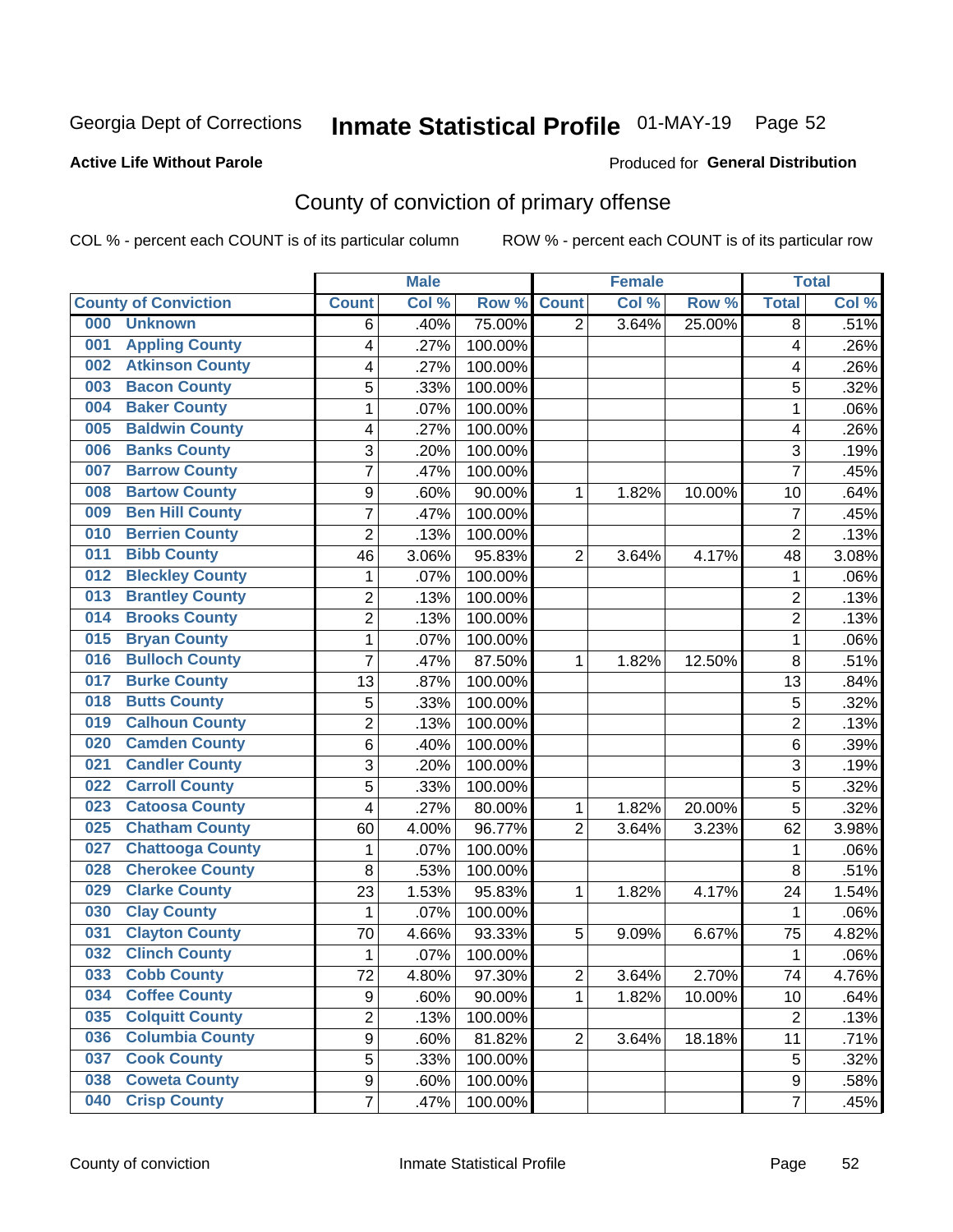## Inmate Statistical Profile 01-MAY-19 Page 52

#### **Active Life Without Parole**

#### Produced for General Distribution

## County of conviction of primary offense

COL % - percent each COUNT is of its particular column

|     |                             |                | <b>Male</b> |         |                | <b>Female</b> |        |                | <b>Total</b> |
|-----|-----------------------------|----------------|-------------|---------|----------------|---------------|--------|----------------|--------------|
|     | <b>County of Conviction</b> | <b>Count</b>   | Col %       | Row %   | <b>Count</b>   | Col %         | Row %  | <b>Total</b>   | Col %        |
| 000 | <b>Unknown</b>              | 6              | .40%        | 75.00%  | $\overline{2}$ | 3.64%         | 25.00% | 8              | .51%         |
| 001 | <b>Appling County</b>       | 4              | .27%        | 100.00% |                |               |        | 4              | .26%         |
| 002 | <b>Atkinson County</b>      | 4              | .27%        | 100.00% |                |               |        | 4              | .26%         |
| 003 | <b>Bacon County</b>         | 5              | .33%        | 100.00% |                |               |        | 5              | .32%         |
| 004 | <b>Baker County</b>         | $\mathbf{1}$   | .07%        | 100.00% |                |               |        | $\mathbf{1}$   | .06%         |
| 005 | <b>Baldwin County</b>       | 4              | .27%        | 100.00% |                |               |        | 4              | .26%         |
| 006 | <b>Banks County</b>         | 3              | .20%        | 100.00% |                |               |        | 3              | .19%         |
| 007 | <b>Barrow County</b>        | $\overline{7}$ | .47%        | 100.00% |                |               |        | $\overline{7}$ | .45%         |
| 008 | <b>Bartow County</b>        | 9              | .60%        | 90.00%  | 1              | 1.82%         | 10.00% | 10             | .64%         |
| 009 | <b>Ben Hill County</b>      | $\overline{7}$ | .47%        | 100.00% |                |               |        | $\overline{7}$ | .45%         |
| 010 | <b>Berrien County</b>       | $\overline{c}$ | .13%        | 100.00% |                |               |        | $\overline{2}$ | .13%         |
| 011 | <b>Bibb County</b>          | 46             | 3.06%       | 95.83%  | $\overline{2}$ | 3.64%         | 4.17%  | 48             | 3.08%        |
| 012 | <b>Bleckley County</b>      | $\mathbf{1}$   | .07%        | 100.00% |                |               |        | $\mathbf{1}$   | .06%         |
| 013 | <b>Brantley County</b>      | $\overline{2}$ | .13%        | 100.00% |                |               |        | $\overline{2}$ | .13%         |
| 014 | <b>Brooks County</b>        | $\overline{c}$ | .13%        | 100.00% |                |               |        | $\overline{2}$ | .13%         |
| 015 | <b>Bryan County</b>         | $\mathbf{1}$   | .07%        | 100.00% |                |               |        | $\mathbf{1}$   | .06%         |
| 016 | <b>Bulloch County</b>       | 7              | .47%        | 87.50%  | 1              | 1.82%         | 12.50% | 8              | .51%         |
| 017 | <b>Burke County</b>         | 13             | .87%        | 100.00% |                |               |        | 13             | .84%         |
| 018 | <b>Butts County</b>         | 5              | .33%        | 100.00% |                |               |        | 5              | .32%         |
| 019 | <b>Calhoun County</b>       | $\overline{c}$ | .13%        | 100.00% |                |               |        | $\overline{c}$ | .13%         |
| 020 | <b>Camden County</b>        | 6              | .40%        | 100.00% |                |               |        | 6              | .39%         |
| 021 | <b>Candler County</b>       | 3              | .20%        | 100.00% |                |               |        | 3              | .19%         |
| 022 | <b>Carroll County</b>       | 5              | .33%        | 100.00% |                |               |        | 5              | .32%         |
| 023 | <b>Catoosa County</b>       | 4              | .27%        | 80.00%  | 1              | 1.82%         | 20.00% | 5              | .32%         |
| 025 | <b>Chatham County</b>       | 60             | 4.00%       | 96.77%  | $\overline{2}$ | 3.64%         | 3.23%  | 62             | 3.98%        |
| 027 | <b>Chattooga County</b>     | 1              | .07%        | 100.00% |                |               |        | 1              | .06%         |
| 028 | <b>Cherokee County</b>      | 8              | .53%        | 100.00% |                |               |        | 8              | .51%         |
| 029 | <b>Clarke County</b>        | 23             | 1.53%       | 95.83%  | 1              | 1.82%         | 4.17%  | 24             | 1.54%        |
| 030 | <b>Clay County</b>          | $\mathbf{1}$   | .07%        | 100.00% |                |               |        | $\mathbf{1}$   | .06%         |
| 031 | <b>Clayton County</b>       | 70             | 4.66%       | 93.33%  | 5              | 9.09%         | 6.67%  | 75             | 4.82%        |
| 032 | <b>Clinch County</b>        | 1              | .07%        | 100.00% |                |               |        | 1              | .06%         |
| 033 | <b>Cobb County</b>          | 72             | 4.80%       | 97.30%  | 2              | 3.64%         | 2.70%  | 74             | 4.76%        |
| 034 | <b>Coffee County</b>        | 9              | .60%        | 90.00%  | 1              | 1.82%         | 10.00% | 10             | .64%         |
| 035 | <b>Colquitt County</b>      | $\overline{2}$ | .13%        | 100.00% |                |               |        | $\overline{2}$ | .13%         |
| 036 | <b>Columbia County</b>      | 9              | .60%        | 81.82%  | $\overline{2}$ | 3.64%         | 18.18% | 11             | .71%         |
| 037 | <b>Cook County</b>          | 5              | .33%        | 100.00% |                |               |        | 5              | .32%         |
| 038 | <b>Coweta County</b>        | 9              | .60%        | 100.00% |                |               |        | 9              | .58%         |
| 040 | <b>Crisp County</b>         | $\overline{7}$ | .47%        | 100.00% |                |               |        | $\overline{7}$ | .45%         |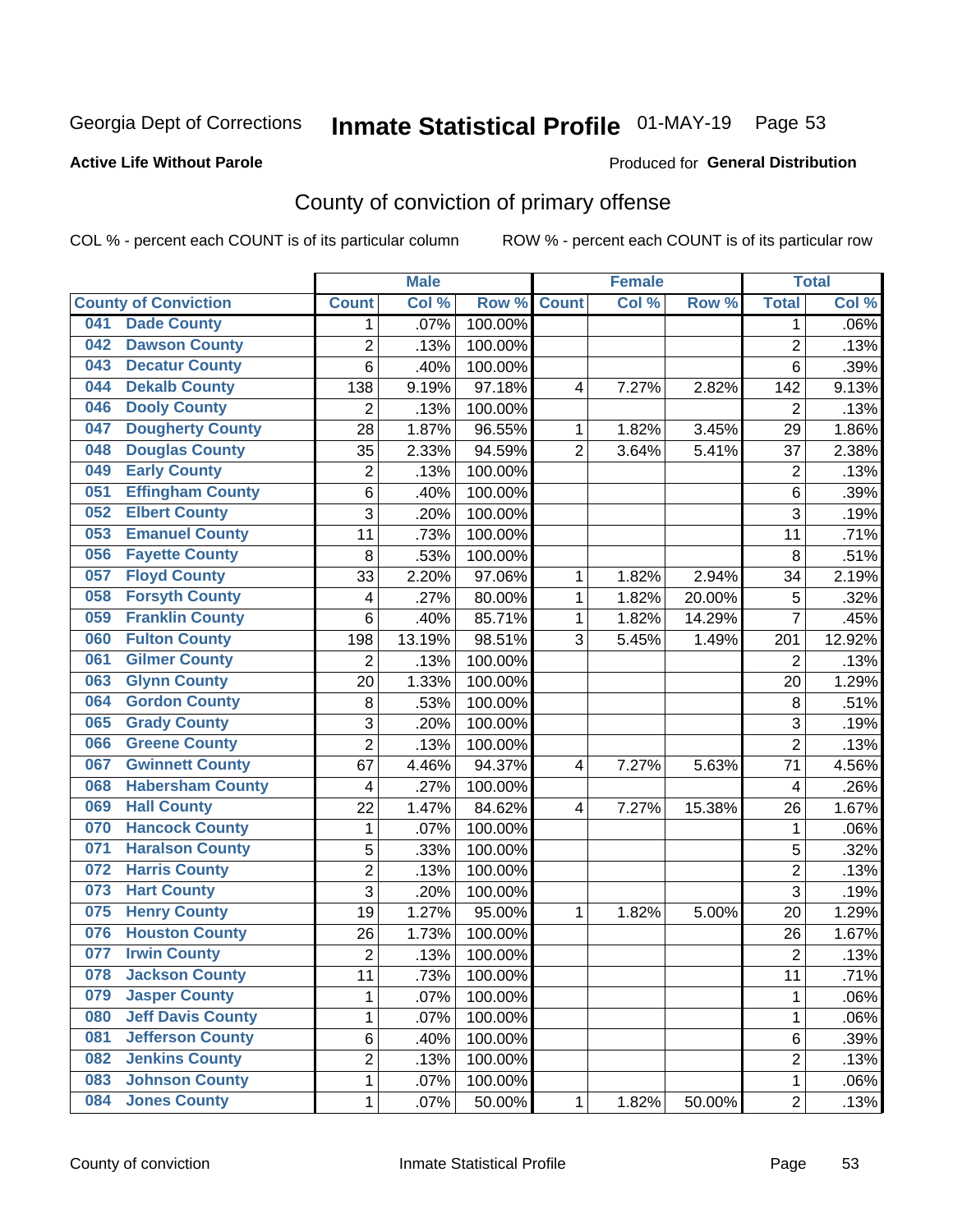## Inmate Statistical Profile 01-MAY-19 Page 53

#### **Active Life Without Parole**

#### Produced for General Distribution

## County of conviction of primary offense

COL % - percent each COUNT is of its particular column

|     |                             |                         | <b>Male</b> |         |                | <b>Female</b> |        |                | <b>Total</b> |
|-----|-----------------------------|-------------------------|-------------|---------|----------------|---------------|--------|----------------|--------------|
|     | <b>County of Conviction</b> | <b>Count</b>            | Col %       | Row %   | <b>Count</b>   | Col %         | Row %  | <b>Total</b>   | Col %        |
| 041 | <b>Dade County</b>          | 1                       | .07%        | 100.00% |                |               |        | 1              | .06%         |
| 042 | <b>Dawson County</b>        | $\overline{2}$          | .13%        | 100.00% |                |               |        | $\overline{2}$ | .13%         |
| 043 | <b>Decatur County</b>       | 6                       | .40%        | 100.00% |                |               |        | 6              | .39%         |
| 044 | <b>Dekalb County</b>        | 138                     | 9.19%       | 97.18%  | 4              | 7.27%         | 2.82%  | 142            | 9.13%        |
| 046 | <b>Dooly County</b>         | $\overline{2}$          | .13%        | 100.00% |                |               |        | $\overline{2}$ | .13%         |
| 047 | <b>Dougherty County</b>     | 28                      | 1.87%       | 96.55%  | 1              | 1.82%         | 3.45%  | 29             | 1.86%        |
| 048 | <b>Douglas County</b>       | 35                      | 2.33%       | 94.59%  | $\overline{2}$ | 3.64%         | 5.41%  | 37             | 2.38%        |
| 049 | <b>Early County</b>         | $\mathbf 2$             | .13%        | 100.00% |                |               |        | $\overline{2}$ | .13%         |
| 051 | <b>Effingham County</b>     | 6                       | .40%        | 100.00% |                |               |        | 6              | .39%         |
| 052 | <b>Elbert County</b>        | 3                       | .20%        | 100.00% |                |               |        | 3              | .19%         |
| 053 | <b>Emanuel County</b>       | 11                      | .73%        | 100.00% |                |               |        | 11             | .71%         |
| 056 | <b>Fayette County</b>       | 8                       | .53%        | 100.00% |                |               |        | 8              | .51%         |
| 057 | <b>Floyd County</b>         | 33                      | 2.20%       | 97.06%  | $\mathbf{1}$   | 1.82%         | 2.94%  | 34             | 2.19%        |
| 058 | <b>Forsyth County</b>       | 4                       | .27%        | 80.00%  | 1              | 1.82%         | 20.00% | 5              | .32%         |
| 059 | <b>Franklin County</b>      | 6                       | .40%        | 85.71%  | 1              | 1.82%         | 14.29% | $\overline{7}$ | .45%         |
| 060 | <b>Fulton County</b>        | 198                     | 13.19%      | 98.51%  | 3              | 5.45%         | 1.49%  | 201            | 12.92%       |
| 061 | <b>Gilmer County</b>        | $\overline{2}$          | .13%        | 100.00% |                |               |        | $\overline{2}$ | .13%         |
| 063 | <b>Glynn County</b>         | 20                      | 1.33%       | 100.00% |                |               |        | 20             | 1.29%        |
| 064 | <b>Gordon County</b>        | 8                       | .53%        | 100.00% |                |               |        | 8              | .51%         |
| 065 | <b>Grady County</b>         | 3                       | .20%        | 100.00% |                |               |        | $\overline{3}$ | .19%         |
| 066 | <b>Greene County</b>        | $\overline{2}$          | .13%        | 100.00% |                |               |        | $\overline{2}$ | .13%         |
| 067 | <b>Gwinnett County</b>      | 67                      | 4.46%       | 94.37%  | 4              | 7.27%         | 5.63%  | 71             | 4.56%        |
| 068 | <b>Habersham County</b>     | $\overline{\mathbf{4}}$ | .27%        | 100.00% |                |               |        | 4              | .26%         |
| 069 | <b>Hall County</b>          | 22                      | 1.47%       | 84.62%  | 4              | 7.27%         | 15.38% | 26             | 1.67%        |
| 070 | <b>Hancock County</b>       | $\mathbf{1}$            | .07%        | 100.00% |                |               |        | $\mathbf{1}$   | .06%         |
| 071 | <b>Haralson County</b>      | 5                       | .33%        | 100.00% |                |               |        | 5              | .32%         |
| 072 | <b>Harris County</b>        | $\overline{2}$          | .13%        | 100.00% |                |               |        | $\overline{2}$ | .13%         |
| 073 | <b>Hart County</b>          | 3                       | .20%        | 100.00% |                |               |        | $\overline{3}$ | .19%         |
| 075 | <b>Henry County</b>         | 19                      | 1.27%       | 95.00%  | $\mathbf{1}$   | 1.82%         | 5.00%  | 20             | 1.29%        |
| 076 | <b>Houston County</b>       | 26                      | 1.73%       | 100.00% |                |               |        | 26             | 1.67%        |
| 077 | <b>Irwin County</b>         | $\overline{2}$          | .13%        | 100.00% |                |               |        | $\overline{2}$ | .13%         |
| 078 | <b>Jackson County</b>       | 11                      | .73%        | 100.00% |                |               |        | 11             | .71%         |
| 079 | <b>Jasper County</b>        | $\mathbf{1}$            | .07%        | 100.00% |                |               |        | $\mathbf{1}$   | .06%         |
| 080 | <b>Jeff Davis County</b>    | 1                       | .07%        | 100.00% |                |               |        | $\mathbf{1}$   | .06%         |
| 081 | <b>Jefferson County</b>     | 6                       | .40%        | 100.00% |                |               |        | 6              | .39%         |
| 082 | <b>Jenkins County</b>       | $\overline{c}$          | .13%        | 100.00% |                |               |        | $\overline{2}$ | .13%         |
| 083 | <b>Johnson County</b>       | $\mathbf 1$             | .07%        | 100.00% |                |               |        | $\mathbf 1$    | .06%         |
| 084 | <b>Jones County</b>         | $\mathbf 1$             | .07%        | 50.00%  | 1              | 1.82%         | 50.00% | $\overline{2}$ | .13%         |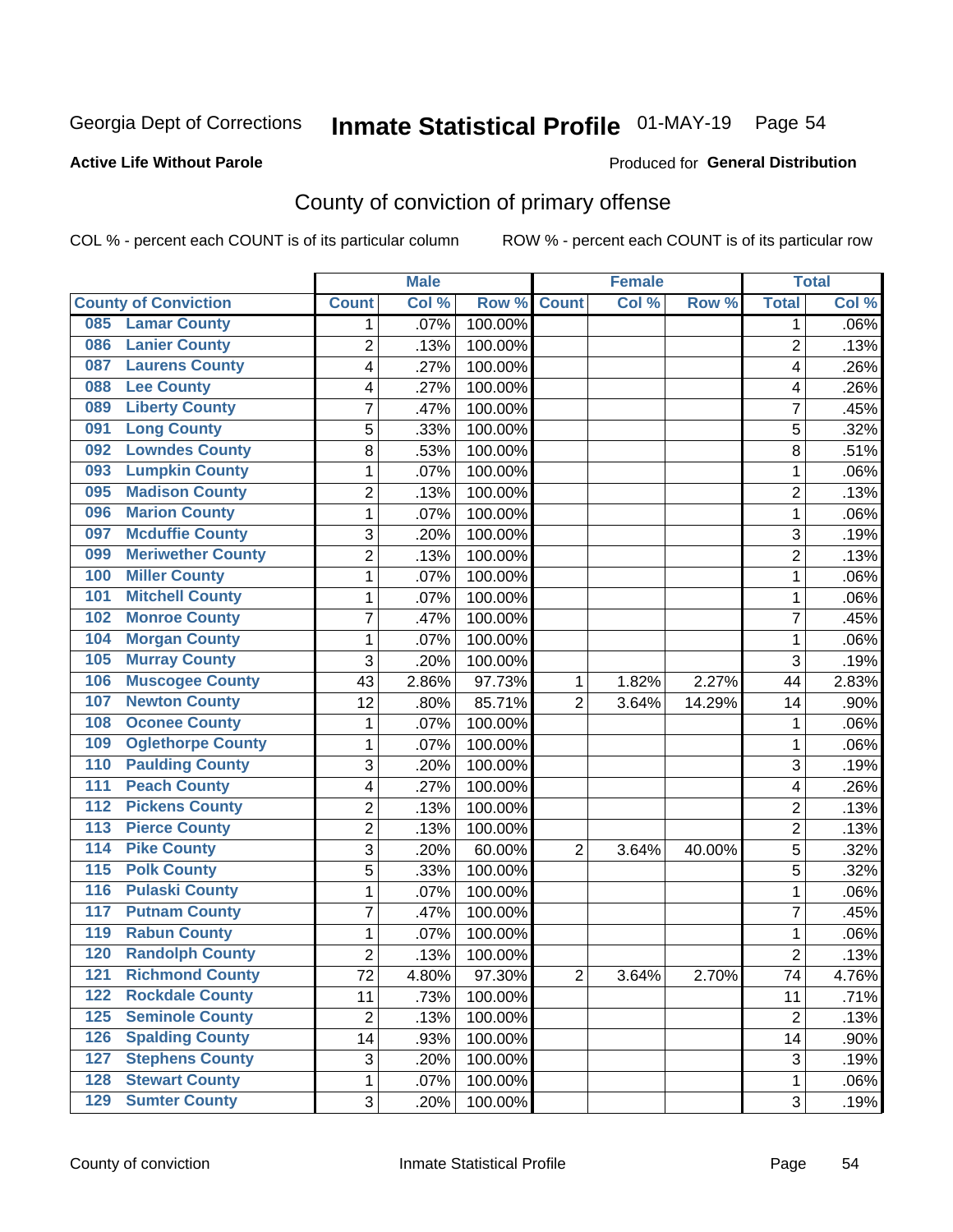## Inmate Statistical Profile 01-MAY-19 Page 54

#### **Active Life Without Parole**

#### **Produced for General Distribution**

## County of conviction of primary offense

COL % - percent each COUNT is of its particular column

|                                        |                | <b>Male</b> |         |                | <b>Female</b> |        |                | <b>Total</b> |
|----------------------------------------|----------------|-------------|---------|----------------|---------------|--------|----------------|--------------|
| <b>County of Conviction</b>            | <b>Count</b>   | Col %       | Row %   | <b>Count</b>   | Col %         | Row %  | <b>Total</b>   | Col %        |
| <b>Lamar County</b><br>085             | 1              | .07%        | 100.00% |                |               |        | 1              | $.06\%$      |
| <b>Lanier County</b><br>086            | $\overline{2}$ | .13%        | 100.00% |                |               |        | $\overline{2}$ | .13%         |
| <b>Laurens County</b><br>087           | 4              | .27%        | 100.00% |                |               |        | 4              | .26%         |
| <b>Lee County</b><br>088               | 4              | .27%        | 100.00% |                |               |        | 4              | .26%         |
| <b>Liberty County</b><br>089           | 7              | .47%        | 100.00% |                |               |        | 7              | .45%         |
| <b>Long County</b><br>091              | 5              | .33%        | 100.00% |                |               |        | 5              | .32%         |
| <b>Lowndes County</b><br>092           | 8              | .53%        | 100.00% |                |               |        | 8              | .51%         |
| <b>Lumpkin County</b><br>093           | 1              | .07%        | 100.00% |                |               |        | 1              | .06%         |
| <b>Madison County</b><br>095           | 2              | .13%        | 100.00% |                |               |        | $\overline{2}$ | .13%         |
| <b>Marion County</b><br>096            | 1              | .07%        | 100.00% |                |               |        | $\mathbf{1}$   | .06%         |
| <b>Mcduffie County</b><br>097          | 3              | .20%        | 100.00% |                |               |        | 3              | .19%         |
| <b>Meriwether County</b><br>099        | $\overline{2}$ | .13%        | 100.00% |                |               |        | $\overline{2}$ | .13%         |
| <b>Miller County</b><br>100            | 1              | .07%        | 100.00% |                |               |        | $\mathbf{1}$   | .06%         |
| <b>Mitchell County</b><br>101          | 1              | .07%        | 100.00% |                |               |        | $\mathbf{1}$   | .06%         |
| <b>Monroe County</b><br>102            | 7              | .47%        | 100.00% |                |               |        | $\overline{7}$ | .45%         |
| <b>Morgan County</b><br>104            | 1              | .07%        | 100.00% |                |               |        | $\mathbf{1}$   | .06%         |
| <b>Murray County</b><br>105            | 3              | .20%        | 100.00% |                |               |        | 3              | .19%         |
| <b>Muscogee County</b><br>106          | 43             | 2.86%       | 97.73%  | 1              | 1.82%         | 2.27%  | 44             | 2.83%        |
| <b>Newton County</b><br>107            | 12             | .80%        | 85.71%  | $\overline{2}$ | 3.64%         | 14.29% | 14             | .90%         |
| <b>Oconee County</b><br>108            | 1              | .07%        | 100.00% |                |               |        | 1              | .06%         |
| <b>Oglethorpe County</b><br>109        | 1              | .07%        | 100.00% |                |               |        | 1              | .06%         |
| <b>Paulding County</b><br>110          | 3              | .20%        | 100.00% |                |               |        | 3              | .19%         |
| <b>Peach County</b><br>111             | 4              | .27%        | 100.00% |                |               |        | 4              | .26%         |
| <b>Pickens County</b><br>112           | $\overline{2}$ | .13%        | 100.00% |                |               |        | $\overline{2}$ | .13%         |
| <b>Pierce County</b><br>113            | 2              | .13%        | 100.00% |                |               |        | $\overline{2}$ | .13%         |
| <b>Pike County</b><br>$\overline{114}$ | 3              | .20%        | 60.00%  | $\overline{2}$ | 3.64%         | 40.00% | 5              | .32%         |
| <b>Polk County</b><br>115              | 5              | .33%        | 100.00% |                |               |        | 5              | .32%         |
| <b>Pulaski County</b><br>116           | 1              | .07%        | 100.00% |                |               |        | 1              | .06%         |
| <b>Putnam County</b><br>117            | 7              | .47%        | 100.00% |                |               |        | 7              | .45%         |
| <b>Rabun County</b><br>119             | 1              | .07%        | 100.00% |                |               |        | $\mathbf{1}$   | .06%         |
| <b>Randolph County</b><br>120          | $\overline{2}$ | .13%        | 100.00% |                |               |        | $\overline{2}$ | .13%         |
| <b>Richmond County</b><br>121          | 72             | 4.80%       | 97.30%  | 2              | 3.64%         | 2.70%  | 74             | 4.76%        |
| <b>Rockdale County</b><br>122          | 11             | .73%        | 100.00% |                |               |        | 11             | .71%         |
| <b>Seminole County</b><br>$125$        | $\overline{2}$ | .13%        | 100.00% |                |               |        | $\overline{2}$ | .13%         |
| <b>Spalding County</b><br>126          | 14             | .93%        | 100.00% |                |               |        | 14             | .90%         |
| <b>Stephens County</b><br>127          | 3              | .20%        | 100.00% |                |               |        | 3              | .19%         |
| <b>Stewart County</b><br>128           | 1              | .07%        | 100.00% |                |               |        | 1              | .06%         |
| <b>Sumter County</b><br>129            | 3              | .20%        | 100.00% |                |               |        | 3              | .19%         |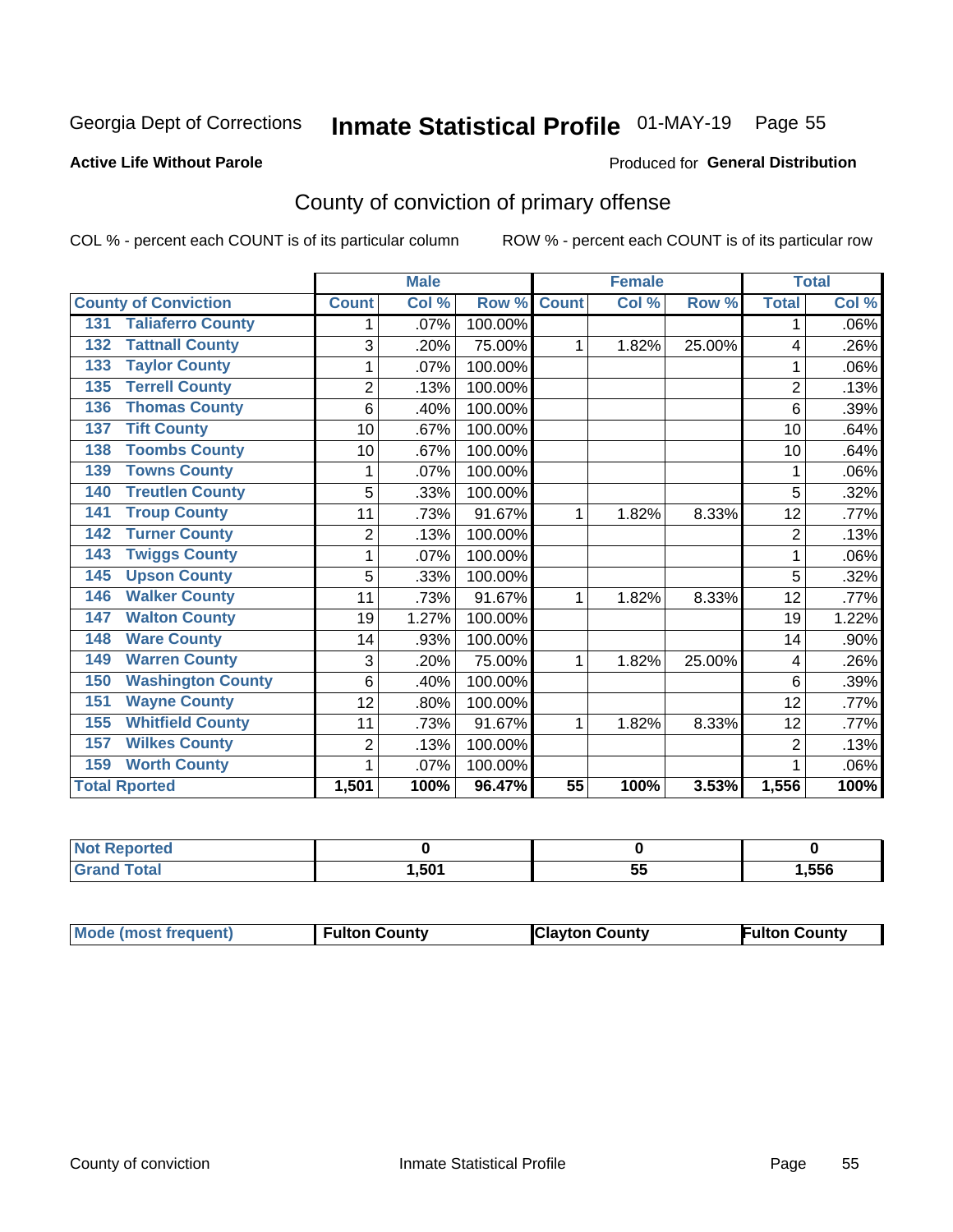## Inmate Statistical Profile 01-MAY-19 Page 55

#### **Active Life Without Parole**

#### **Produced for General Distribution**

## County of conviction of primary offense

COL % - percent each COUNT is of its particular column

|                                 |                | <b>Male</b> |         |                 | <b>Female</b> |        |                | <b>Total</b> |
|---------------------------------|----------------|-------------|---------|-----------------|---------------|--------|----------------|--------------|
| <b>County of Conviction</b>     | <b>Count</b>   | Col %       | Row %   | <b>Count</b>    | Col %         | Row %  | <b>Total</b>   | Col %        |
| <b>Taliaferro County</b><br>131 | 1              | .07%        | 100.00% |                 |               |        | 1              | .06%         |
| <b>Tattnall County</b><br>132   | 3              | .20%        | 75.00%  | 1               | 1.82%         | 25.00% | 4              | .26%         |
| <b>Taylor County</b><br>133     |                | .07%        | 100.00% |                 |               |        | 1              | .06%         |
| <b>Terrell County</b><br>135    | $\overline{2}$ | .13%        | 100.00% |                 |               |        | $\overline{2}$ | .13%         |
| <b>Thomas County</b><br>136     | 6              | .40%        | 100.00% |                 |               |        | 6              | .39%         |
| <b>Tift County</b><br>137       | 10             | .67%        | 100.00% |                 |               |        | 10             | .64%         |
| <b>Toombs County</b><br>138     | 10             | .67%        | 100.00% |                 |               |        | 10             | .64%         |
| <b>Towns County</b><br>139      |                | .07%        | 100.00% |                 |               |        | 1              | .06%         |
| <b>Treutlen County</b><br>140   | 5              | .33%        | 100.00% |                 |               |        | 5              | .32%         |
| <b>Troup County</b><br>141      | 11             | .73%        | 91.67%  | 1               | 1.82%         | 8.33%  | 12             | .77%         |
| <b>Turner County</b><br>142     | $\overline{2}$ | .13%        | 100.00% |                 |               |        | $\overline{2}$ | .13%         |
| <b>Twiggs County</b><br>143     | 1              | .07%        | 100.00% |                 |               |        | 1              | .06%         |
| <b>Upson County</b><br>145      | 5              | .33%        | 100.00% |                 |               |        | 5              | .32%         |
| <b>Walker County</b><br>146     | 11             | .73%        | 91.67%  | 1               | 1.82%         | 8.33%  | 12             | .77%         |
| <b>Walton County</b><br>147     | 19             | 1.27%       | 100.00% |                 |               |        | 19             | 1.22%        |
| <b>Ware County</b><br>148       | 14             | .93%        | 100.00% |                 |               |        | 14             | .90%         |
| <b>Warren County</b><br>149     | 3              | .20%        | 75.00%  | 1               | 1.82%         | 25.00% | 4              | .26%         |
| <b>Washington County</b><br>150 | 6              | .40%        | 100.00% |                 |               |        | 6              | .39%         |
| <b>Wayne County</b><br>151      | 12             | .80%        | 100.00% |                 |               |        | 12             | .77%         |
| <b>Whitfield County</b><br>155  | 11             | .73%        | 91.67%  | 1               | 1.82%         | 8.33%  | 12             | .77%         |
| <b>Wilkes County</b><br>157     | $\overline{2}$ | .13%        | 100.00% |                 |               |        | $\overline{2}$ | .13%         |
| <b>Worth County</b><br>159      | 1              | .07%        | 100.00% |                 |               |        | 1              | .06%         |
| <b>Total Rported</b>            | 1,501          | 100%        | 96.47%  | $\overline{55}$ | 100%          | 3.53%  | 1,556          | 100%         |

| Reported |       |         |      |
|----------|-------|---------|------|
| υιαι     | .,501 | --<br>◡ | ,556 |

| <b>Mode (most frequent)</b> | <b>Fulton County</b> | <b>Clayton County</b> | <b>Fulton County</b> |
|-----------------------------|----------------------|-----------------------|----------------------|
|-----------------------------|----------------------|-----------------------|----------------------|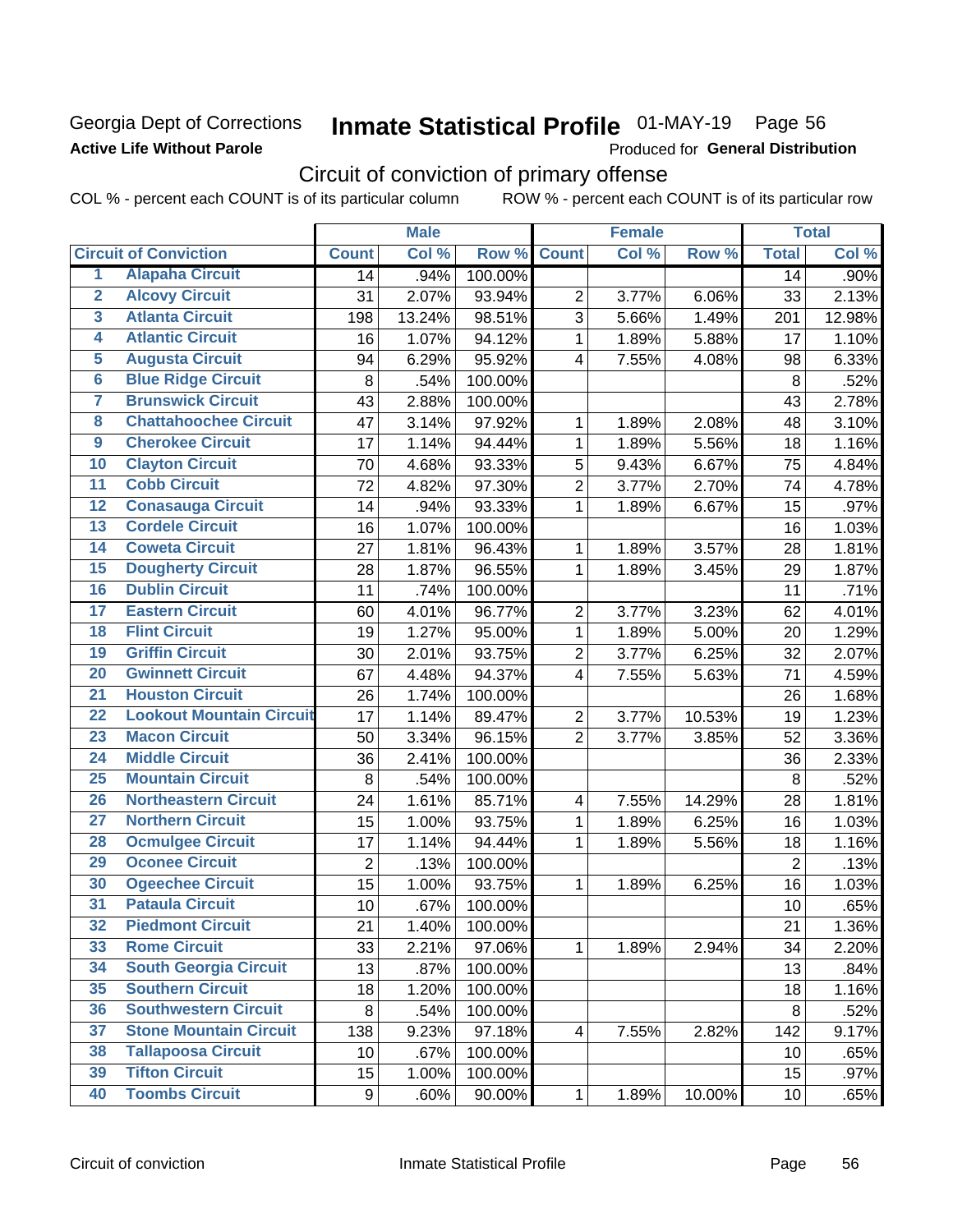### **Georgia Dept of Corrections Active Life Without Parole**

## Inmate Statistical Profile 01-MAY-19 Page 56

Produced for General Distribution

## Circuit of conviction of primary offense

COL % - percent each COUNT is of its particular column ROW % - percent each COUNT is of its particular row

|                         |                                 | <b>Male</b>    |        | <b>Female</b> |                          |       | <b>Total</b> |                 |        |
|-------------------------|---------------------------------|----------------|--------|---------------|--------------------------|-------|--------------|-----------------|--------|
|                         | <b>Circuit of Conviction</b>    | <b>Count</b>   | Col %  | Row %         | <b>Count</b>             | Col % | Row %        | <b>Total</b>    | Col %  |
| 1                       | <b>Alapaha Circuit</b>          | 14             | .94%   | 100.00%       |                          |       |              | 14              | .90%   |
| $\overline{2}$          | <b>Alcovy Circuit</b>           | 31             | 2.07%  | 93.94%        | $\overline{2}$           | 3.77% | 6.06%        | 33              | 2.13%  |
| $\overline{\mathbf{3}}$ | <b>Atlanta Circuit</b>          | 198            | 13.24% | 98.51%        | 3                        | 5.66% | 1.49%        | 201             | 12.98% |
| 4                       | <b>Atlantic Circuit</b>         | 16             | 1.07%  | 94.12%        | $\mathbf 1$              | 1.89% | 5.88%        | 17              | 1.10%  |
| 5                       | <b>Augusta Circuit</b>          | 94             | 6.29%  | 95.92%        | $\overline{\mathbf{4}}$  | 7.55% | 4.08%        | 98              | 6.33%  |
| $\overline{6}$          | <b>Blue Ridge Circuit</b>       | $\bf 8$        | .54%   | 100.00%       |                          |       |              | $\,8\,$         | .52%   |
| 7                       | <b>Brunswick Circuit</b>        | 43             | 2.88%  | 100.00%       |                          |       |              | 43              | 2.78%  |
| 8                       | <b>Chattahoochee Circuit</b>    | 47             | 3.14%  | 97.92%        | 1                        | 1.89% | 2.08%        | 48              | 3.10%  |
| $\overline{9}$          | <b>Cherokee Circuit</b>         | 17             | 1.14%  | 94.44%        | 1                        | 1.89% | 5.56%        | 18              | 1.16%  |
| 10                      | <b>Clayton Circuit</b>          | 70             | 4.68%  | 93.33%        | $\sqrt{5}$               | 9.43% | 6.67%        | 75              | 4.84%  |
| $\overline{11}$         | <b>Cobb Circuit</b>             | 72             | 4.82%  | 97.30%        | $\overline{c}$           | 3.77% | 2.70%        | 74              | 4.78%  |
| 12                      | <b>Conasauga Circuit</b>        | 14             | .94%   | 93.33%        | $\mathbf{1}$             | 1.89% | 6.67%        | 15              | .97%   |
| 13                      | <b>Cordele Circuit</b>          | 16             | 1.07%  | 100.00%       |                          |       |              | 16              | 1.03%  |
| $\overline{14}$         | <b>Coweta Circuit</b>           | 27             | 1.81%  | 96.43%        | $\mathbf{1}$             | 1.89% | 3.57%        | 28              | 1.81%  |
| $\overline{15}$         | <b>Dougherty Circuit</b>        | 28             | 1.87%  | 96.55%        | $\mathbf 1$              | 1.89% | 3.45%        | 29              | 1.87%  |
| 16                      | <b>Dublin Circuit</b>           | 11             | .74%   | 100.00%       |                          |       |              | 11              | .71%   |
| 17                      | <b>Eastern Circuit</b>          | 60             | 4.01%  | 96.77%        | $\overline{2}$           | 3.77% | 3.23%        | 62              | 4.01%  |
| 18                      | <b>Flint Circuit</b>            | 19             | 1.27%  | 95.00%        | $\mathbf{1}$             | 1.89% | 5.00%        | 20              | 1.29%  |
| 19                      | <b>Griffin Circuit</b>          | 30             | 2.01%  | 93.75%        | $\overline{2}$           | 3.77% | 6.25%        | 32              | 2.07%  |
| $\overline{20}$         | <b>Gwinnett Circuit</b>         | 67             | 4.48%  | 94.37%        | 4                        | 7.55% | 5.63%        | 71              | 4.59%  |
| $\overline{21}$         | <b>Houston Circuit</b>          | 26             | 1.74%  | 100.00%       |                          |       |              | 26              | 1.68%  |
| $\overline{22}$         | <b>Lookout Mountain Circuit</b> | 17             | 1.14%  | 89.47%        | $\overline{2}$           | 3.77% | 10.53%       | 19              | 1.23%  |
| 23                      | <b>Macon Circuit</b>            | 50             | 3.34%  | 96.15%        | $\overline{2}$           | 3.77% | 3.85%        | 52              | 3.36%  |
| $\overline{24}$         | <b>Middle Circuit</b>           | 36             | 2.41%  | 100.00%       |                          |       |              | 36              | 2.33%  |
| $\overline{25}$         | <b>Mountain Circuit</b>         | $\,8\,$        | .54%   | 100.00%       |                          |       |              | 8               | .52%   |
| 26                      | <b>Northeastern Circuit</b>     | 24             | 1.61%  | 85.71%        | $\overline{\mathcal{A}}$ | 7.55% | 14.29%       | 28              | 1.81%  |
| $\overline{27}$         | <b>Northern Circuit</b>         | 15             | 1.00%  | 93.75%        | $\mathbf{1}$             | 1.89% | 6.25%        | 16              | 1.03%  |
| 28                      | <b>Ocmulgee Circuit</b>         | 17             | 1.14%  | 94.44%        | 1                        | 1.89% | 5.56%        | 18              | 1.16%  |
| 29                      | <b>Oconee Circuit</b>           | $\overline{2}$ | .13%   | 100.00%       |                          |       |              | $\overline{2}$  | .13%   |
| 30                      | <b>Ogeechee Circuit</b>         | 15             | 1.00%  | 93.75%        | 1                        | 1.89% | 6.25%        | 16              | 1.03%  |
| $\overline{31}$         | <b>Pataula Circuit</b>          | 10             | .67%   | 100.00%       |                          |       |              | 10              | .65%   |
| 32                      | <b>Piedmont Circuit</b>         | 21             | 1.40%  | 100.00%       |                          |       |              | 21              | 1.36%  |
| 33                      | <b>Rome Circuit</b>             | 33             | 2.21%  | 97.06%        | $\mathbf{1}$             | 1.89% | 2.94%        | 34              | 2.20%  |
| 34                      | <b>South Georgia Circuit</b>    | 13             | .87%   | 100.00%       |                          |       |              | 13              | .84%   |
| 35                      | <b>Southern Circuit</b>         | 18             | 1.20%  | 100.00%       |                          |       |              | 18              | 1.16%  |
| 36                      | <b>Southwestern Circuit</b>     | 8              | .54%   | 100.00%       |                          |       |              | 8               | .52%   |
| 37                      | <b>Stone Mountain Circuit</b>   | 138            | 9.23%  | 97.18%        | 4                        | 7.55% | 2.82%        | 142             | 9.17%  |
| 38                      | <b>Tallapoosa Circuit</b>       | 10             | .67%   | 100.00%       |                          |       |              | 10              | .65%   |
| 39                      | <b>Tifton Circuit</b>           | 15             | 1.00%  | 100.00%       |                          |       |              | 15              | .97%   |
| 40                      | <b>Toombs Circuit</b>           | 9              | .60%   | 90.00%        | $\mathbf{1}$             | 1.89% | 10.00%       | 10 <sub>1</sub> | .65%   |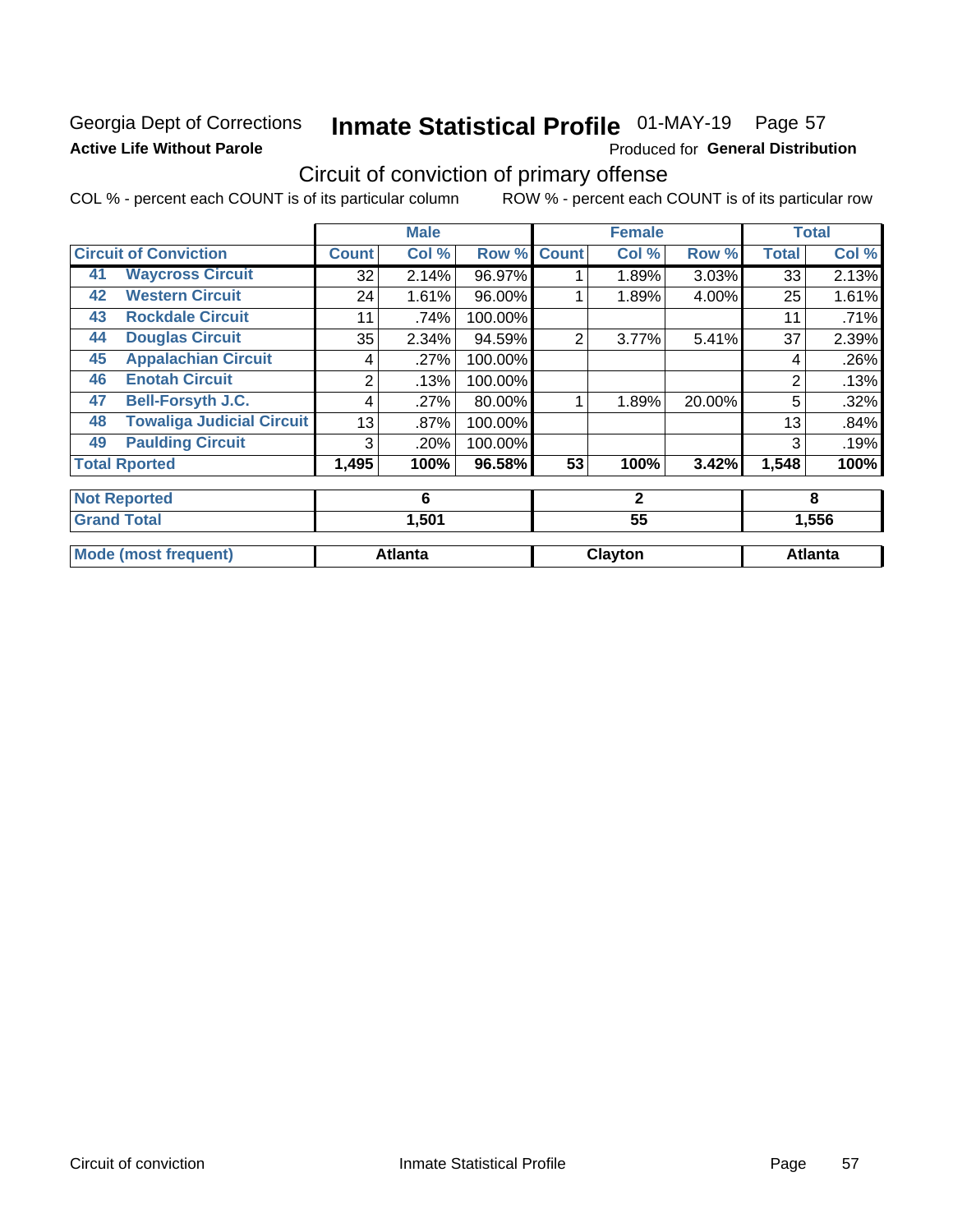### **Georgia Dept of Corrections Active Life Without Parole**

## Inmate Statistical Profile 01-MAY-19 Page 57

Produced for General Distribution

## Circuit of conviction of primary offense

COL % - percent each COUNT is of its particular column ROW % - percent each COUNT is of its particular row

|    |                                  |              | <b>Male</b>    |         |              | <b>Female</b> |        |                | <b>Total</b>   |
|----|----------------------------------|--------------|----------------|---------|--------------|---------------|--------|----------------|----------------|
|    | <b>Circuit of Conviction</b>     | <b>Count</b> | Col %          | Row %   | <b>Count</b> | Col %         | Row %  | <b>Total</b>   | Col %          |
| 41 | <b>Waycross Circuit</b>          | 32           | 2.14%          | 96.97%  |              | 1.89%         | 3.03%  | 33             | 2.13%          |
| 42 | <b>Western Circuit</b>           | 24           | 1.61%          | 96.00%  |              | 1.89%         | 4.00%  | 25             | 1.61%          |
| 43 | <b>Rockdale Circuit</b>          | 11           | .74%           | 100.00% |              |               |        | 11             | .71%           |
| 44 | <b>Douglas Circuit</b>           | 35           | 2.34%          | 94.59%  | 2            | 3.77%         | 5.41%  | 37             | 2.39%          |
| 45 | <b>Appalachian Circuit</b>       | 4            | .27%           | 100.00% |              |               |        | 4              | .26%           |
| 46 | <b>Enotah Circuit</b>            | 2            | .13%           | 100.00% |              |               |        | $\overline{2}$ | .13%           |
| 47 | <b>Bell-Forsyth J.C.</b>         | 4            | .27%           | 80.00%  |              | 1.89%         | 20.00% | 5              | .32%           |
| 48 | <b>Towaliga Judicial Circuit</b> | 13           | .87%           | 100.00% |              |               |        | 13             | .84%           |
| 49 | <b>Paulding Circuit</b>          | 3            | .20%           | 100.00% |              |               |        | 3              | .19%           |
|    | <b>Total Rported</b>             | 1,495        | 100%           | 96.58%  | 53           | 100%          | 3.42%  | 1,548          | 100%           |
|    | <b>Not Reported</b>              |              | 6              |         |              | $\mathbf{2}$  |        |                | 8              |
|    | <b>Grand Total</b>               |              | 1,501          |         |              | 55            |        |                | 1,556          |
|    | <b>Mode (most frequent)</b>      |              | <b>Atlanta</b> |         |              | Clayton       |        |                | <b>Atlanta</b> |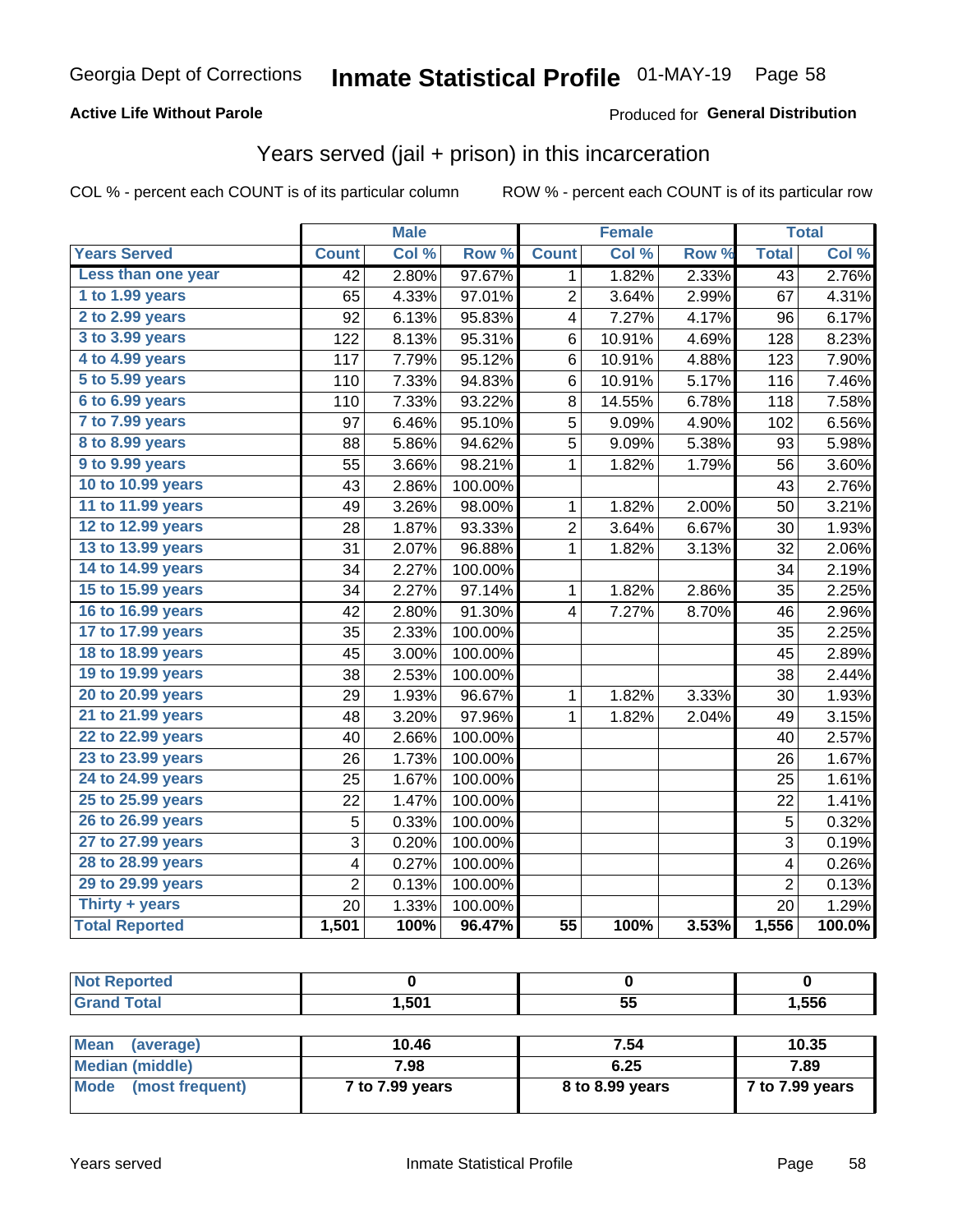#### **Active Life Without Parole**

#### **Produced for General Distribution**

### Years served (jail + prison) in this incarceration

COL % - percent each COUNT is of its particular column

|                        |                 | <b>Male</b> |                  |                 | <b>Female</b> |       |                 | <b>Total</b> |
|------------------------|-----------------|-------------|------------------|-----------------|---------------|-------|-----------------|--------------|
| <b>Years Served</b>    | <b>Count</b>    | Col %       | Row <sup>%</sup> | <b>Count</b>    | Col %         | Row % | <b>Total</b>    | Col%         |
| Less than one year     | $\overline{42}$ | 2.80%       | 97.67%           | 1               | 1.82%         | 2.33% | $\overline{43}$ | 2.76%        |
| 1 to 1.99 years        | 65              | 4.33%       | 97.01%           | $\overline{2}$  | 3.64%         | 2.99% | 67              | 4.31%        |
| 2 to 2.99 years        | 92              | 6.13%       | 95.83%           | 4               | 7.27%         | 4.17% | 96              | 6.17%        |
| 3 to 3.99 years        | 122             | 8.13%       | 95.31%           | 6               | 10.91%        | 4.69% | 128             | 8.23%        |
| 4 to 4.99 years        | 117             | 7.79%       | 95.12%           | 6               | 10.91%        | 4.88% | 123             | 7.90%        |
| 5 to 5.99 years        | 110             | 7.33%       | 94.83%           | 6               | 10.91%        | 5.17% | 116             | 7.46%        |
| 6 to 6.99 years        | 110             | 7.33%       | 93.22%           | 8               | 14.55%        | 6.78% | 118             | 7.58%        |
| 7 to 7.99 years        | 97              | 6.46%       | 95.10%           | 5               | 9.09%         | 4.90% | 102             | 6.56%        |
| <b>8 to 8.99 years</b> | 88              | 5.86%       | 94.62%           | 5               | 9.09%         | 5.38% | 93              | 5.98%        |
| 9 to 9.99 years        | 55              | 3.66%       | 98.21%           | $\mathbf 1$     | 1.82%         | 1.79% | 56              | 3.60%        |
| 10 to 10.99 years      | 43              | 2.86%       | 100.00%          |                 |               |       | 43              | 2.76%        |
| 11 to 11.99 years      | 49              | 3.26%       | 98.00%           | 1               | 1.82%         | 2.00% | 50              | 3.21%        |
| 12 to 12.99 years      | 28              | 1.87%       | 93.33%           | 2               | 3.64%         | 6.67% | 30              | 1.93%        |
| 13 to 13.99 years      | 31              | 2.07%       | 96.88%           | 1               | 1.82%         | 3.13% | 32              | 2.06%        |
| 14 to 14.99 years      | 34              | 2.27%       | 100.00%          |                 |               |       | 34              | 2.19%        |
| 15 to 15.99 years      | 34              | 2.27%       | 97.14%           | 1               | 1.82%         | 2.86% | 35              | 2.25%        |
| 16 to 16.99 years      | 42              | 2.80%       | 91.30%           | 4               | 7.27%         | 8.70% | 46              | 2.96%        |
| 17 to 17.99 years      | 35              | 2.33%       | 100.00%          |                 |               |       | 35              | 2.25%        |
| 18 to 18.99 years      | 45              | 3.00%       | 100.00%          |                 |               |       | 45              | 2.89%        |
| 19 to 19.99 years      | 38              | 2.53%       | 100.00%          |                 |               |       | 38              | 2.44%        |
| 20 to 20.99 years      | 29              | 1.93%       | 96.67%           | 1               | 1.82%         | 3.33% | 30              | 1.93%        |
| 21 to 21.99 years      | 48              | 3.20%       | 97.96%           | 1               | 1.82%         | 2.04% | 49              | 3.15%        |
| 22 to 22.99 years      | 40              | 2.66%       | 100.00%          |                 |               |       | 40              | 2.57%        |
| 23 to 23.99 years      | 26              | 1.73%       | 100.00%          |                 |               |       | 26              | 1.67%        |
| 24 to 24.99 years      | 25              | 1.67%       | 100.00%          |                 |               |       | 25              | 1.61%        |
| 25 to 25.99 years      | 22              | 1.47%       | 100.00%          |                 |               |       | 22              | 1.41%        |
| 26 to 26.99 years      | 5               | 0.33%       | 100.00%          |                 |               |       | 5               | 0.32%        |
| 27 to 27.99 years      | 3               | 0.20%       | 100.00%          |                 |               |       | 3               | 0.19%        |
| 28 to 28.99 years      | 4               | 0.27%       | 100.00%          |                 |               |       | 4               | 0.26%        |
| 29 to 29.99 years      | $\overline{2}$  | 0.13%       | 100.00%          |                 |               |       | $\overline{2}$  | 0.13%        |
| Thirty + years         | 20              | 1.33%       | 100.00%          |                 |               |       | 20              | 1.29%        |
| <b>Total Reported</b>  | 1,501           | 100%        | 96.47%           | $\overline{55}$ | 100%          | 3.53% | 1,556           | 100.0%       |

| <b>Not Reported</b> |       |    |       |
|---------------------|-------|----|-------|
| <b>Grand Total</b>  | 1,501 | 55 | 1,556 |
|                     |       |    |       |

| Mean<br>(average)    | 10.46           | 7.54            | 10.35           |
|----------------------|-----------------|-----------------|-----------------|
| Median (middle)      | 7.98            | 6.25            | 7.89            |
| Mode (most frequent) | 7 to 7.99 years | 8 to 8.99 years | 7 to 7.99 years |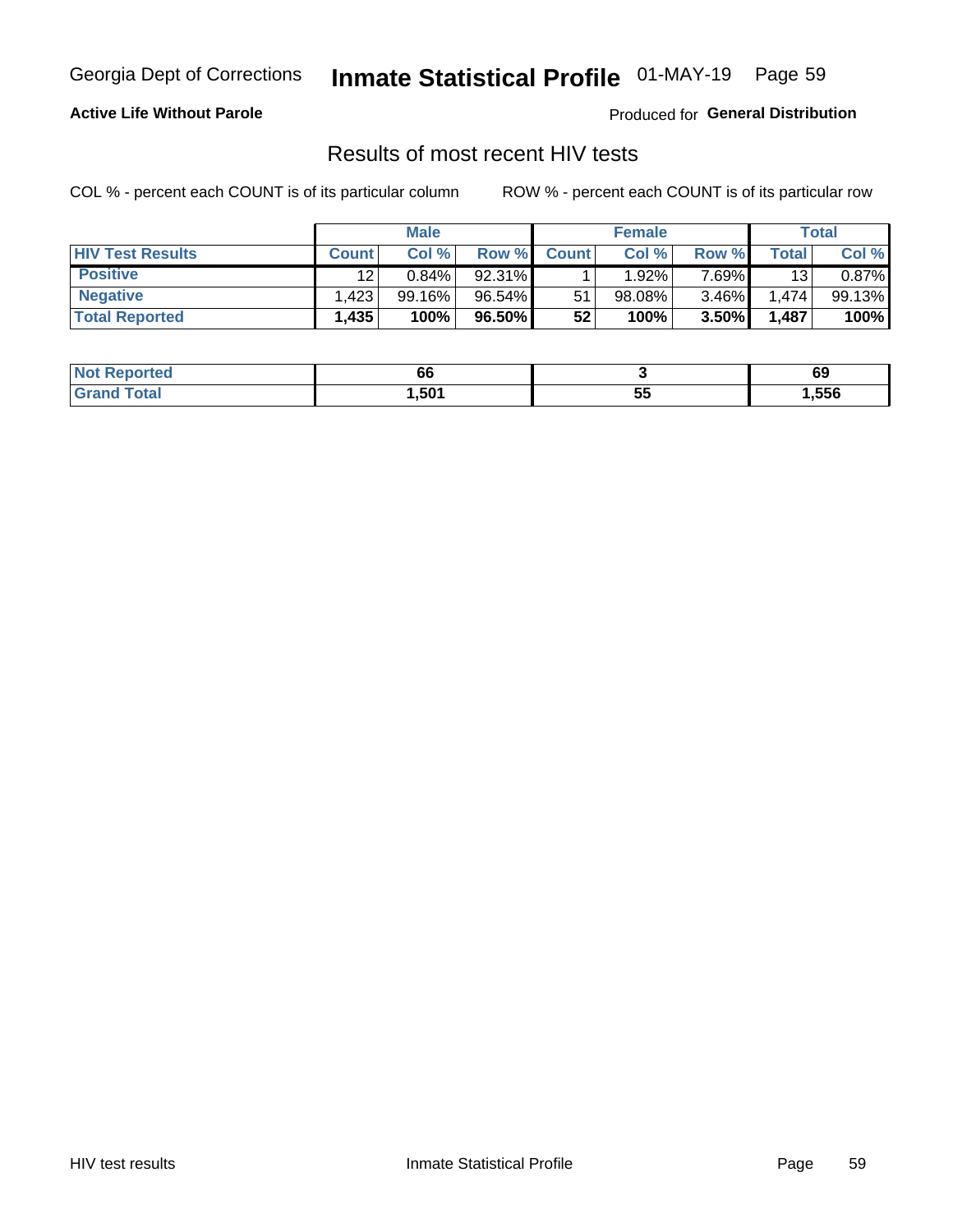## Inmate Statistical Profile 01-MAY-19 Page 59

#### **Active Life Without Parole**

Produced for General Distribution

### Results of most recent HIV tests

COL % - percent each COUNT is of its particular column

|                         | <b>Male</b>  |           |          | <b>Female</b> |        |        | Total |        |
|-------------------------|--------------|-----------|----------|---------------|--------|--------|-------|--------|
| <b>HIV Test Results</b> | <b>Count</b> | Col %     | Row %I   | <b>Count</b>  | Col %  | Row %  | Total | Col %  |
| <b>Positive</b>         | 12           | $0.84\%$  | 92.31%   |               | 1.92%  | 7 69%∎ | 13    | 0.87%  |
| <b>Negative</b>         | .423         | $99.16\%$ | 96.54%   | 51            | 98.08% | 3.46%  | 1.474 | 99.13% |
| <b>Total Reported</b>   | 1,435        | 100%      | 96.50% I | 52            | 100%   | 3.50%  | 1,487 | 100%   |

| <b>Not Reported</b>   | ~~<br>66 |             | 69     |
|-----------------------|----------|-------------|--------|
| ⊺otai<br><b>Gro</b> r | .501     | --<br><br>◡ | 556, ا |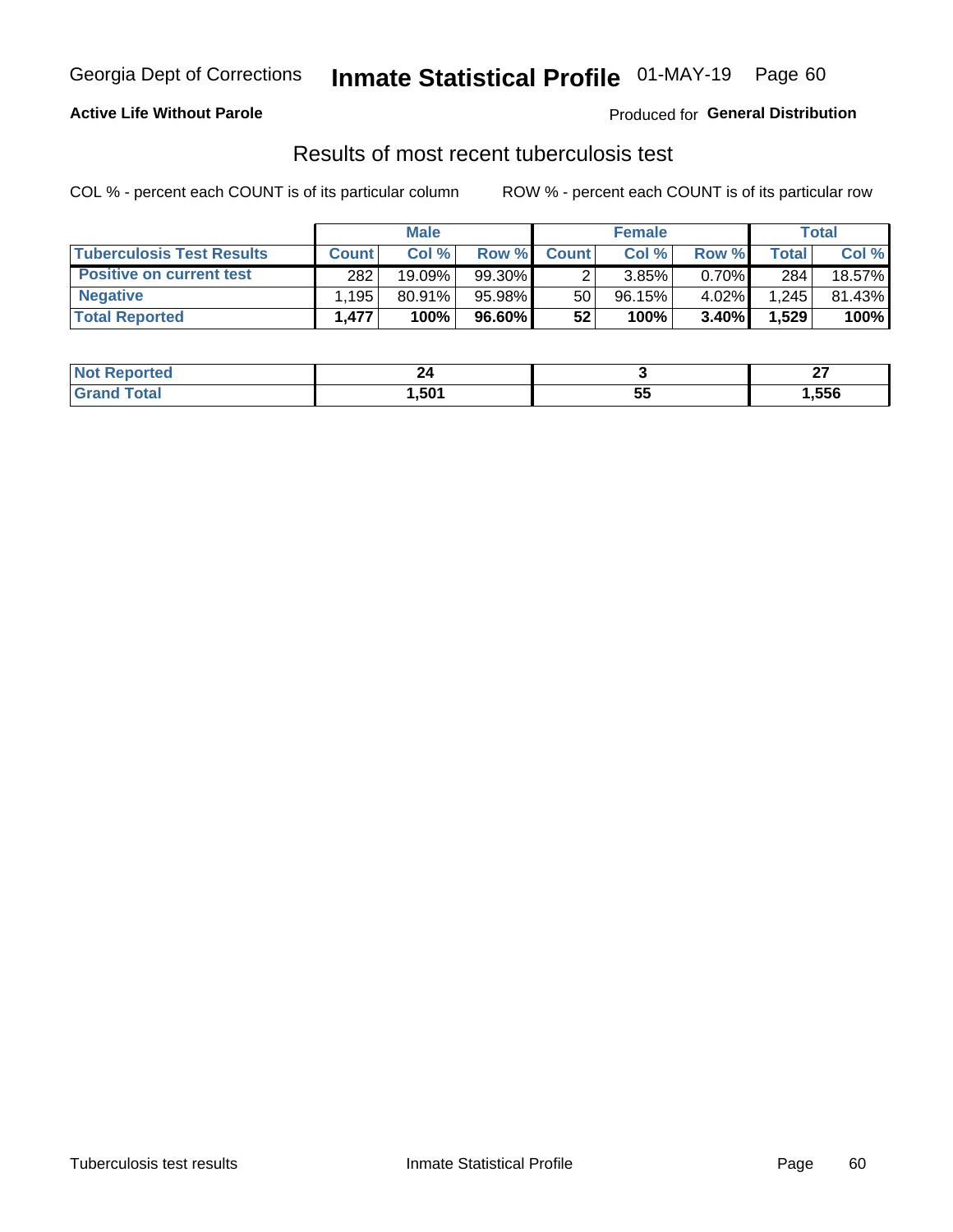## Georgia Dept of Corrections **Inmate Statistical Profile** 01-MAY-19 Page 60

#### **Active Life Without Parole**

Produced for **General Distribution**

### Results of most recent tuberculosis test

COL % - percent each COUNT is of its particular column ROW % - percent each COUNT is of its particular row

|                                  | <b>Male</b>  |           |        | <b>Female</b> |           |          | Total        |        |
|----------------------------------|--------------|-----------|--------|---------------|-----------|----------|--------------|--------|
| <b>Tuberculosis Test Results</b> | <b>Count</b> | Col %     | Row %I | <b>Count</b>  | Col %     | Row %    | <b>Total</b> | Col %  |
| <b>Positive on current test</b>  | 282          | 19.09%    | 99.30% |               | 3.85%     | $0.70\%$ | 284          | 18.57% |
| <b>Negative</b>                  | .195         | $80.91\%$ | 95.98% | 50            | $96.15\%$ | 4.02%    | 1,245        | 81.43% |
| <b>Total Reported</b>            | 1.477        | 100%      | 96.60% | 52            | 100%      | $3.40\%$ | 1,529        | 100%   |

| <b>Not Reported</b> | 24<br>$ -$ |          | ~-<br>-- |
|---------------------|------------|----------|----------|
| `otal               | .501       | --<br>JJ | 556،،    |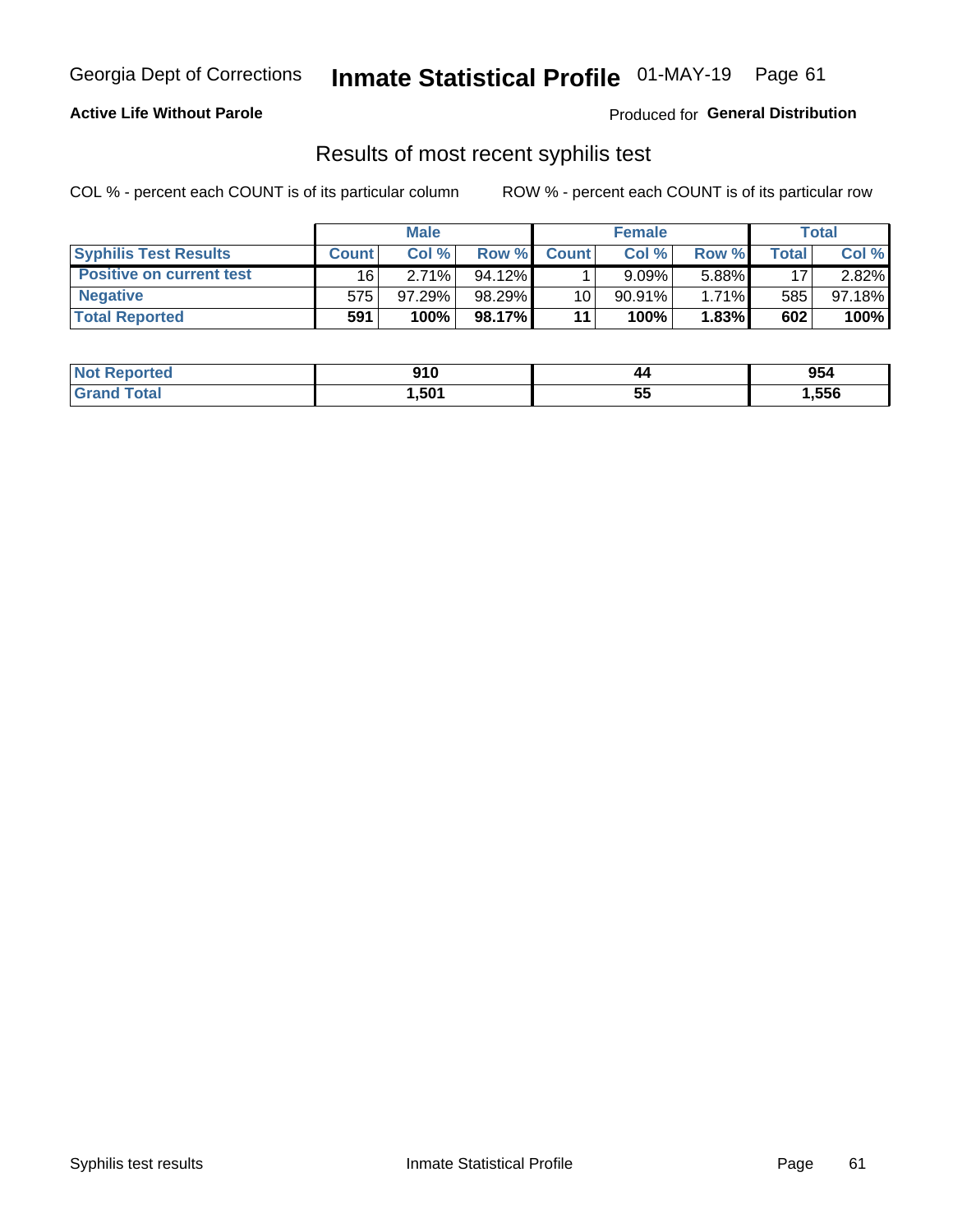## Georgia Dept of Corrections **Inmate Statistical Profile** 01-MAY-19 Page 61

#### **Active Life Without Parole**

Produced for **General Distribution**

### Results of most recent syphilis test

COL % - percent each COUNT is of its particular column ROW % - percent each COUNT is of its particular row

|                                 | <b>Male</b>  |           |           | <b>Female</b> |           |          | Total |        |
|---------------------------------|--------------|-----------|-----------|---------------|-----------|----------|-------|--------|
| <b>Syphilis Test Results</b>    | <b>Count</b> | Col%      | Row %     | <b>Count</b>  | Col %     | Row %I   | Total | Col %  |
| <b>Positive on current test</b> | 16           | 2.71%     | $94.12\%$ |               | 9.09%     | 5.88%    | 17    | 2.82%  |
| <b>Negative</b>                 | 575          | $97.29\%$ | $98.29\%$ | 10            | $90.91\%$ | $1.71\%$ | 585   | 97.18% |
| <b>Total Reported</b>           | 591          | 100%      | 98.17%I   | 11            | 100%      | 1.83%    | 602   | 100%   |

| <b>Not Reported</b> | 910   | 44       | 954    |
|---------------------|-------|----------|--------|
| <b>Grand Total</b>  | 501,ا | 55<br>JJ | 556, ا |